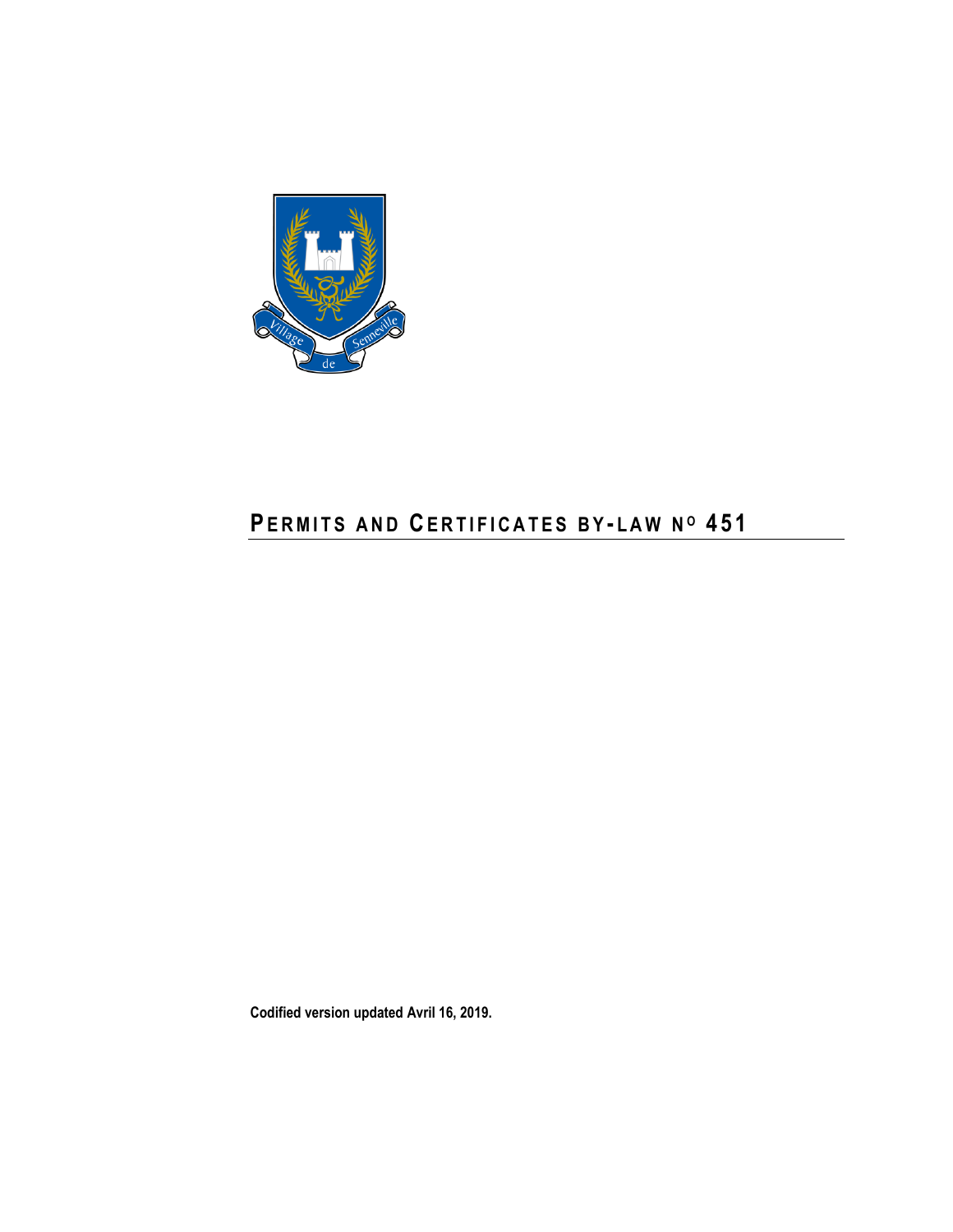

# **PERMITS AND CERTIFICATES BY-LAW Nº 451**

**Codified version updated Avril 16, 2019.**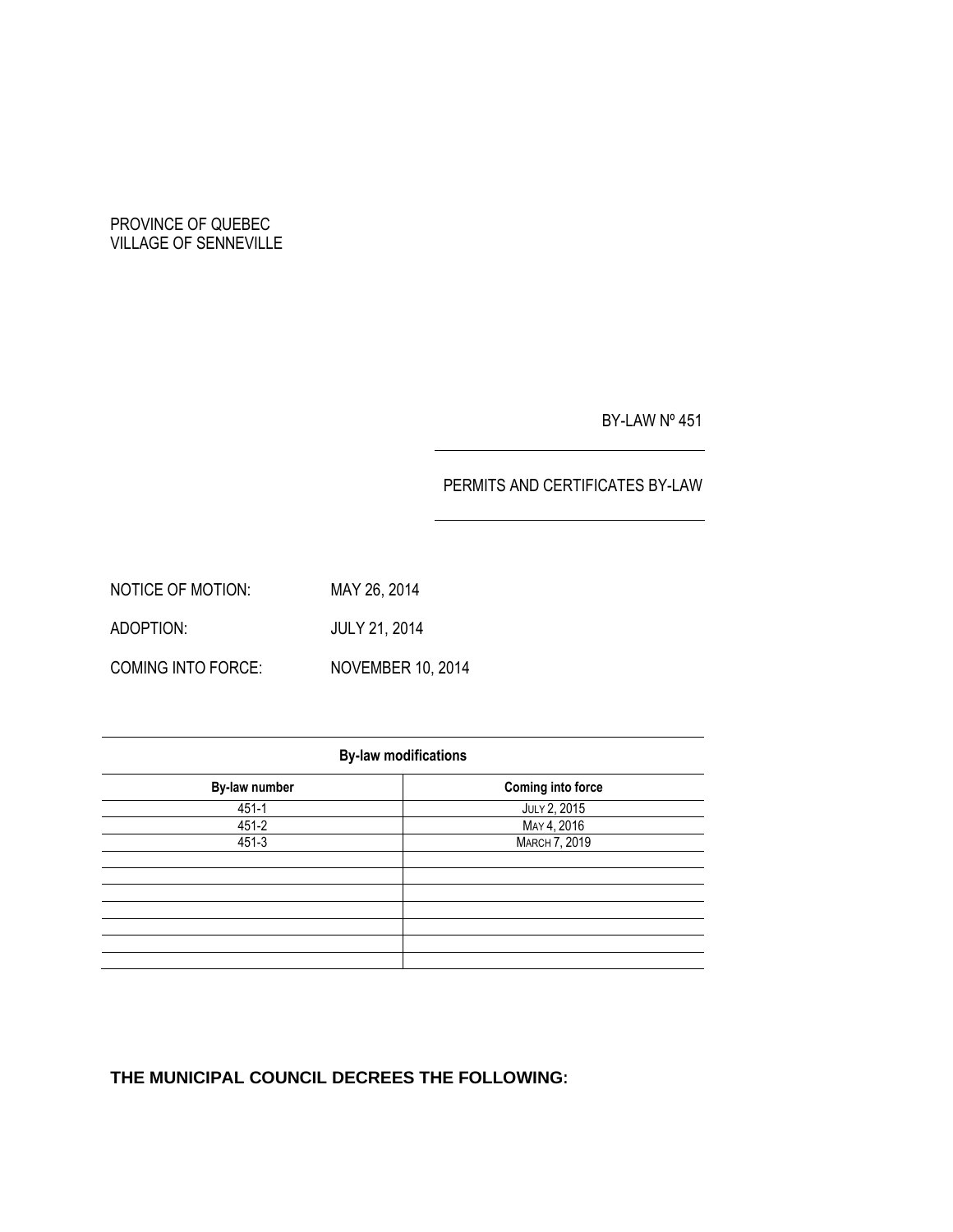## PROVINCE OF QUEBEC VILLAGE OF SENNEVILLE

BY-LAW Nº 451

## PERMITS AND CERTIFICATES BY-LAW

NOTICE OF MOTION: MAY 26, 2014 ADOPTION: JULY 21, 2014 COMING INTO FORCE: NOVEMBER 10, 2014

| <b>By-law modifications</b> |                      |  |  |  |
|-----------------------------|----------------------|--|--|--|
| By-law number               | Coming into force    |  |  |  |
| $451 - 1$                   | JULY 2, 2015         |  |  |  |
| 451-2                       | MAY 4, 2016          |  |  |  |
| 451-3                       | <b>MARCH 7, 2019</b> |  |  |  |
|                             |                      |  |  |  |
|                             |                      |  |  |  |
|                             |                      |  |  |  |
|                             |                      |  |  |  |
|                             |                      |  |  |  |
|                             |                      |  |  |  |
|                             |                      |  |  |  |

# **THE MUNICIPAL COUNCIL DECREES THE FOLLOWING:**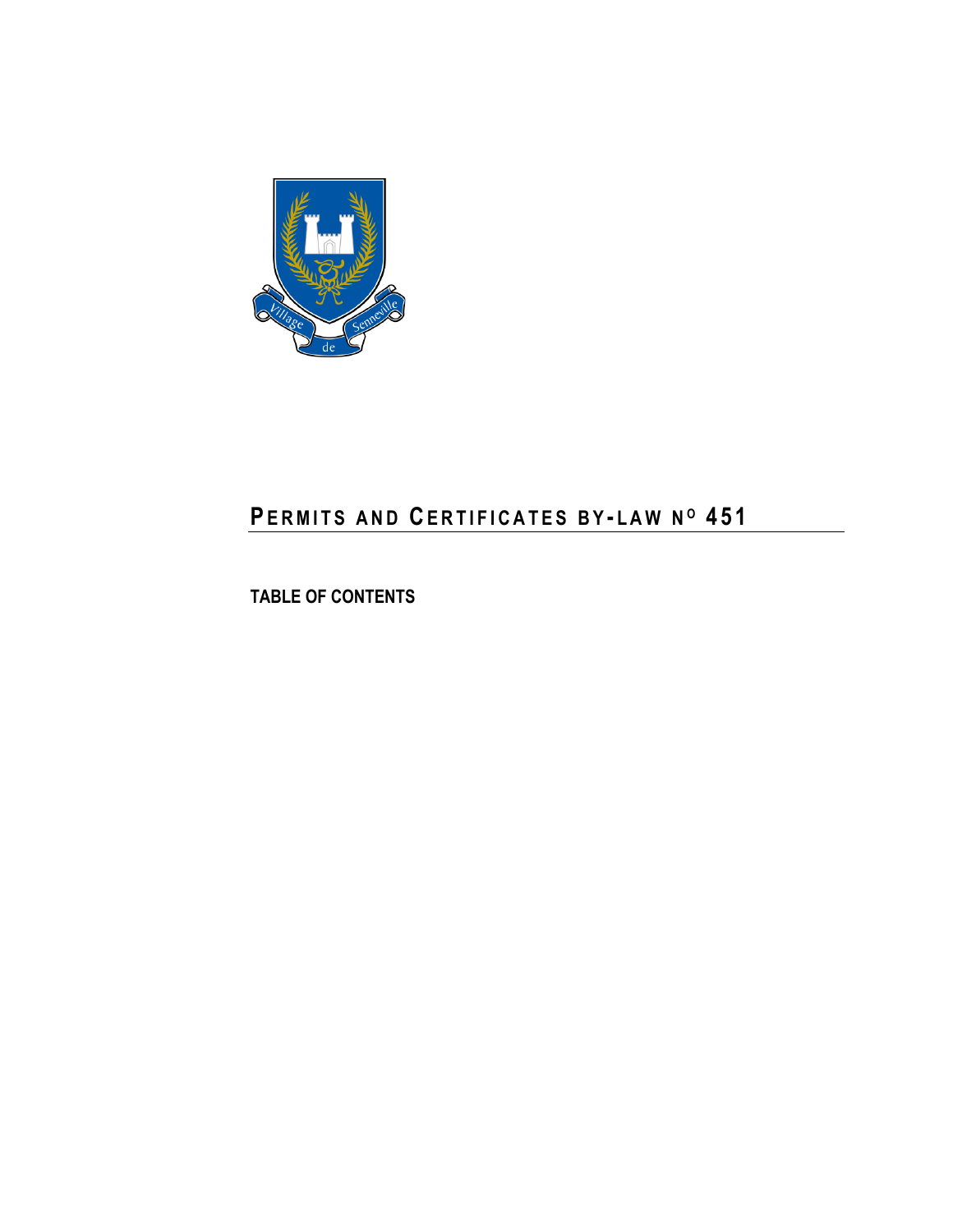

# **PE R M I T S A N D CE R T I F I C A T E S B Y - L A W N <sup>O</sup> 4 5 1**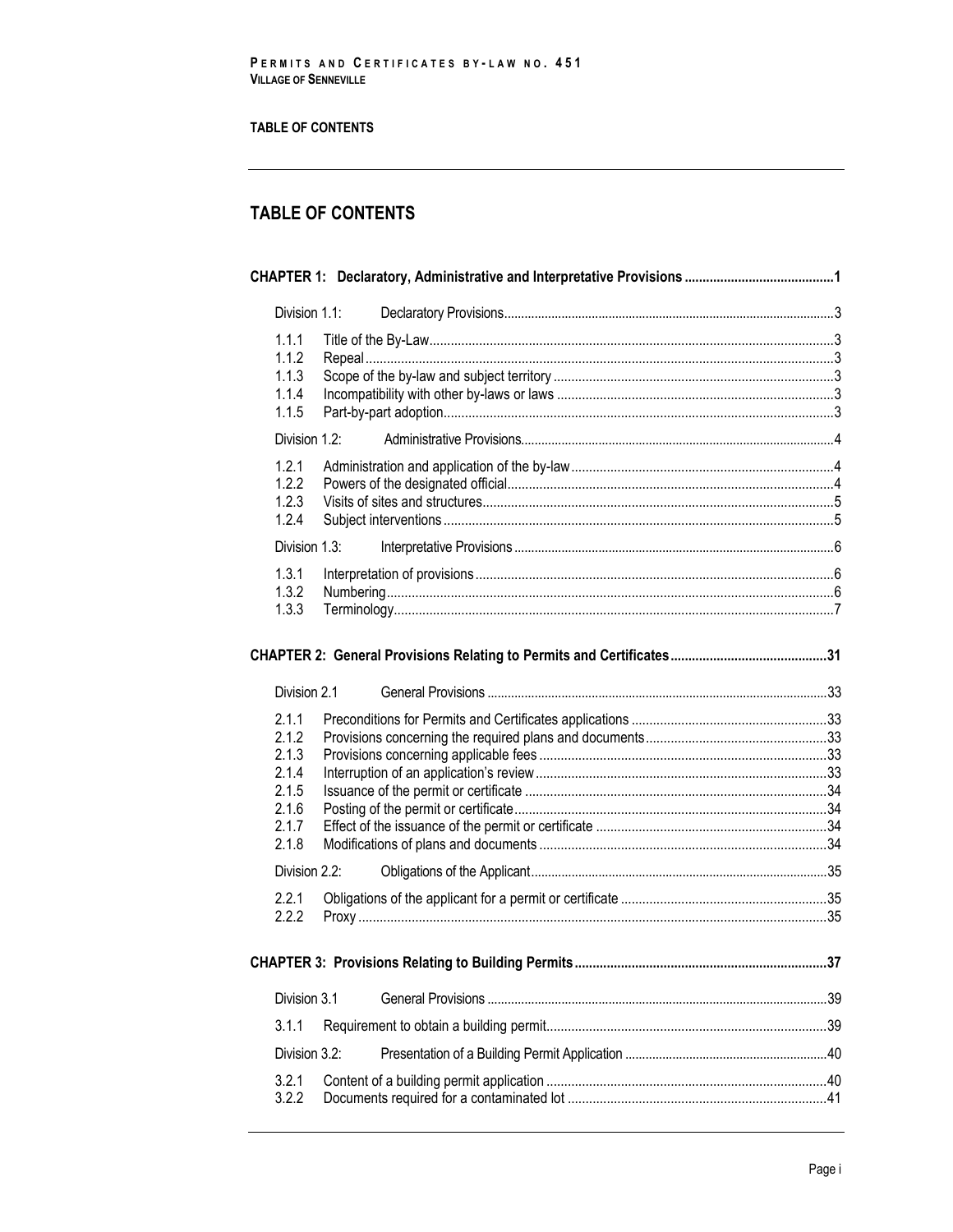## **TABLE OF CONTENTS**

| Division 1.1:                                                        |                                                           |    |
|----------------------------------------------------------------------|-----------------------------------------------------------|----|
| 1.1.1<br>1.1.2<br>1.1.3<br>1.1.4<br>1.1.5                            |                                                           |    |
| Division 1.2:                                                        |                                                           |    |
| 1.2.1<br>1.2.2<br>1.2.3<br>1.2.4                                     |                                                           |    |
| Division 1.3:                                                        |                                                           |    |
| 1.3.1<br>1.3.2<br>1.3.3                                              |                                                           |    |
|                                                                      |                                                           |    |
| Division 2.1                                                         |                                                           |    |
| 2.1.1<br>2.1.2<br>2.1.3<br>2.1.4<br>2.1.5<br>2.1.6<br>2.1.7<br>2.1.8 |                                                           |    |
| Division 2.2:                                                        |                                                           |    |
| 2.2.1<br>2.2.2                                                       |                                                           |    |
|                                                                      | <b>CHAPTER 3: Provisions Relating to Building Permits</b> | 37 |
| Division 3.1                                                         |                                                           |    |
| 3.1.1                                                                |                                                           |    |
| Division 3.2:                                                        |                                                           |    |
|                                                                      |                                                           |    |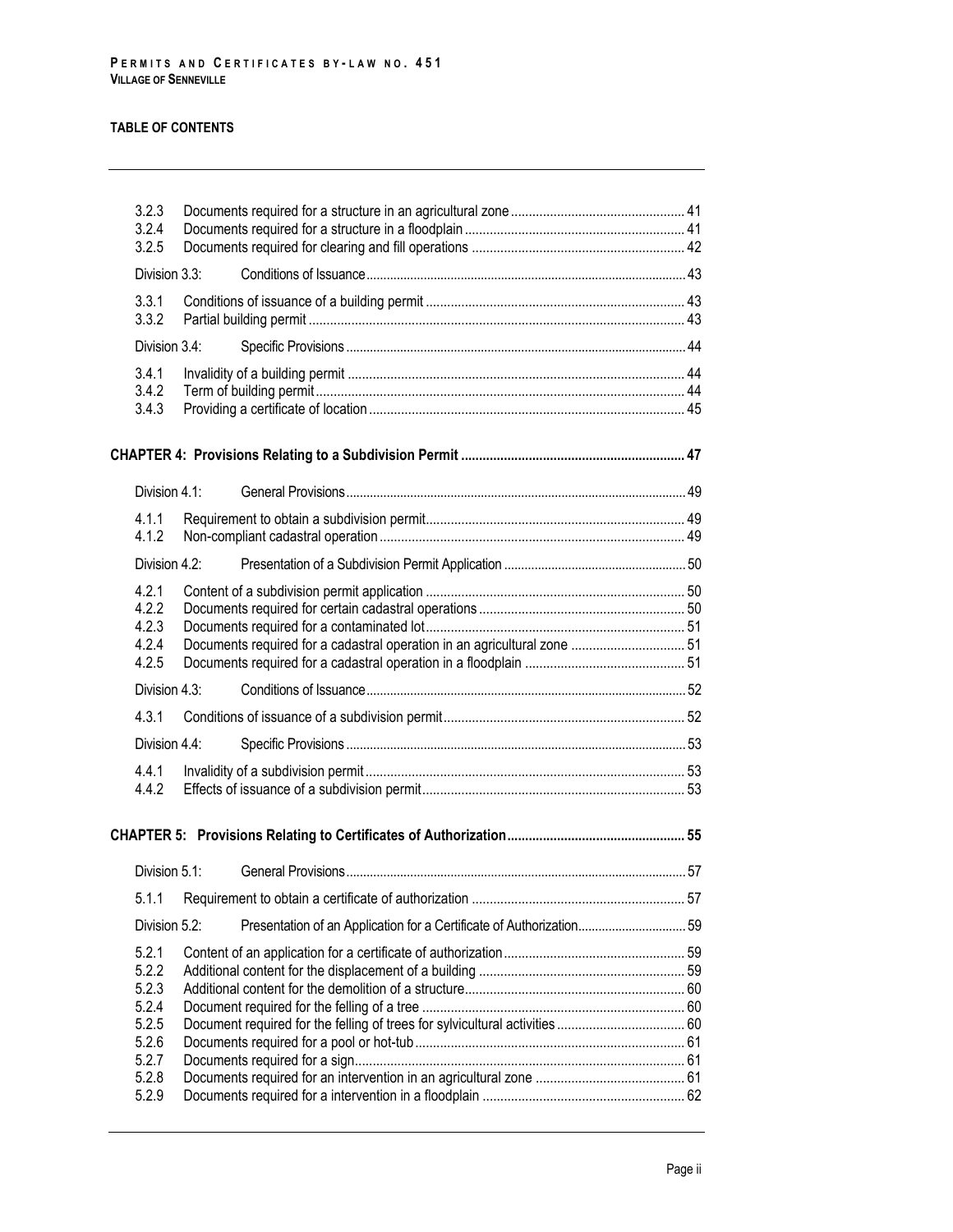|       | 3.2.3<br>3.2.4<br>3.2.5 |  |                                                                          |  |  |
|-------|-------------------------|--|--------------------------------------------------------------------------|--|--|
|       | Division 3.3:           |  |                                                                          |  |  |
|       | 3.3.1<br>3.3.2          |  |                                                                          |  |  |
|       | Division 3.4:           |  |                                                                          |  |  |
| 3.4.1 |                         |  |                                                                          |  |  |
|       | 3.4.2                   |  |                                                                          |  |  |
|       | 3.4.3                   |  |                                                                          |  |  |
|       |                         |  |                                                                          |  |  |
|       | Division 4.1:           |  |                                                                          |  |  |
|       | 4.1.1                   |  |                                                                          |  |  |
|       | 4.1.2                   |  |                                                                          |  |  |
|       | Division 4.2:           |  |                                                                          |  |  |
|       | 4.2.1                   |  |                                                                          |  |  |
|       | 4.2.2<br>4.2.3          |  |                                                                          |  |  |
|       | 4.2.4                   |  | Documents required for a cadastral operation in an agricultural zone  51 |  |  |
|       | 4.2.5                   |  |                                                                          |  |  |
|       | Division 4.3:           |  |                                                                          |  |  |
|       | 4.3.1                   |  |                                                                          |  |  |
|       | Division 4.4:           |  |                                                                          |  |  |
|       | 4.4.1<br>4.4.2          |  |                                                                          |  |  |
|       |                         |  |                                                                          |  |  |
|       | Division 5.1:           |  |                                                                          |  |  |
|       | 5.1.1<br>Division 5.2:  |  |                                                                          |  |  |
|       |                         |  | Presentation of an Application for a Certificate of Authorization 59     |  |  |
|       | 5.2.1                   |  |                                                                          |  |  |
|       | 5.2.2                   |  |                                                                          |  |  |
|       | 5.2.3<br>5.2.4          |  |                                                                          |  |  |
|       | 5.2.5                   |  |                                                                          |  |  |
|       | 5.2.6                   |  |                                                                          |  |  |
|       | 5.2.7<br>5.2.8          |  |                                                                          |  |  |
|       | 5.2.9                   |  |                                                                          |  |  |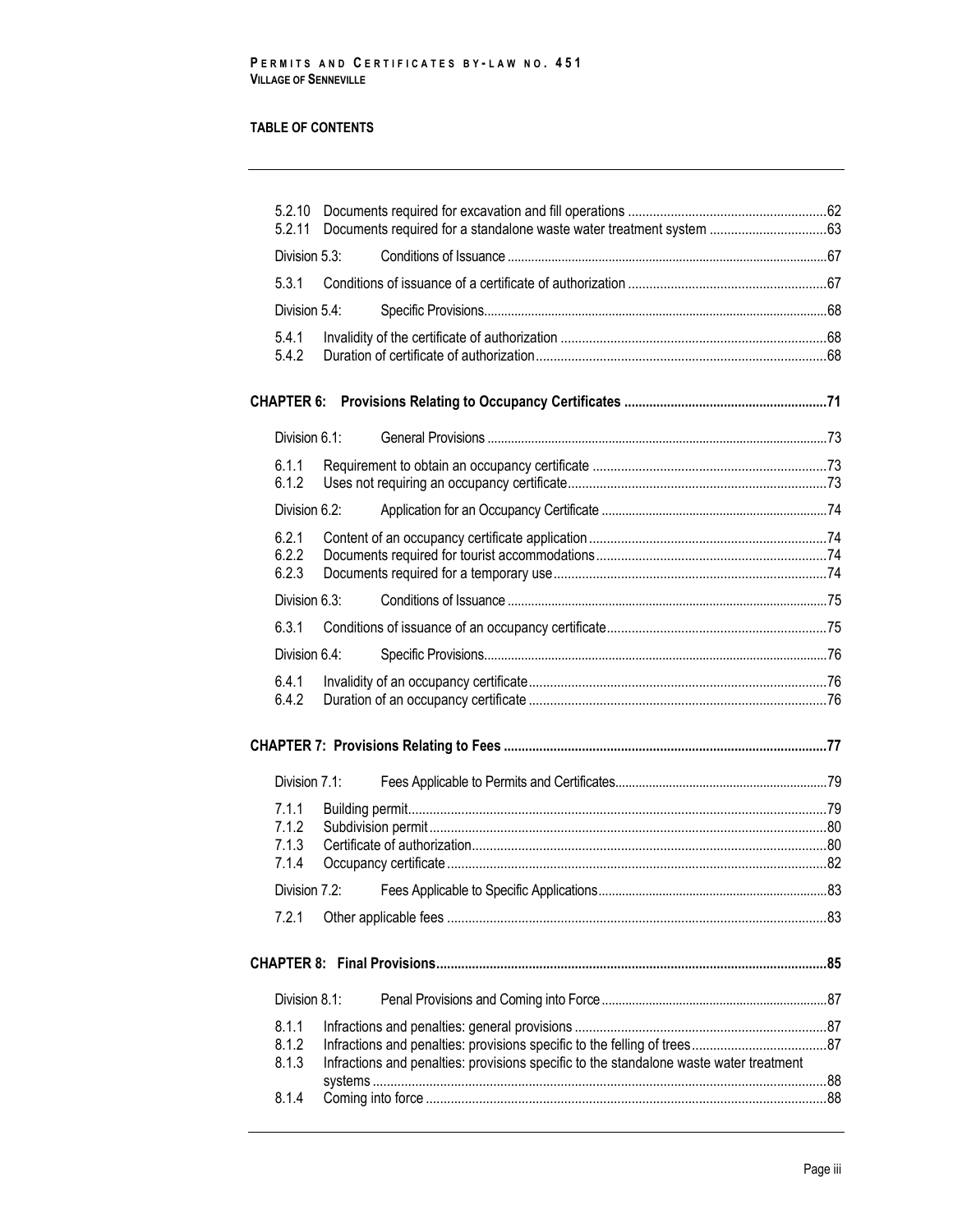| 5.2.10<br>5.2.11                                                                                         |  | Documents required for a standalone waste water treatment system 63                                  |  |  |
|----------------------------------------------------------------------------------------------------------|--|------------------------------------------------------------------------------------------------------|--|--|
| Division 5.3:                                                                                            |  |                                                                                                      |  |  |
| 5.3.1                                                                                                    |  |                                                                                                      |  |  |
| Division 5.4:                                                                                            |  |                                                                                                      |  |  |
| 5.4.1                                                                                                    |  |                                                                                                      |  |  |
| 5.4.2                                                                                                    |  |                                                                                                      |  |  |
|                                                                                                          |  |                                                                                                      |  |  |
| Division 6.1:                                                                                            |  |                                                                                                      |  |  |
| 6.1.1                                                                                                    |  |                                                                                                      |  |  |
| 6.1.2                                                                                                    |  |                                                                                                      |  |  |
| Division 6.2:                                                                                            |  |                                                                                                      |  |  |
| 6.2.1                                                                                                    |  |                                                                                                      |  |  |
| 6.2.2<br>6.2.3                                                                                           |  |                                                                                                      |  |  |
| Division 6.3:                                                                                            |  |                                                                                                      |  |  |
| 6.3.1                                                                                                    |  |                                                                                                      |  |  |
| Division 6.4:                                                                                            |  |                                                                                                      |  |  |
| 6.4.1                                                                                                    |  |                                                                                                      |  |  |
| 6.4.2                                                                                                    |  |                                                                                                      |  |  |
|                                                                                                          |  |                                                                                                      |  |  |
| Division 7.1:                                                                                            |  |                                                                                                      |  |  |
| 7.1.1                                                                                                    |  |                                                                                                      |  |  |
| 7.1.2                                                                                                    |  |                                                                                                      |  |  |
| 7.1.3<br>7.1.4                                                                                           |  | .000.com/index.pdf/index.pdf/index.pdf/index.pdf/index.pdf/index.pdf/index.pdf/index.pdf/index.pdf/i |  |  |
| Division 7.2:                                                                                            |  |                                                                                                      |  |  |
| 7.2.1                                                                                                    |  |                                                                                                      |  |  |
|                                                                                                          |  |                                                                                                      |  |  |
|                                                                                                          |  |                                                                                                      |  |  |
| Division 8.1:                                                                                            |  |                                                                                                      |  |  |
| 8.1.1                                                                                                    |  |                                                                                                      |  |  |
| 8.1.2<br>8.1.3<br>Infractions and penalties: provisions specific to the standalone waste water treatment |  |                                                                                                      |  |  |
|                                                                                                          |  |                                                                                                      |  |  |
| 8.1.4                                                                                                    |  |                                                                                                      |  |  |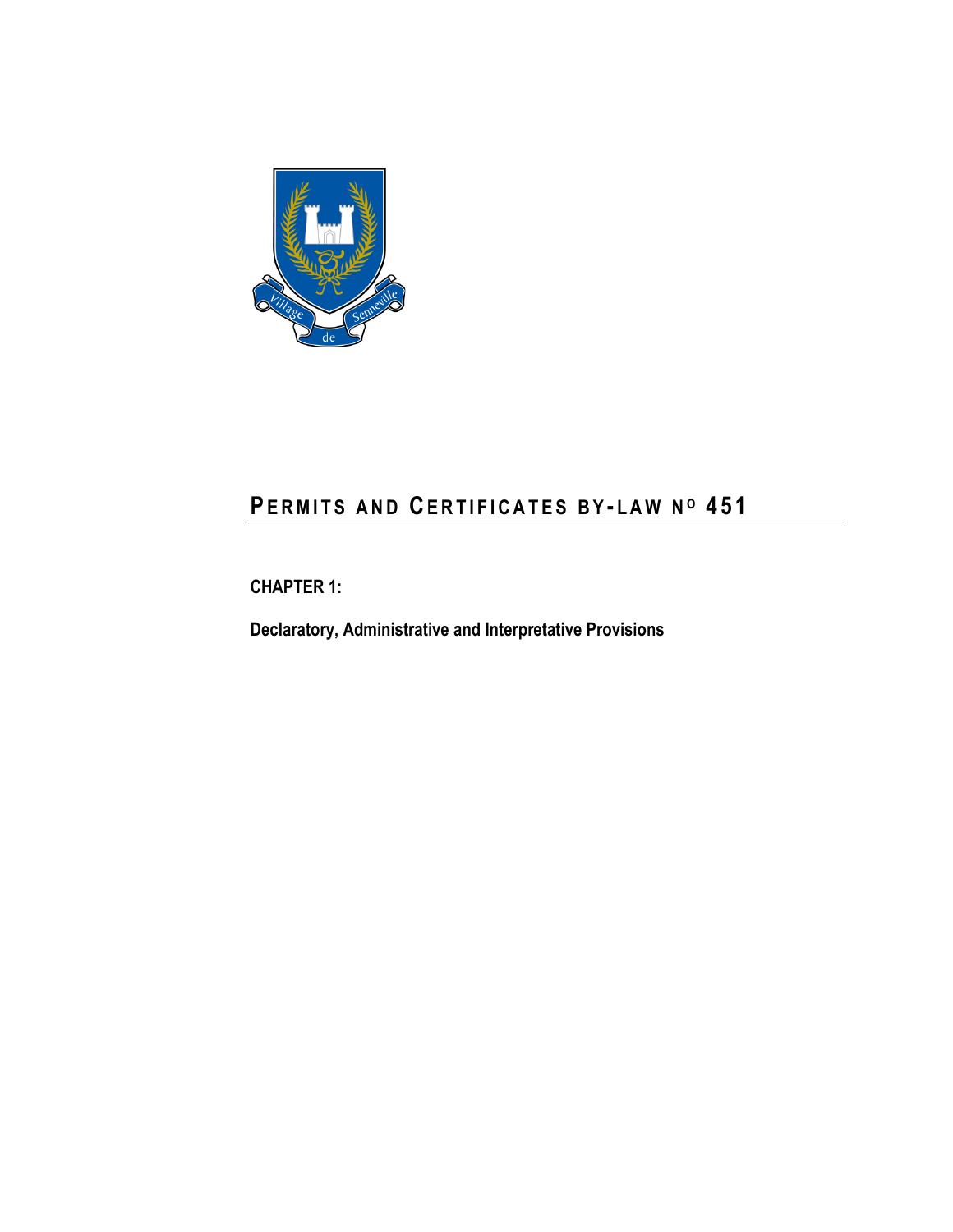

# **PE R M I T S A N D CE R T I F I C A T E S B Y - L A W N <sup>O</sup> 4 5 1**

<span id="page-8-0"></span>**CHAPTER 1:**

**Declaratory, Administrative and Interpretative Provisions**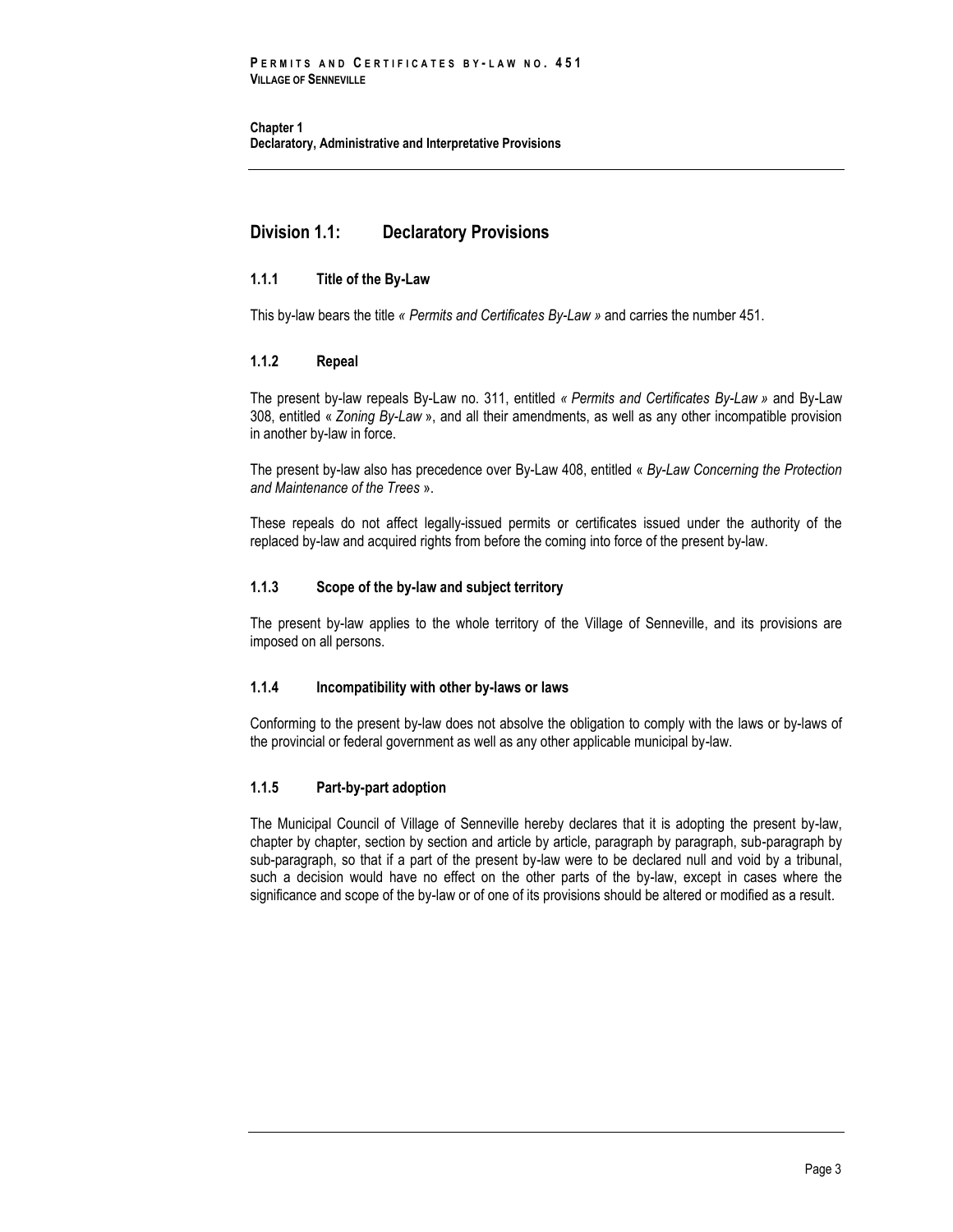# <span id="page-10-0"></span>**Division 1.1: Declaratory Provisions**

## <span id="page-10-1"></span>**1.1.1 Title of the By-Law**

<span id="page-10-2"></span>This by-law bears the title *« Permits and Certificates By-Law »* and carries the number 451.

## **1.1.2 Repeal**

The present by-law repeals By-Law no. 311, entitled *« Permits and Certificates By-Law »* and By-Law 308, entitled « *Zoning By-Law* », and all their amendments, as well as any other incompatible provision in another by-law in force.

The present by-law also has precedence over By-Law 408, entitled « *By-Law Concerning the Protection and Maintenance of the Trees* ».

These repeals do not affect legally-issued permits or certificates issued under the authority of the replaced by-law and acquired rights from before the coming into force of the present by-law.

## <span id="page-10-3"></span>**1.1.3 Scope of the by-law and subject territory**

The present by-law applies to the whole territory of the Village of Senneville, and its provisions are imposed on all persons.

## <span id="page-10-4"></span>**1.1.4 Incompatibility with other by-laws or laws**

Conforming to the present by-law does not absolve the obligation to comply with the laws or by-laws of the provincial or federal government as well as any other applicable municipal by-law.

## <span id="page-10-5"></span>**1.1.5 Part-by-part adoption**

The Municipal Council of Village of Senneville hereby declares that it is adopting the present by-law, chapter by chapter, section by section and article by article, paragraph by paragraph, sub-paragraph by sub-paragraph, so that if a part of the present by-law were to be declared null and void by a tribunal, such a decision would have no effect on the other parts of the by-law, except in cases where the significance and scope of the by-law or of one of its provisions should be altered or modified as a result.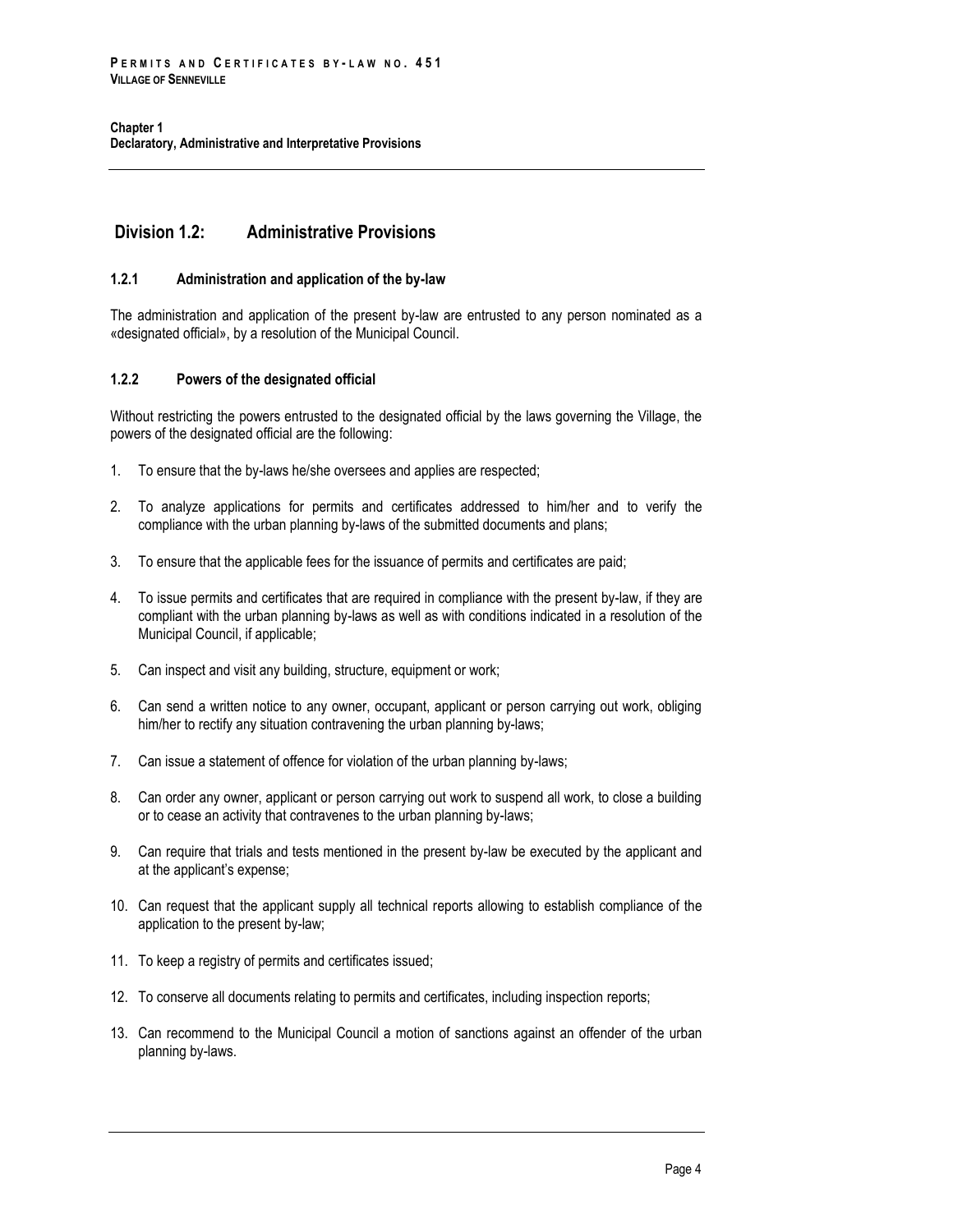# <span id="page-11-0"></span>**Division 1.2: Administrative Provisions**

## <span id="page-11-1"></span>**1.2.1 Administration and application of the by-law**

The administration and application of the present by-law are entrusted to any person nominated as a «designated official», by a resolution of the Municipal Council.

## <span id="page-11-2"></span>**1.2.2 Powers of the designated official**

Without restricting the powers entrusted to the designated official by the laws governing the Village, the powers of the designated official are the following:

- 1. To ensure that the by-laws he/she oversees and applies are respected;
- 2. To analyze applications for permits and certificates addressed to him/her and to verify the compliance with the urban planning by-laws of the submitted documents and plans;
- 3. To ensure that the applicable fees for the issuance of permits and certificates are paid;
- 4. To issue permits and certificates that are required in compliance with the present by-law, if they are compliant with the urban planning by-laws as well as with conditions indicated in a resolution of the Municipal Council, if applicable;
- 5. Can inspect and visit any building, structure, equipment or work;
- 6. Can send a written notice to any owner, occupant, applicant or person carrying out work, obliging him/her to rectify any situation contravening the urban planning by-laws;
- 7. Can issue a statement of offence for violation of the urban planning by-laws;
- 8. Can order any owner, applicant or person carrying out work to suspend all work, to close a building or to cease an activity that contravenes to the urban planning by-laws;
- 9. Can require that trials and tests mentioned in the present by-law be executed by the applicant and at the applicant's expense;
- 10. Can request that the applicant supply all technical reports allowing to establish compliance of the application to the present by-law;
- 11. To keep a registry of permits and certificates issued;
- 12. To conserve all documents relating to permits and certificates, including inspection reports;
- 13. Can recommend to the Municipal Council a motion of sanctions against an offender of the urban planning by-laws.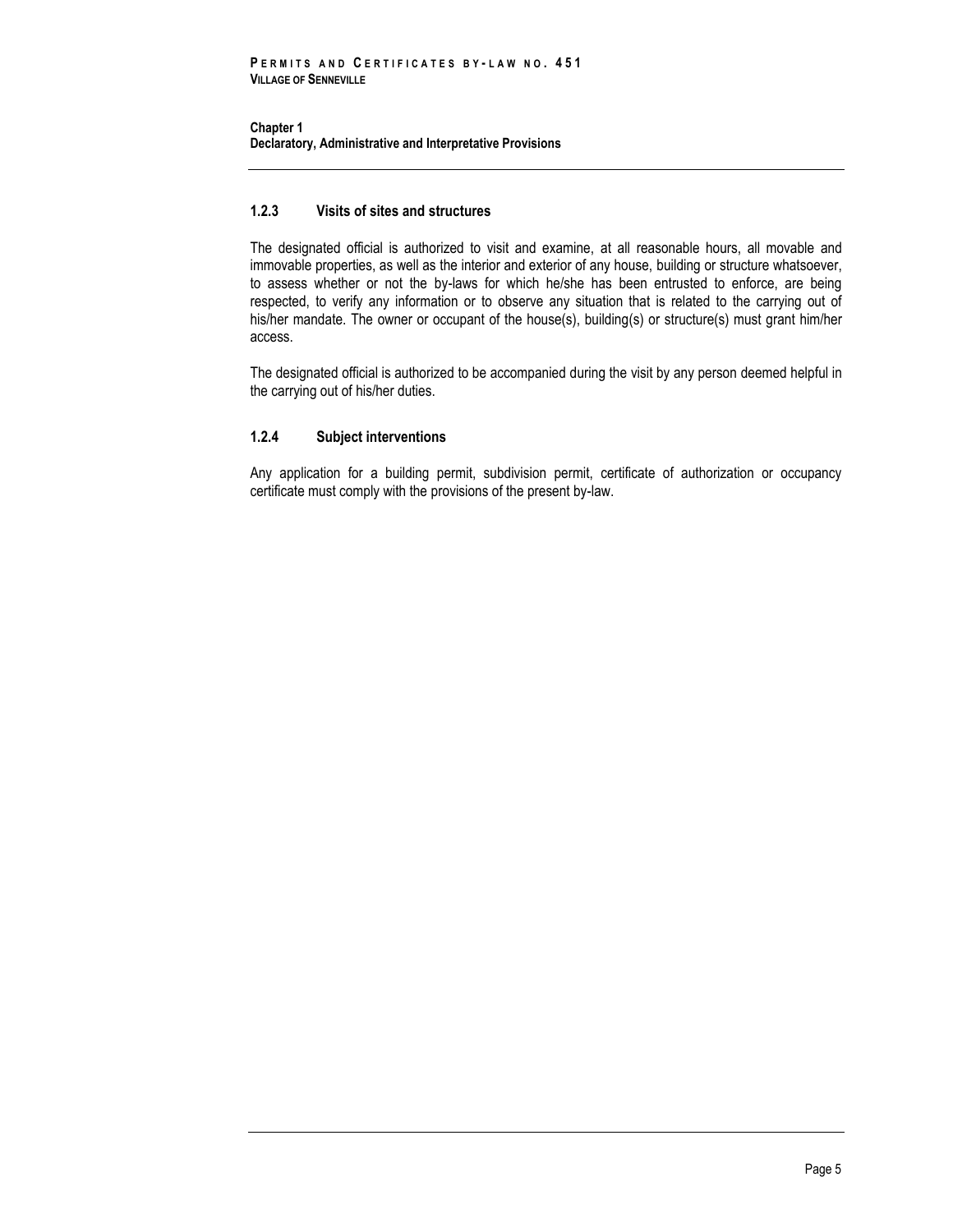## <span id="page-12-0"></span>**1.2.3 Visits of sites and structures**

The designated official is authorized to visit and examine, at all reasonable hours, all movable and immovable properties, as well as the interior and exterior of any house, building or structure whatsoever, to assess whether or not the by-laws for which he/she has been entrusted to enforce, are being respected, to verify any information or to observe any situation that is related to the carrying out of his/her mandate. The owner or occupant of the house(s), building(s) or structure(s) must grant him/her access.

The designated official is authorized to be accompanied during the visit by any person deemed helpful in the carrying out of his/her duties.

## <span id="page-12-1"></span>**1.2.4 Subject interventions**

Any application for a building permit, subdivision permit, certificate of authorization or occupancy certificate must comply with the provisions of the present by-law.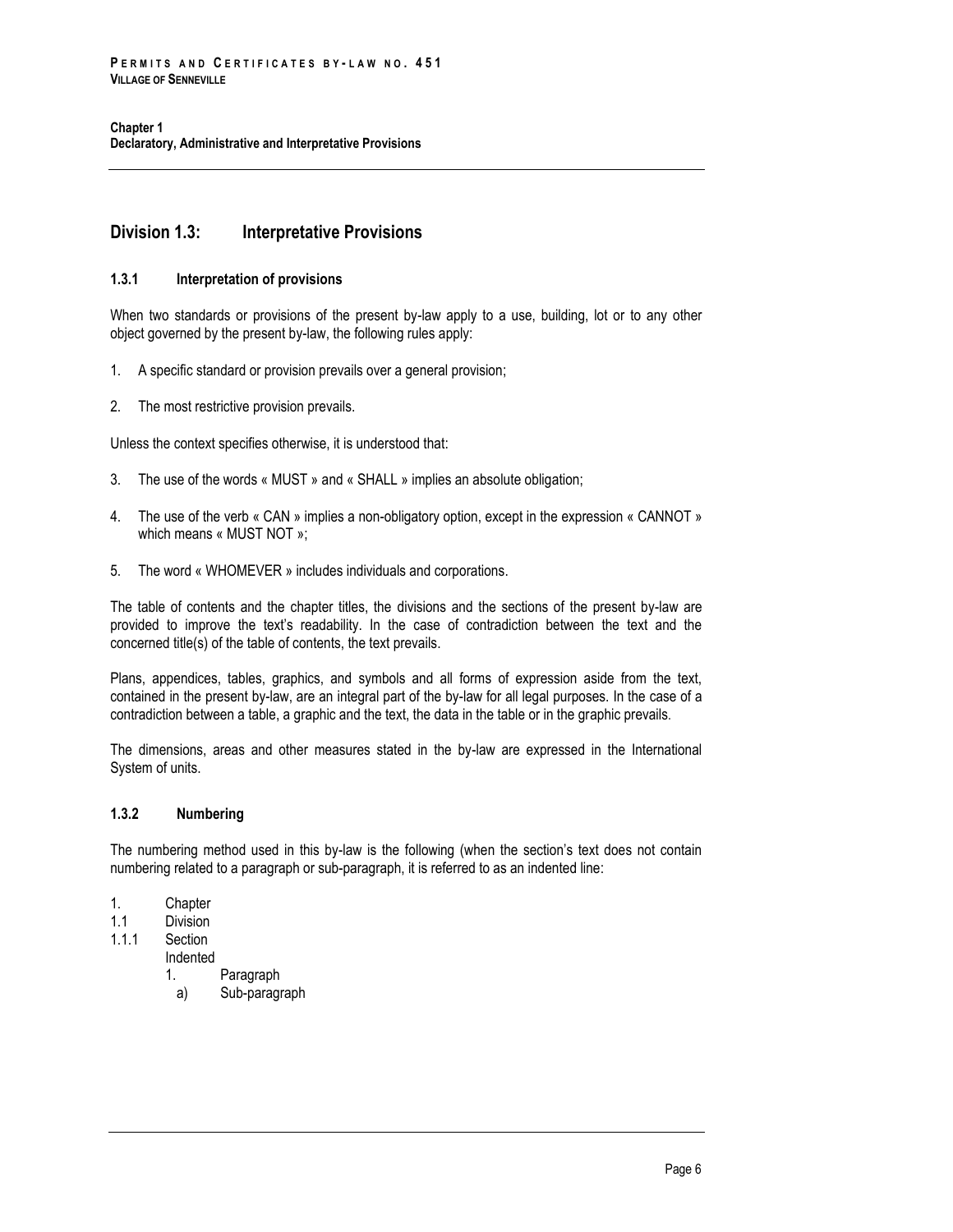# <span id="page-13-0"></span>**Division 1.3: Interpretative Provisions**

## <span id="page-13-1"></span>**1.3.1 Interpretation of provisions**

When two standards or provisions of the present by-law apply to a use, building, lot or to any other object governed by the present by-law, the following rules apply:

- 1. A specific standard or provision prevails over a general provision;
- 2. The most restrictive provision prevails.

Unless the context specifies otherwise, it is understood that:

- 3. The use of the words « MUST » and « SHALL » implies an absolute obligation;
- 4. The use of the verb « CAN » implies a non-obligatory option, except in the expression « CANNOT » which means « MUST NOT »;
- 5. The word « WHOMEVER » includes individuals and corporations.

The table of contents and the chapter titles, the divisions and the sections of the present by-law are provided to improve the text's readability. In the case of contradiction between the text and the concerned title(s) of the table of contents, the text prevails.

Plans, appendices, tables, graphics, and symbols and all forms of expression aside from the text, contained in the present by-law, are an integral part of the by-law for all legal purposes. In the case of a contradiction between a table, a graphic and the text, the data in the table or in the graphic prevails.

The dimensions, areas and other measures stated in the by-law are expressed in the International System of units.

## <span id="page-13-2"></span>**1.3.2 Numbering**

The numbering method used in this by-law is the following (when the section's text does not contain numbering related to a paragraph or sub-paragraph, it is referred to as an indented line:

- 1. Chapter
- 1.1 Division
- 1.1.1 Section
- Indented
	- 1. Paragraph
	- a) Sub-paragraph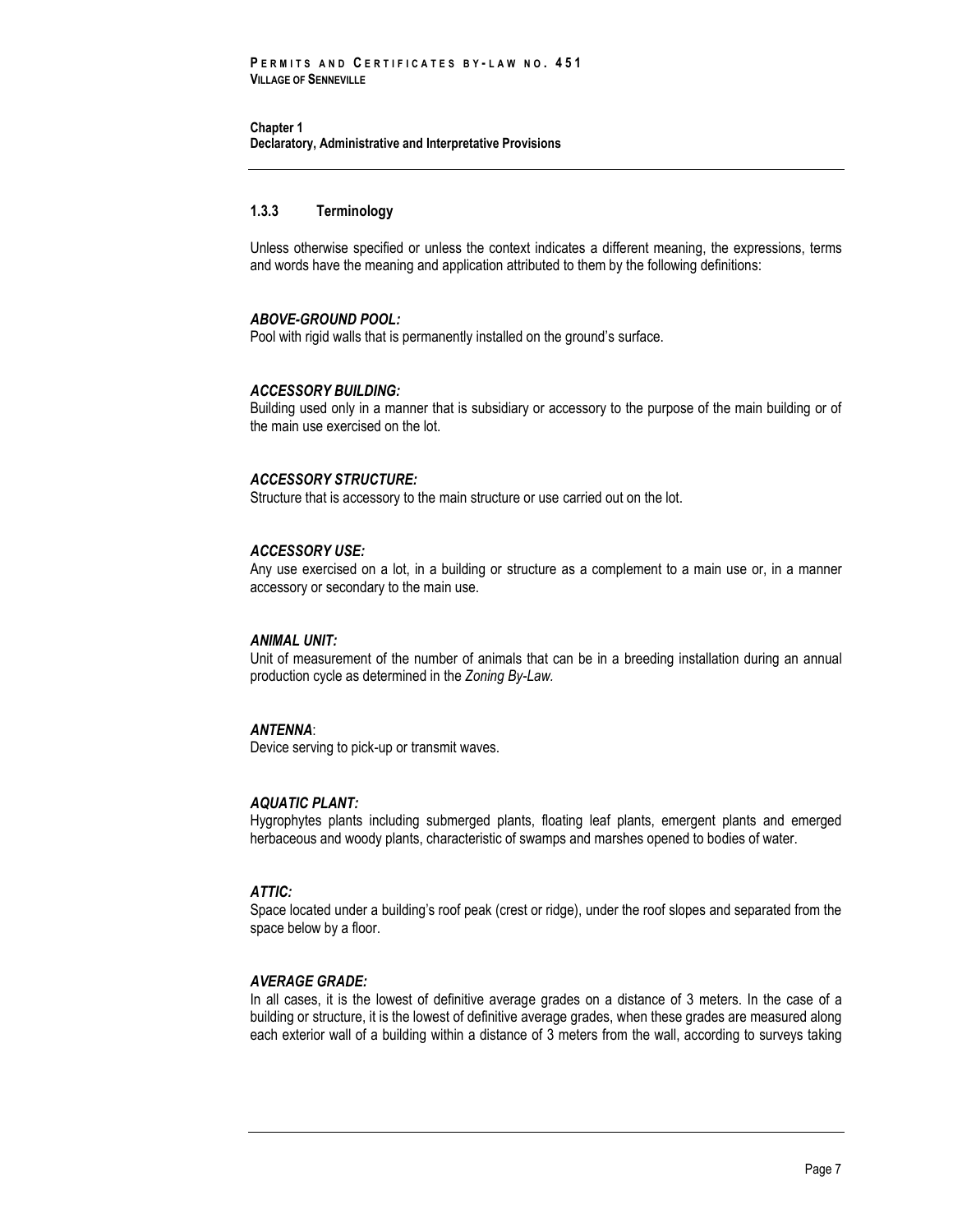## <span id="page-14-0"></span>**1.3.3 Terminology**

Unless otherwise specified or unless the context indicates a different meaning, the expressions, terms and words have the meaning and application attributed to them by the following definitions:

## *ABOVE-GROUND POOL:*

Pool with rigid walls that is permanently installed on the ground's surface.

#### *ACCESSORY BUILDING:*

Building used only in a manner that is subsidiary or accessory to the purpose of the main building or of the main use exercised on the lot.

#### *ACCESSORY STRUCTURE:*

Structure that is accessory to the main structure or use carried out on the lot.

#### *ACCESSORY USE:*

Any use exercised on a lot, in a building or structure as a complement to a main use or, in a manner accessory or secondary to the main use.

#### *ANIMAL UNIT:*

Unit of measurement of the number of animals that can be in a breeding installation during an annual production cycle as determined in the *Zoning By-Law.*

#### *ANTENNA*:

Device serving to pick-up or transmit waves.

#### *AQUATIC PLANT:*

Hygrophytes plants including submerged plants, floating leaf plants, emergent plants and emerged herbaceous and woody plants, characteristic of swamps and marshes opened to bodies of water.

## *ATTIC:*

Space located under a building's roof peak (crest or ridge), under the roof slopes and separated from the space below by a floor.

#### *AVERAGE GRADE:*

In all cases, it is the lowest of definitive average grades on a distance of 3 meters. In the case of a building or structure, it is the lowest of definitive average grades, when these grades are measured along each exterior wall of a building within a distance of 3 meters from the wall, according to surveys taking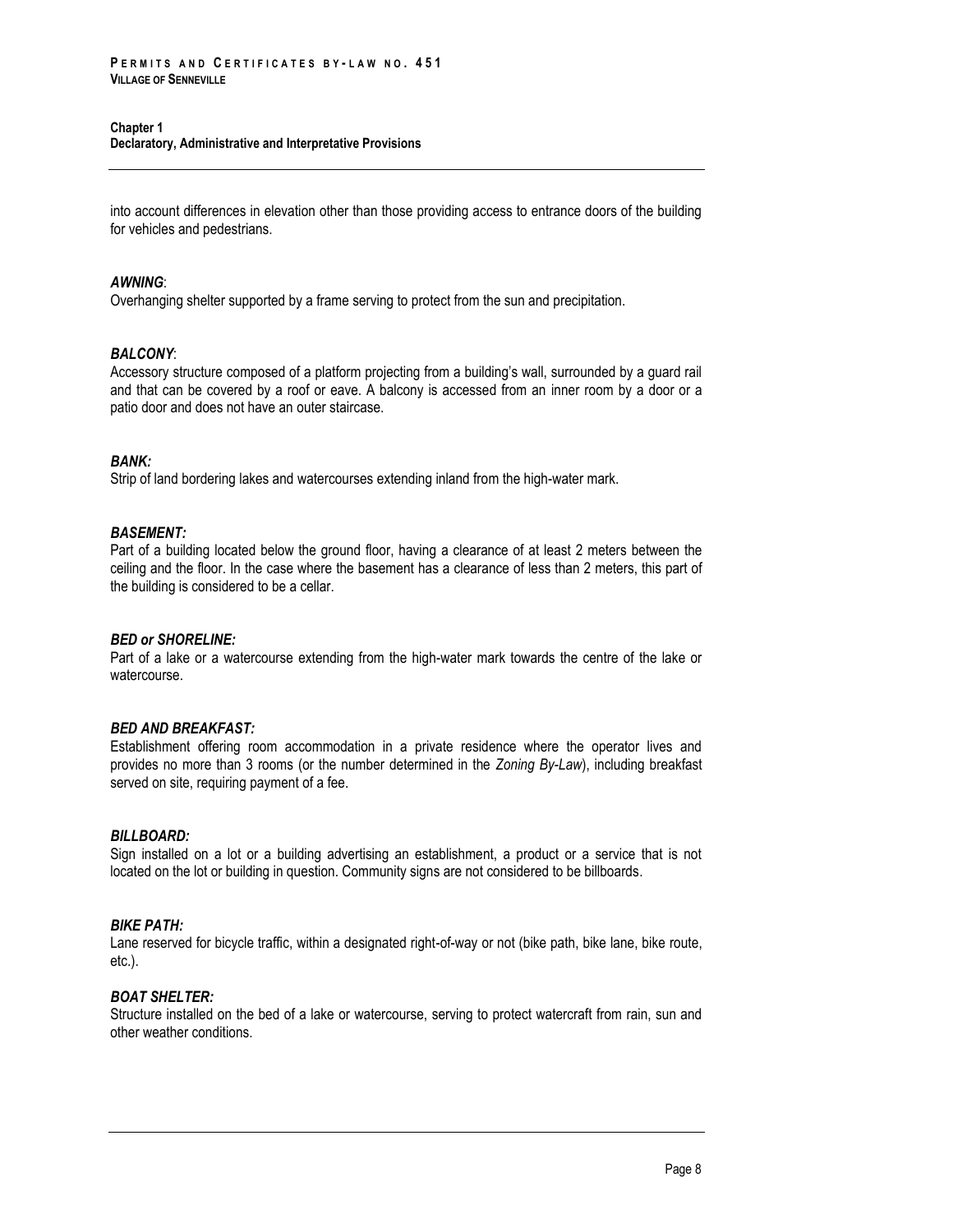#### **Chapter 1**

**Declaratory, Administrative and Interpretative Provisions**

into account differences in elevation other than those providing access to entrance doors of the building for vehicles and pedestrians.

## *AWNING*:

Overhanging shelter supported by a frame serving to protect from the sun and precipitation.

#### *BALCONY*:

Accessory structure composed of a platform projecting from a building's wall, surrounded by a guard rail and that can be covered by a roof or eave. A balcony is accessed from an inner room by a door or a patio door and does not have an outer staircase.

#### *BANK:*

Strip of land bordering lakes and watercourses extending inland from the high-water mark.

#### *BASEMENT:*

Part of a building located below the ground floor, having a clearance of at least 2 meters between the ceiling and the floor. In the case where the basement has a clearance of less than 2 meters, this part of the building is considered to be a cellar.

#### *BED or SHORELINE:*

Part of a lake or a watercourse extending from the high-water mark towards the centre of the lake or watercourse.

## *BED AND BREAKFAST:*

Establishment offering room accommodation in a private residence where the operator lives and provides no more than 3 rooms (or the number determined in the *Zoning By-Law*), including breakfast served on site, requiring payment of a fee.

#### *BILLBOARD:*

Sign installed on a lot or a building advertising an establishment, a product or a service that is not located on the lot or building in question. Community signs are not considered to be billboards.

## *BIKE PATH:*

Lane reserved for bicycle traffic, within a designated right-of-way or not (bike path, bike lane, bike route, etc.).

#### *BOAT SHELTER:*

Structure installed on the bed of a lake or watercourse, serving to protect watercraft from rain, sun and other weather conditions.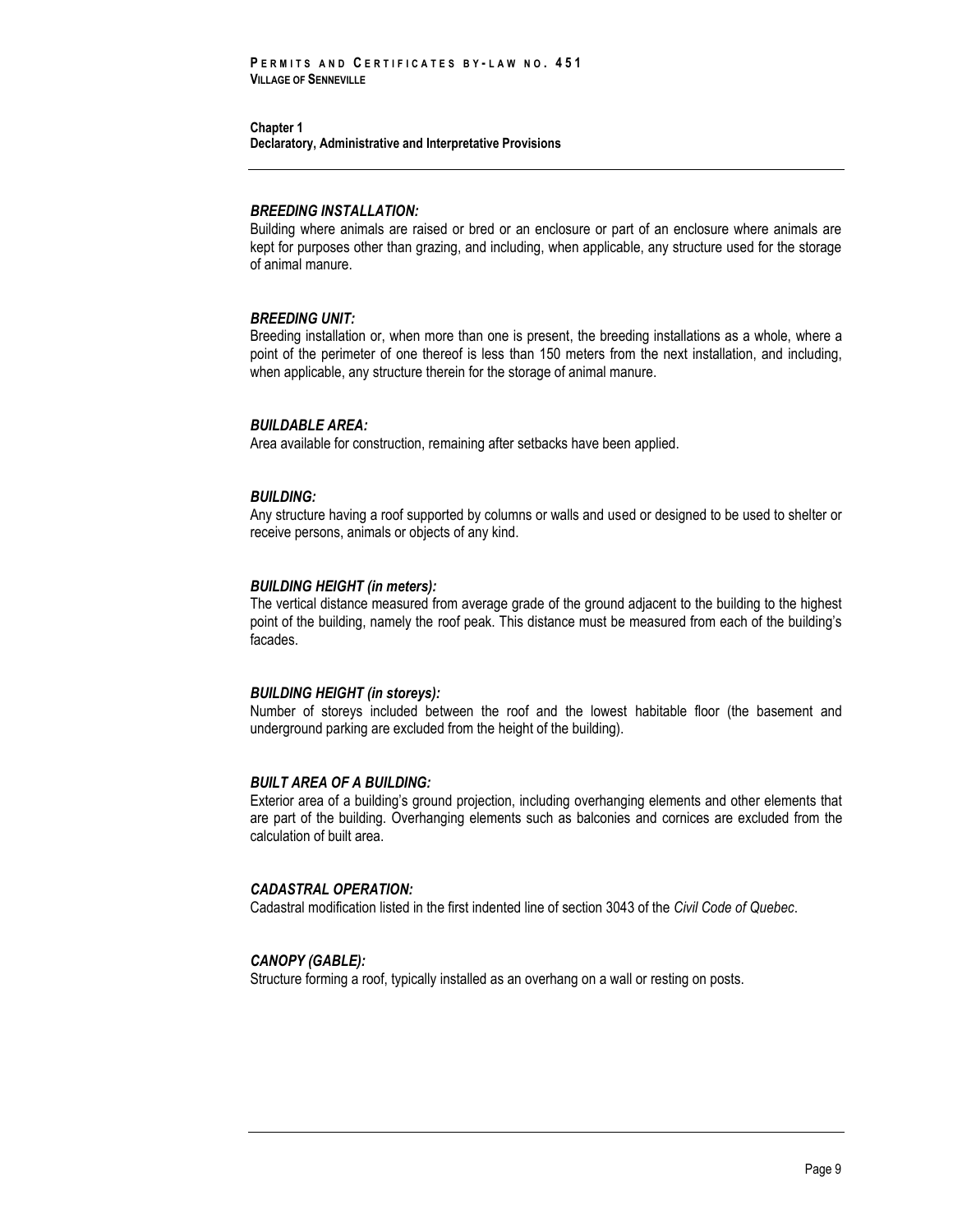#### *BREEDING INSTALLATION:*

Building where animals are raised or bred or an enclosure or part of an enclosure where animals are kept for purposes other than grazing, and including, when applicable, any structure used for the storage of animal manure.

## *BREEDING UNIT:*

Breeding installation or, when more than one is present, the breeding installations as a whole, where a point of the perimeter of one thereof is less than 150 meters from the next installation, and including, when applicable, any structure therein for the storage of animal manure.

#### *BUILDABLE AREA:*

Area available for construction, remaining after setbacks have been applied.

#### *BUILDING:*

Any structure having a roof supported by columns or walls and used or designed to be used to shelter or receive persons, animals or objects of any kind.

#### *BUILDING HEIGHT (in meters):*

The vertical distance measured from average grade of the ground adjacent to the building to the highest point of the building, namely the roof peak. This distance must be measured from each of the building's facades.

## *BUILDING HEIGHT (in storeys):*

Number of storeys included between the roof and the lowest habitable floor (the basement and underground parking are excluded from the height of the building).

#### *BUILT AREA OF A BUILDING:*

Exterior area of a building's ground projection, including overhanging elements and other elements that are part of the building. Overhanging elements such as balconies and cornices are excluded from the calculation of built area.

## *CADASTRAL OPERATION:*

Cadastral modification listed in the first indented line of section 3043 of the *Civil Code of Quebec*.

## *CANOPY (GABLE):*

Structure forming a roof, typically installed as an overhang on a wall or resting on posts.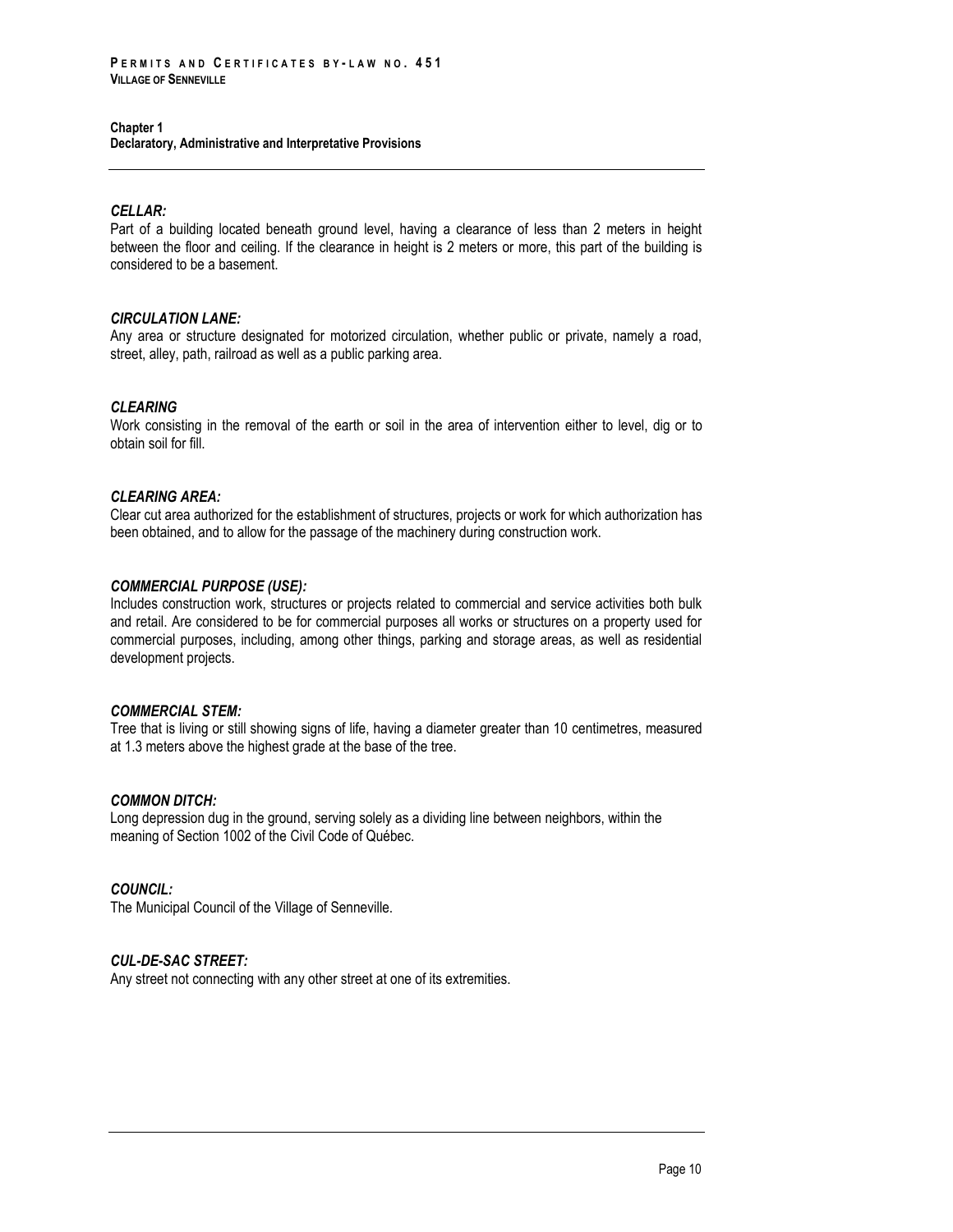## **Chapter 1**

**Declaratory, Administrative and Interpretative Provisions**

## *CELLAR:*

Part of a building located beneath ground level, having a clearance of less than 2 meters in height between the floor and ceiling. If the clearance in height is 2 meters or more, this part of the building is considered to be a basement.

## *CIRCULATION LANE:*

Any area or structure designated for motorized circulation, whether public or private, namely a road, street, alley, path, railroad as well as a public parking area.

## *CLEARING*

Work consisting in the removal of the earth or soil in the area of intervention either to level, dig or to obtain soil for fill.

## *CLEARING AREA:*

Clear cut area authorized for the establishment of structures, projects or work for which authorization has been obtained, and to allow for the passage of the machinery during construction work.

## *COMMERCIAL PURPOSE (USE):*

Includes construction work, structures or projects related to commercial and service activities both bulk and retail. Are considered to be for commercial purposes all works or structures on a property used for commercial purposes, including, among other things, parking and storage areas, as well as residential development projects.

## *COMMERCIAL STEM:*

Tree that is living or still showing signs of life, having a diameter greater than 10 centimetres, measured at 1.3 meters above the highest grade at the base of the tree.

## *COMMON DITCH:*

Long depression dug in the ground, serving solely as a dividing line between neighbors, within the meaning of Section 1002 of the Civil Code of Québec.

## *COUNCIL:*

The Municipal Council of the Village of Senneville.

## *CUL-DE-SAC STREET:*

Any street not connecting with any other street at one of its extremities.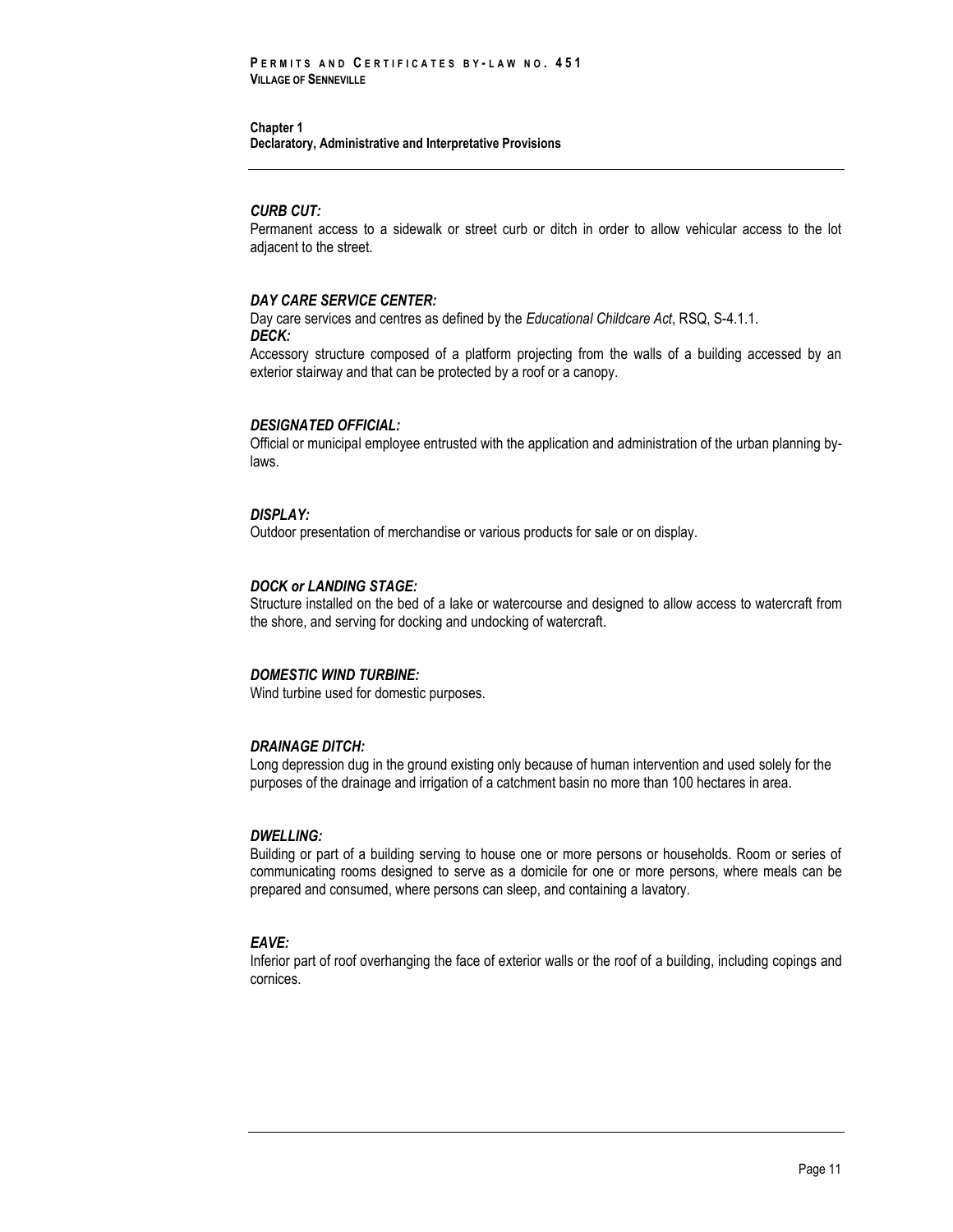#### *CURB CUT:*

Permanent access to a sidewalk or street curb or ditch in order to allow vehicular access to the lot adjacent to the street.

#### *DAY CARE SERVICE CENTER:*

Day care services and centres as defined by the *Educational Childcare Act*, RSQ, S-4.1.1. *DECK:*

Accessory structure composed of a platform projecting from the walls of a building accessed by an exterior stairway and that can be protected by a roof or a canopy.

#### *DESIGNATED OFFICIAL:*

Official or municipal employee entrusted with the application and administration of the urban planning bylaws.

## *DISPLAY:*

Outdoor presentation of merchandise or various products for sale or on display.

#### *DOCK or LANDING STAGE:*

Structure installed on the bed of a lake or watercourse and designed to allow access to watercraft from the shore, and serving for docking and undocking of watercraft.

## *DOMESTIC WIND TURBINE:*

Wind turbine used for domestic purposes.

#### *DRAINAGE DITCH:*

Long depression dug in the ground existing only because of human intervention and used solely for the purposes of the drainage and irrigation of a catchment basin no more than 100 hectares in area.

#### *DWELLING:*

Building or part of a building serving to house one or more persons or households. Room or series of communicating rooms designed to serve as a domicile for one or more persons, where meals can be prepared and consumed, where persons can sleep, and containing a lavatory.

## *EAVE:*

Inferior part of roof overhanging the face of exterior walls or the roof of a building, including copings and cornices.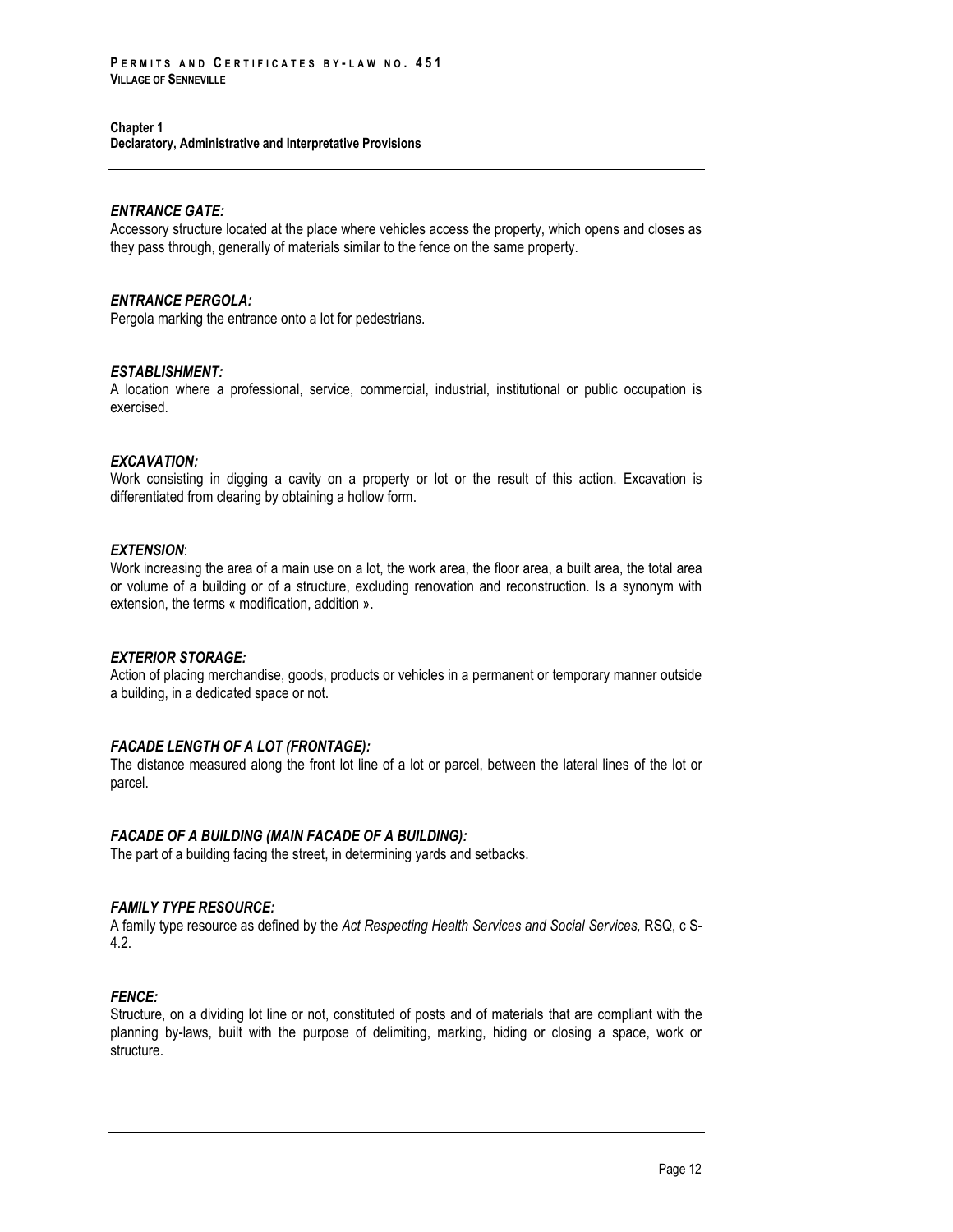## *ENTRANCE GATE:*

Accessory structure located at the place where vehicles access the property, which opens and closes as they pass through, generally of materials similar to the fence on the same property.

#### *ENTRANCE PERGOLA:*

Pergola marking the entrance onto a lot for pedestrians.

#### *ESTABLISHMENT:*

A location where a professional, service, commercial, industrial, institutional or public occupation is exercised.

## *EXCAVATION:*

Work consisting in digging a cavity on a property or lot or the result of this action. Excavation is differentiated from clearing by obtaining a hollow form.

## *EXTENSION*:

Work increasing the area of a main use on a lot, the work area, the floor area, a built area, the total area or volume of a building or of a structure, excluding renovation and reconstruction. Is a synonym with extension, the terms « modification, addition ».

#### *EXTERIOR STORAGE:*

Action of placing merchandise, goods, products or vehicles in a permanent or temporary manner outside a building, in a dedicated space or not.

## *FACADE LENGTH OF A LOT (FRONTAGE):*

The distance measured along the front lot line of a lot or parcel, between the lateral lines of the lot or parcel.

## *FACADE OF A BUILDING (MAIN FACADE OF A BUILDING):*

The part of a building facing the street, in determining yards and setbacks.

## *FAMILY TYPE RESOURCE:*

A family type resource as defined by the *Act Respecting Health Services and Social Services,* RSQ, c S-4.2.

## *FENCE:*

Structure, on a dividing lot line or not, constituted of posts and of materials that are compliant with the planning by-laws, built with the purpose of delimiting, marking, hiding or closing a space, work or structure.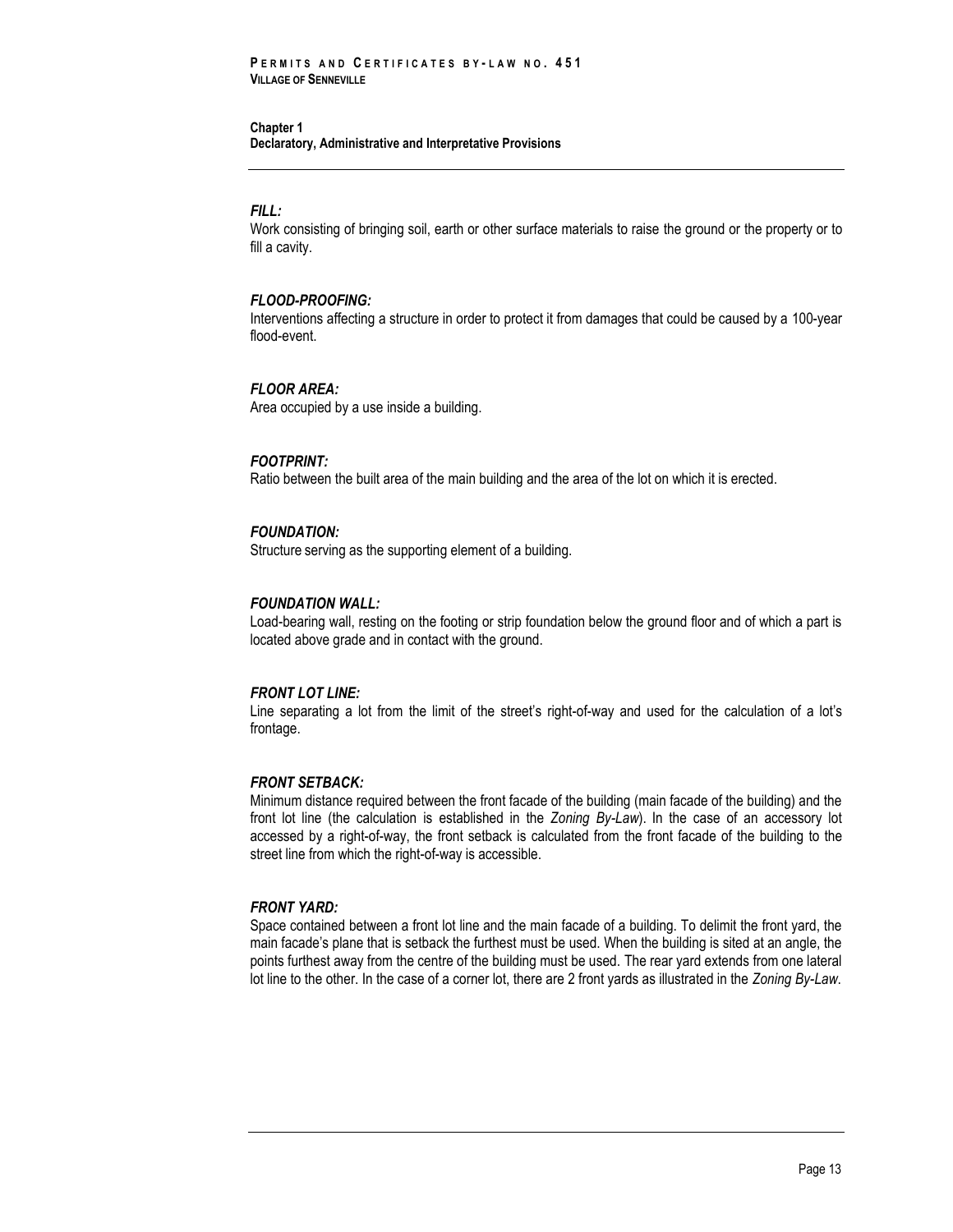#### *FILL:*

Work consisting of bringing soil, earth or other surface materials to raise the ground or the property or to fill a cavity.

## *FLOOD-PROOFING:*

Interventions affecting a structure in order to protect it from damages that could be caused by a 100-year flood-event.

#### *FLOOR AREA:*

Area occupied by a use inside a building.

#### *FOOTPRINT:*

Ratio between the built area of the main building and the area of the lot on which it is erected.

#### *FOUNDATION:*

Structure serving as the supporting element of a building.

#### *FOUNDATION WALL:*

Load-bearing wall, resting on the footing or strip foundation below the ground floor and of which a part is located above grade and in contact with the ground.

#### *FRONT LOT LINE:*

Line separating a lot from the limit of the street's right-of-way and used for the calculation of a lot's frontage.

#### *FRONT SETBACK:*

Minimum distance required between the front facade of the building (main facade of the building) and the front lot line (the calculation is established in the *Zoning By-Law*). In the case of an accessory lot accessed by a right-of-way, the front setback is calculated from the front facade of the building to the street line from which the right-of-way is accessible.

#### *FRONT YARD:*

Space contained between a front lot line and the main facade of a building. To delimit the front yard, the main facade's plane that is setback the furthest must be used. When the building is sited at an angle, the points furthest away from the centre of the building must be used. The rear yard extends from one lateral lot line to the other. In the case of a corner lot, there are 2 front yards as illustrated in the *Zoning By-Law*.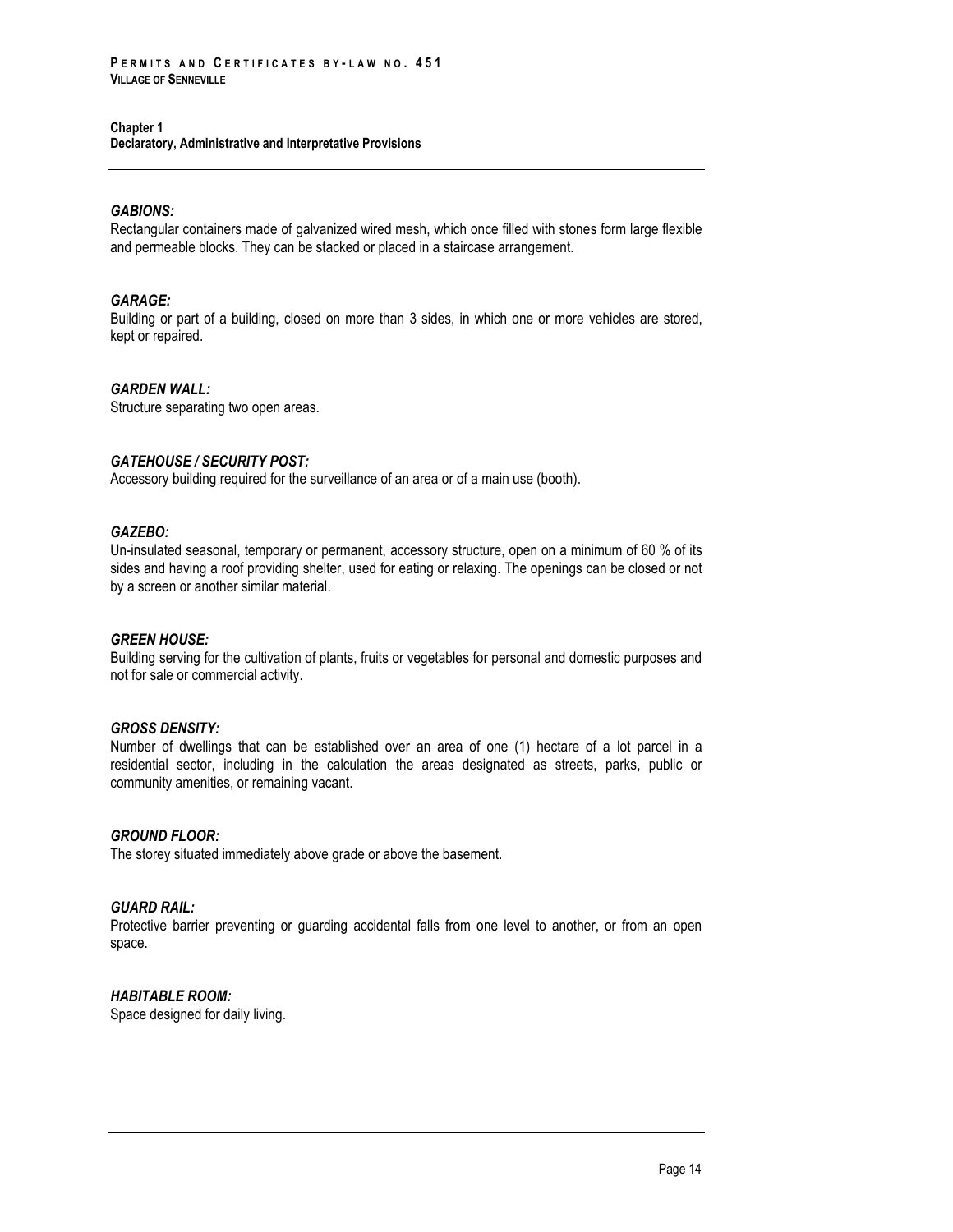## *GABIONS:*

Rectangular containers made of galvanized wired mesh, which once filled with stones form large flexible and permeable blocks. They can be stacked or placed in a staircase arrangement.

#### *GARAGE:*

Building or part of a building, closed on more than 3 sides, in which one or more vehicles are stored, kept or repaired.

#### *GARDEN WALL:*

Structure separating two open areas.

## *GATEHOUSE / SECURITY POST:*

Accessory building required for the surveillance of an area or of a main use (booth).

## *GAZEBO:*

Un-insulated seasonal, temporary or permanent, accessory structure, open on a minimum of 60 % of its sides and having a roof providing shelter, used for eating or relaxing. The openings can be closed or not by a screen or another similar material.

## *GREEN HOUSE:*

Building serving for the cultivation of plants, fruits or vegetables for personal and domestic purposes and not for sale or commercial activity.

## *GROSS DENSITY:*

Number of dwellings that can be established over an area of one (1) hectare of a lot parcel in a residential sector, including in the calculation the areas designated as streets, parks, public or community amenities, or remaining vacant.

## *GROUND FLOOR:*

The storey situated immediately above grade or above the basement.

## *GUARD RAIL:*

Protective barrier preventing or guarding accidental falls from one level to another, or from an open space.

## *HABITABLE ROOM:*

Space designed for daily living.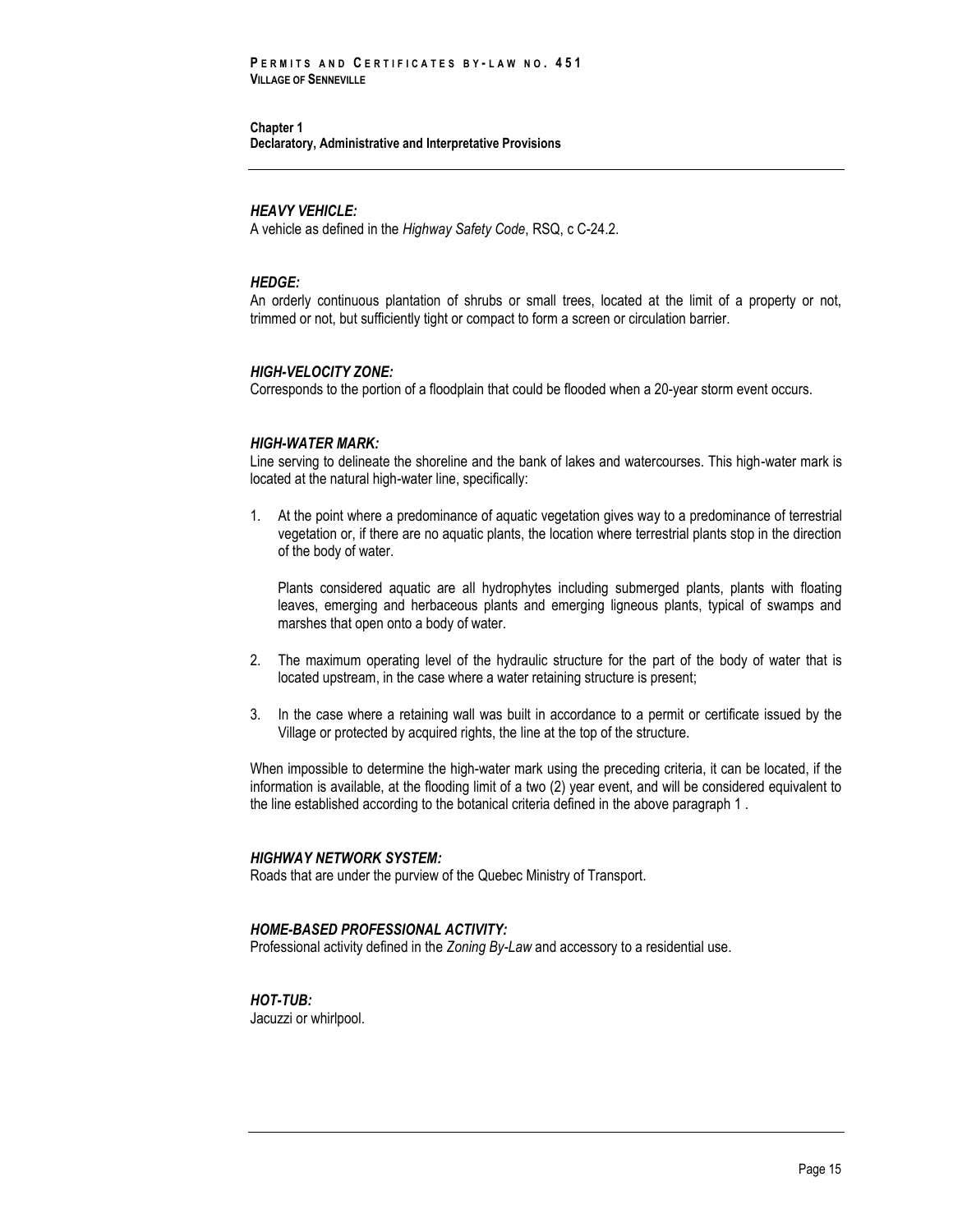#### *HEAVY VEHICLE:*

A vehicle as defined in the *Highway Safety Code*, RSQ, c C-24.2.

#### *HEDGE:*

An orderly continuous plantation of shrubs or small trees, located at the limit of a property or not, trimmed or not, but sufficiently tight or compact to form a screen or circulation barrier.

#### *HIGH-VELOCITY ZONE:*

Corresponds to the portion of a floodplain that could be flooded when a 20-year storm event occurs.

#### *HIGH-WATER MARK:*

Line serving to delineate the shoreline and the bank of lakes and watercourses. This high-water mark is located at the natural high-water line, specifically:

1. At the point where a predominance of aquatic vegetation gives way to a predominance of terrestrial vegetation or, if there are no aquatic plants, the location where terrestrial plants stop in the direction of the body of water.

Plants considered aquatic are all hydrophytes including submerged plants, plants with floating leaves, emerging and herbaceous plants and emerging ligneous plants, typical of swamps and marshes that open onto a body of water.

- 2. The maximum operating level of the hydraulic structure for the part of the body of water that is located upstream, in the case where a water retaining structure is present;
- 3. In the case where a retaining wall was built in accordance to a permit or certificate issued by the Village or protected by acquired rights, the line at the top of the structure.

When impossible to determine the high-water mark using the preceding criteria, it can be located, if the information is available, at the flooding limit of a two (2) year event, and will be considered equivalent to the line established according to the botanical criteria defined in the above paragraph 1 .

#### *HIGHWAY NETWORK SYSTEM:*

Roads that are under the purview of the Quebec Ministry of Transport.

#### *HOME-BASED PROFESSIONAL ACTIVITY:*

Professional activity defined in the *Zoning By-Law* and accessory to a residential use.

## *HOT-TUB:*

Jacuzzi or whirlpool.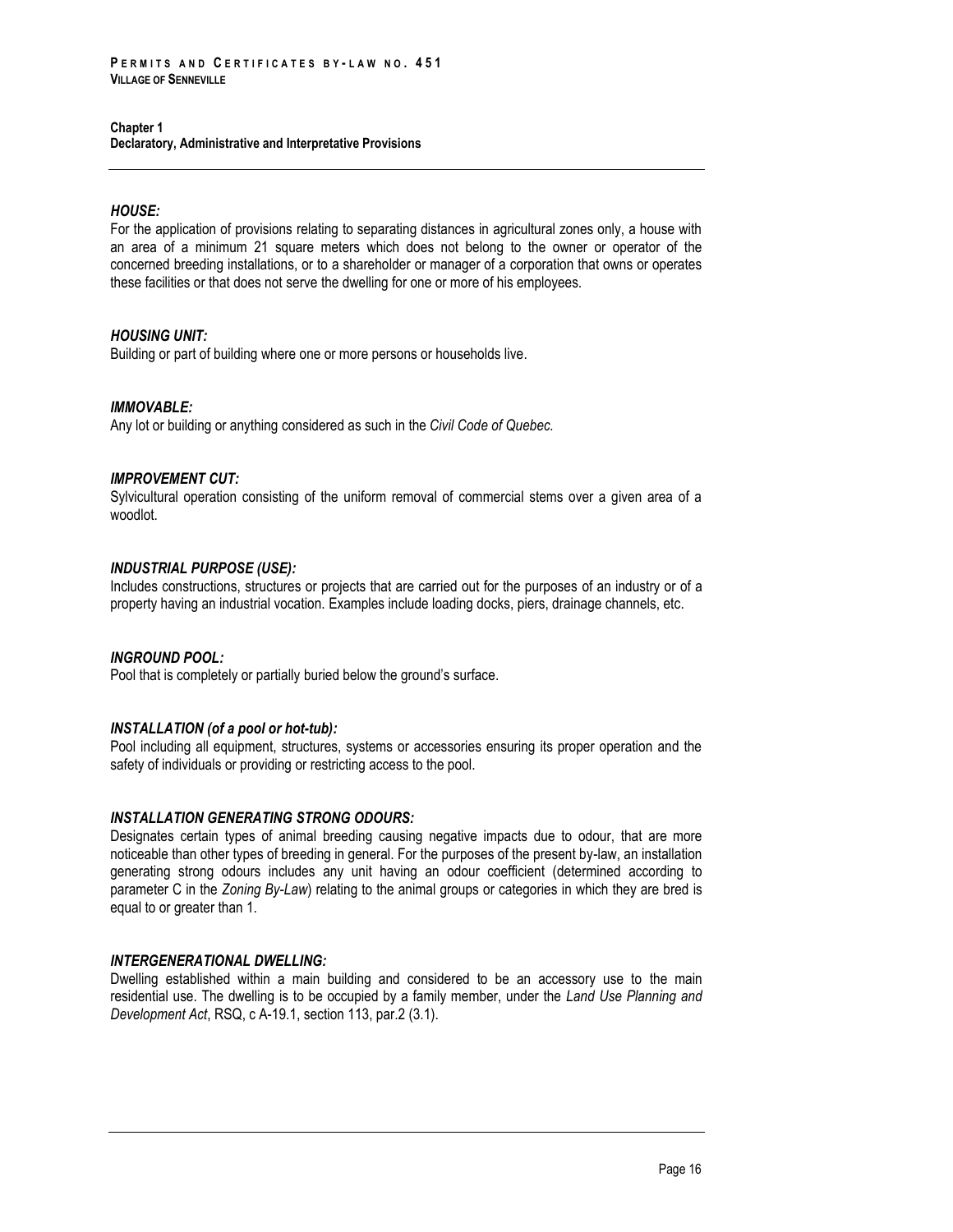## *HOUSE:*

For the application of provisions relating to separating distances in agricultural zones only, a house with an area of a minimum 21 square meters which does not belong to the owner or operator of the concerned breeding installations, or to a shareholder or manager of a corporation that owns or operates these facilities or that does not serve the dwelling for one or more of his employees.

## *HOUSING UNIT:*

Building or part of building where one or more persons or households live.

## *IMMOVABLE:*

Any lot or building or anything considered as such in the *Civil Code of Quebec.*

## *IMPROVEMENT CUT:*

Sylvicultural operation consisting of the uniform removal of commercial stems over a given area of a woodlot.

## *INDUSTRIAL PURPOSE (USE):*

Includes constructions, structures or projects that are carried out for the purposes of an industry or of a property having an industrial vocation. Examples include loading docks, piers, drainage channels, etc.

## *INGROUND POOL:*

Pool that is completely or partially buried below the ground's surface.

## *INSTALLATION (of a pool or hot-tub):*

Pool including all equipment, structures, systems or accessories ensuring its proper operation and the safety of individuals or providing or restricting access to the pool.

## *INSTALLATION GENERATING STRONG ODOURS:*

Designates certain types of animal breeding causing negative impacts due to odour, that are more noticeable than other types of breeding in general. For the purposes of the present by-law, an installation generating strong odours includes any unit having an odour coefficient (determined according to parameter C in the *Zoning By-Law*) relating to the animal groups or categories in which they are bred is equal to or greater than 1.

## *INTERGENERATIONAL DWELLING:*

Dwelling established within a main building and considered to be an accessory use to the main residential use. The dwelling is to be occupied by a family member, under the *Land Use Planning and Development Act*, RSQ, c A-19.1, section 113, par.2 (3.1).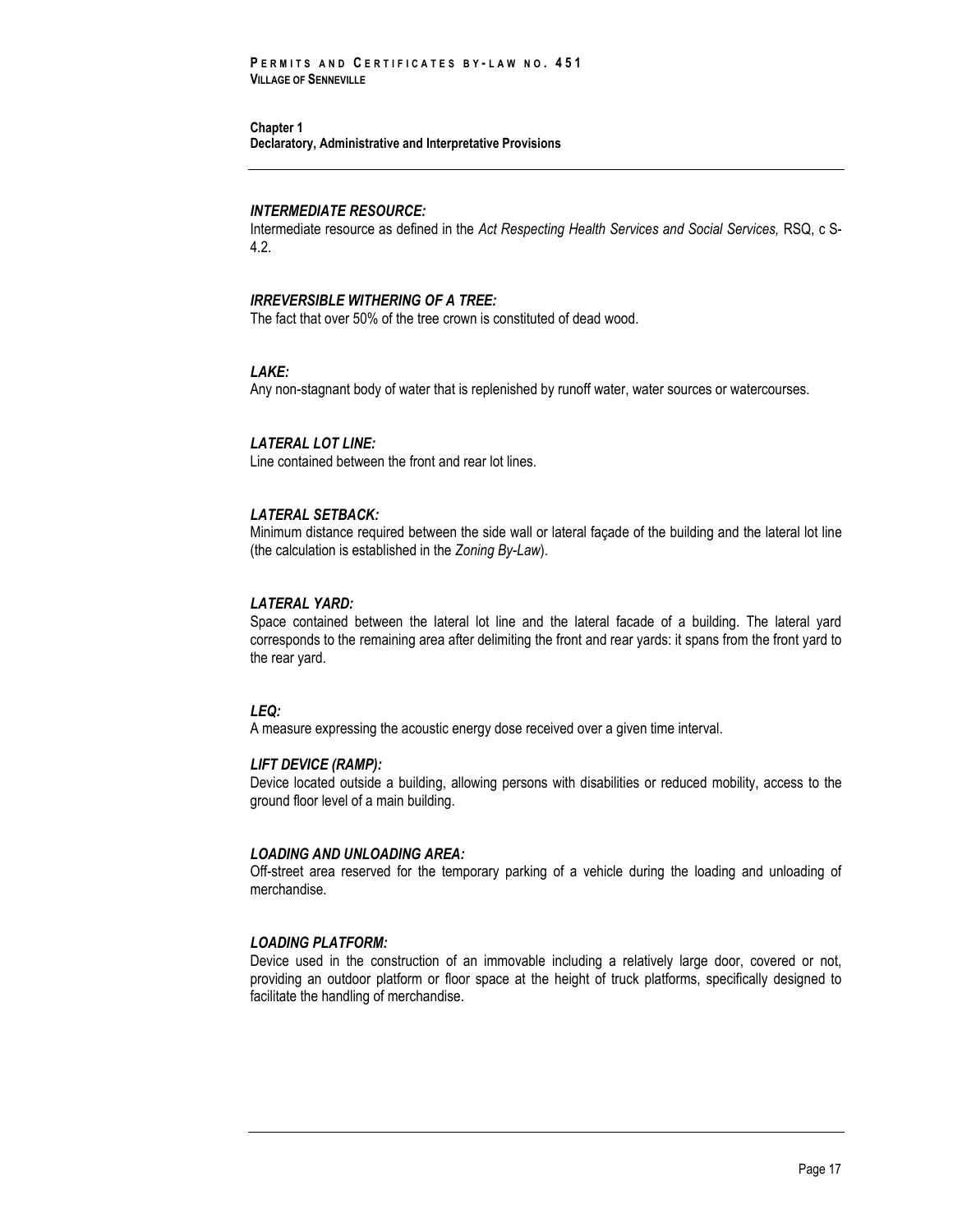#### *INTERMEDIATE RESOURCE:*

Intermediate resource as defined in the *Act Respecting Health Services and Social Services,* RSQ, c S-4.2.

## *IRREVERSIBLE WITHERING OF A TREE:*

The fact that over 50% of the tree crown is constituted of dead wood.

## *LAKE:*

Any non-stagnant body of water that is replenished by runoff water, water sources or watercourses.

#### *LATERAL LOT LINE:*

Line contained between the front and rear lot lines.

## *LATERAL SETBACK:*

Minimum distance required between the side wall or lateral façade of the building and the lateral lot line (the calculation is established in the *Zoning By-Law*).

#### *LATERAL YARD:*

Space contained between the lateral lot line and the lateral facade of a building. The lateral yard corresponds to the remaining area after delimiting the front and rear yards: it spans from the front yard to the rear yard.

#### *LEQ:*

A measure expressing the acoustic energy dose received over a given time interval.

#### *LIFT DEVICE (RAMP):*

Device located outside a building, allowing persons with disabilities or reduced mobility, access to the ground floor level of a main building.

#### *LOADING AND UNLOADING AREA:*

Off-street area reserved for the temporary parking of a vehicle during the loading and unloading of merchandise.

## *LOADING PLATFORM:*

Device used in the construction of an immovable including a relatively large door, covered or not, providing an outdoor platform or floor space at the height of truck platforms, specifically designed to facilitate the handling of merchandise.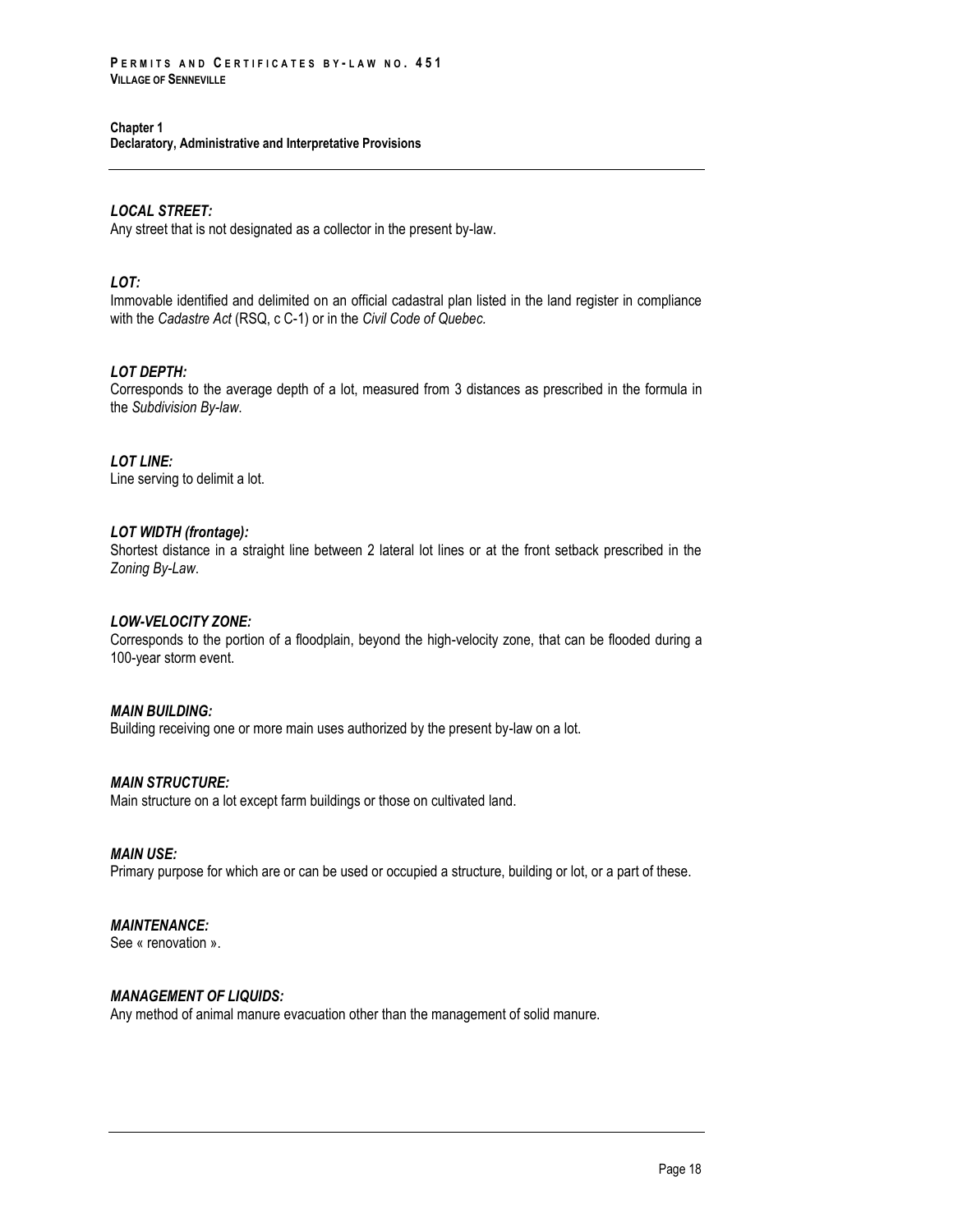## *LOCAL STREET:*

Any street that is not designated as a collector in the present by-law.

## *LOT:*

Immovable identified and delimited on an official cadastral plan listed in the land register in compliance with the *Cadastre Act* (RSQ, c C-1) or in the *Civil Code of Quebec.*

## *LOT DEPTH:*

Corresponds to the average depth of a lot, measured from 3 distances as prescribed in the formula in the *Subdivision By-law*.

*LOT LINE:* Line serving to delimit a lot.

## *LOT WIDTH (frontage):*

Shortest distance in a straight line between 2 lateral lot lines or at the front setback prescribed in the *Zoning By-Law*.

## *LOW-VELOCITY ZONE:*

Corresponds to the portion of a floodplain, beyond the high-velocity zone, that can be flooded during a 100-year storm event.

## *MAIN BUILDING:*

Building receiving one or more main uses authorized by the present by-law on a lot.

## *MAIN STRUCTURE:*

Main structure on a lot except farm buildings or those on cultivated land.

## *MAIN USE:*

Primary purpose for which are or can be used or occupied a structure, building or lot, or a part of these.

## *MAINTENANCE:*

See « renovation ».

## *MANAGEMENT OF LIQUIDS:*

Any method of animal manure evacuation other than the management of solid manure.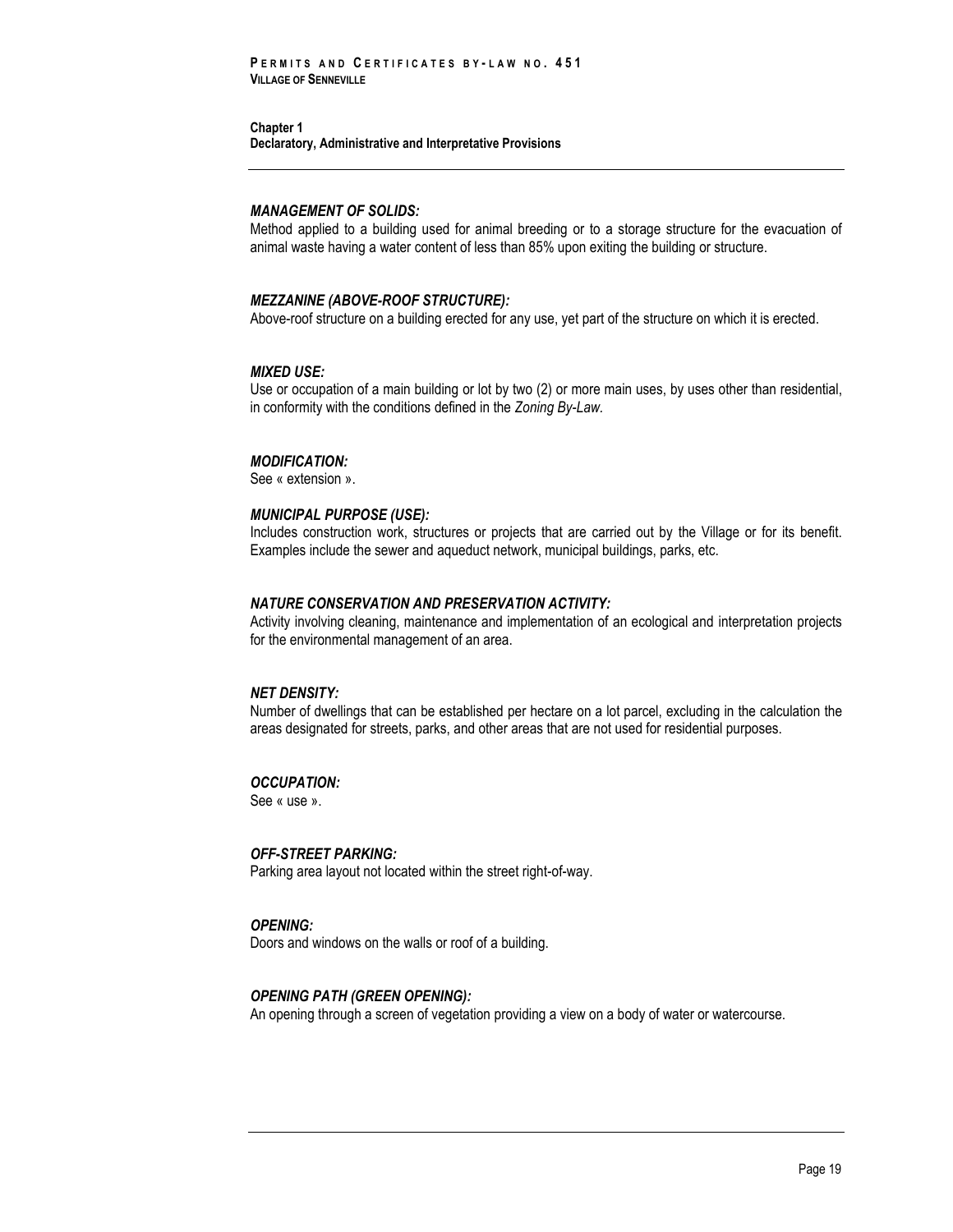#### *MANAGEMENT OF SOLIDS:*

Method applied to a building used for animal breeding or to a storage structure for the evacuation of animal waste having a water content of less than 85% upon exiting the building or structure.

#### *MEZZANINE (ABOVE-ROOF STRUCTURE):*

Above-roof structure on a building erected for any use, yet part of the structure on which it is erected.

#### *MIXED USE:*

Use or occupation of a main building or lot by two (2) or more main uses, by uses other than residential, in conformity with the conditions defined in the *Zoning By-Law.*

#### *MODIFICATION:*

See « extension ».

#### *MUNICIPAL PURPOSE (USE):*

Includes construction work, structures or projects that are carried out by the Village or for its benefit. Examples include the sewer and aqueduct network, municipal buildings, parks, etc.

#### *NATURE CONSERVATION AND PRESERVATION ACTIVITY:*

Activity involving cleaning, maintenance and implementation of an ecological and interpretation projects for the environmental management of an area.

#### *NET DENSITY:*

Number of dwellings that can be established per hectare on a lot parcel, excluding in the calculation the areas designated for streets, parks, and other areas that are not used for residential purposes.

## *OCCUPATION:*

See « use ».

*OFF-STREET PARKING:* Parking area layout not located within the street right-of-way.

#### *OPENING:*

Doors and windows on the walls or roof of a building.

#### *OPENING PATH (GREEN OPENING):*

An opening through a screen of vegetation providing a view on a body of water or watercourse.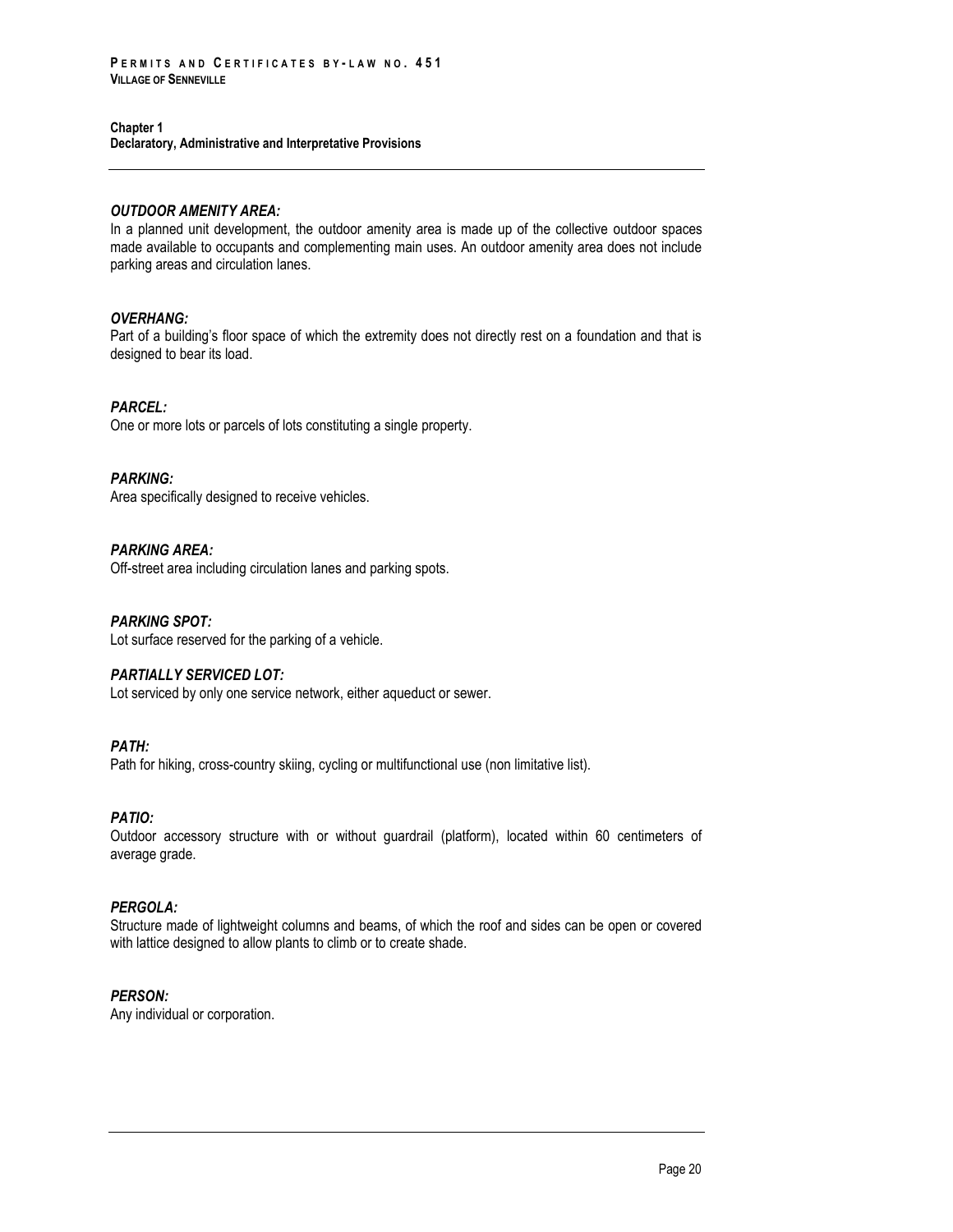## **Chapter 1**

**Declaratory, Administrative and Interpretative Provisions**

## *OUTDOOR AMENITY AREA:*

In a planned unit development, the outdoor amenity area is made up of the collective outdoor spaces made available to occupants and complementing main uses. An outdoor amenity area does not include parking areas and circulation lanes.

## *OVERHANG:*

Part of a building's floor space of which the extremity does not directly rest on a foundation and that is designed to bear its load.

## *PARCEL:*

One or more lots or parcels of lots constituting a single property.

## *PARKING:*

Area specifically designed to receive vehicles.

## *PARKING AREA:*

Off-street area including circulation lanes and parking spots.

## *PARKING SPOT:*

Lot surface reserved for the parking of a vehicle.

## *PARTIALLY SERVICED LOT:*

Lot serviced by only one service network, either aqueduct or sewer.

## *PATH:*

Path for hiking, cross-country skiing, cycling or multifunctional use (non limitative list).

## *PATIO:*

Outdoor accessory structure with or without guardrail (platform), located within 60 centimeters of average grade.

## *PERGOLA:*

Structure made of lightweight columns and beams, of which the roof and sides can be open or covered with lattice designed to allow plants to climb or to create shade.

## *PERSON:*

Any individual or corporation.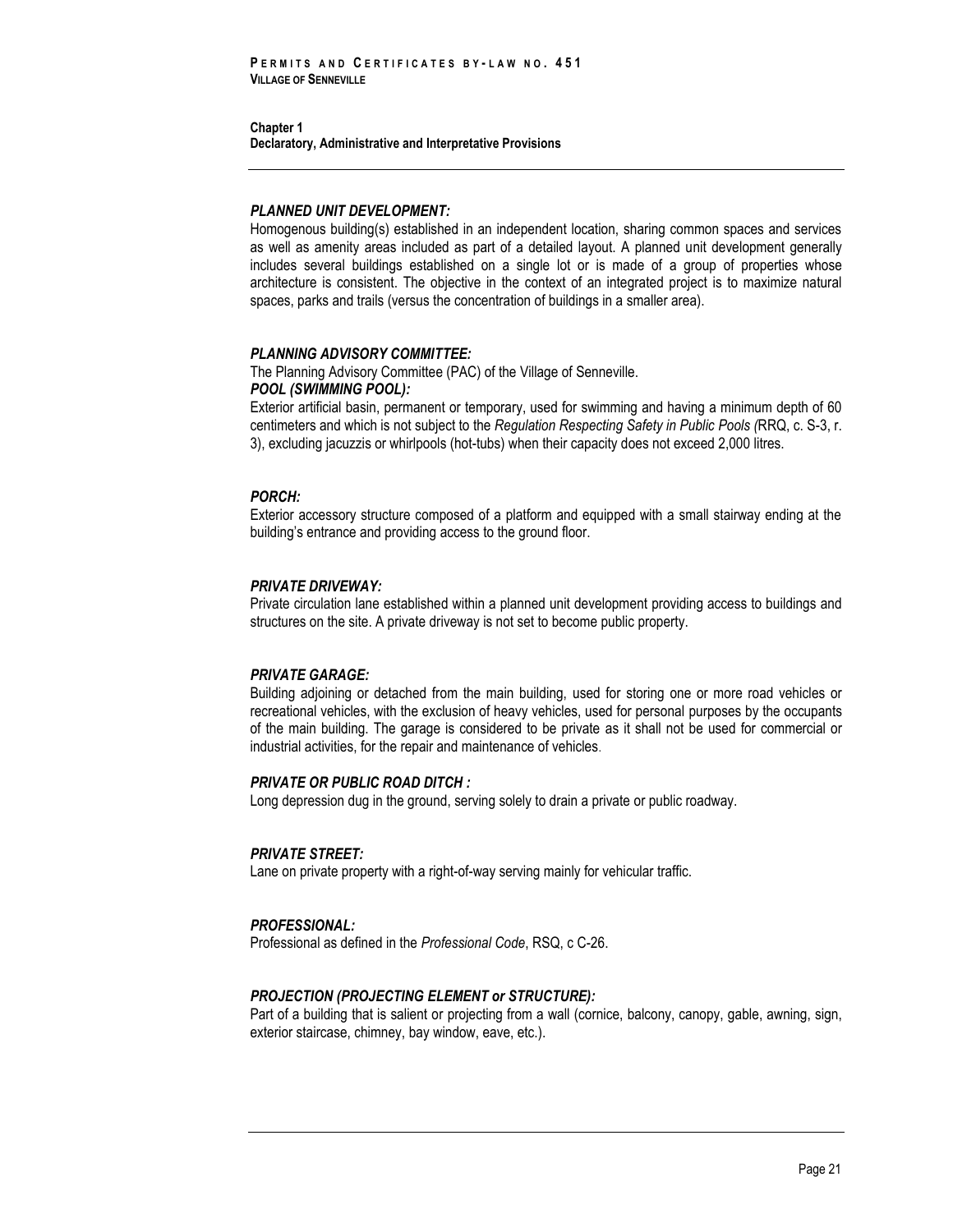## *PLANNED UNIT DEVELOPMENT:*

Homogenous building(s) established in an independent location, sharing common spaces and services as well as amenity areas included as part of a detailed layout. A planned unit development generally includes several buildings established on a single lot or is made of a group of properties whose architecture is consistent. The objective in the context of an integrated project is to maximize natural spaces, parks and trails (versus the concentration of buildings in a smaller area).

#### *PLANNING ADVISORY COMMITTEE:*

The Planning Advisory Committee (PAC) of the Village of Senneville.

## *POOL (SWIMMING POOL):*

Exterior artificial basin, permanent or temporary, used for swimming and having a minimum depth of 60 centimeters and which is not subject to the *Regulation Respecting Safety in Public Pools (*RRQ, c. S-3, r. 3), excluding jacuzzis or whirlpools (hot-tubs) when their capacity does not exceed 2,000 litres.

## *PORCH:*

Exterior accessory structure composed of a platform and equipped with a small stairway ending at the building's entrance and providing access to the ground floor.

#### *PRIVATE DRIVEWAY:*

Private circulation lane established within a planned unit development providing access to buildings and structures on the site. A private driveway is not set to become public property.

#### *PRIVATE GARAGE:*

Building adjoining or detached from the main building, used for storing one or more road vehicles or recreational vehicles, with the exclusion of heavy vehicles, used for personal purposes by the occupants of the main building. The garage is considered to be private as it shall not be used for commercial or industrial activities, for the repair and maintenance of vehicles.

#### *PRIVATE OR PUBLIC ROAD DITCH :*

Long depression dug in the ground, serving solely to drain a private or public roadway.

#### *PRIVATE STREET:*

Lane on private property with a right-of-way serving mainly for vehicular traffic.

## *PROFESSIONAL:*

Professional as defined in the *Professional Code*, RSQ, c C-26.

## *PROJECTION (PROJECTING ELEMENT or STRUCTURE):*

Part of a building that is salient or projecting from a wall (cornice, balcony, canopy, gable, awning, sign, exterior staircase, chimney, bay window, eave, etc.).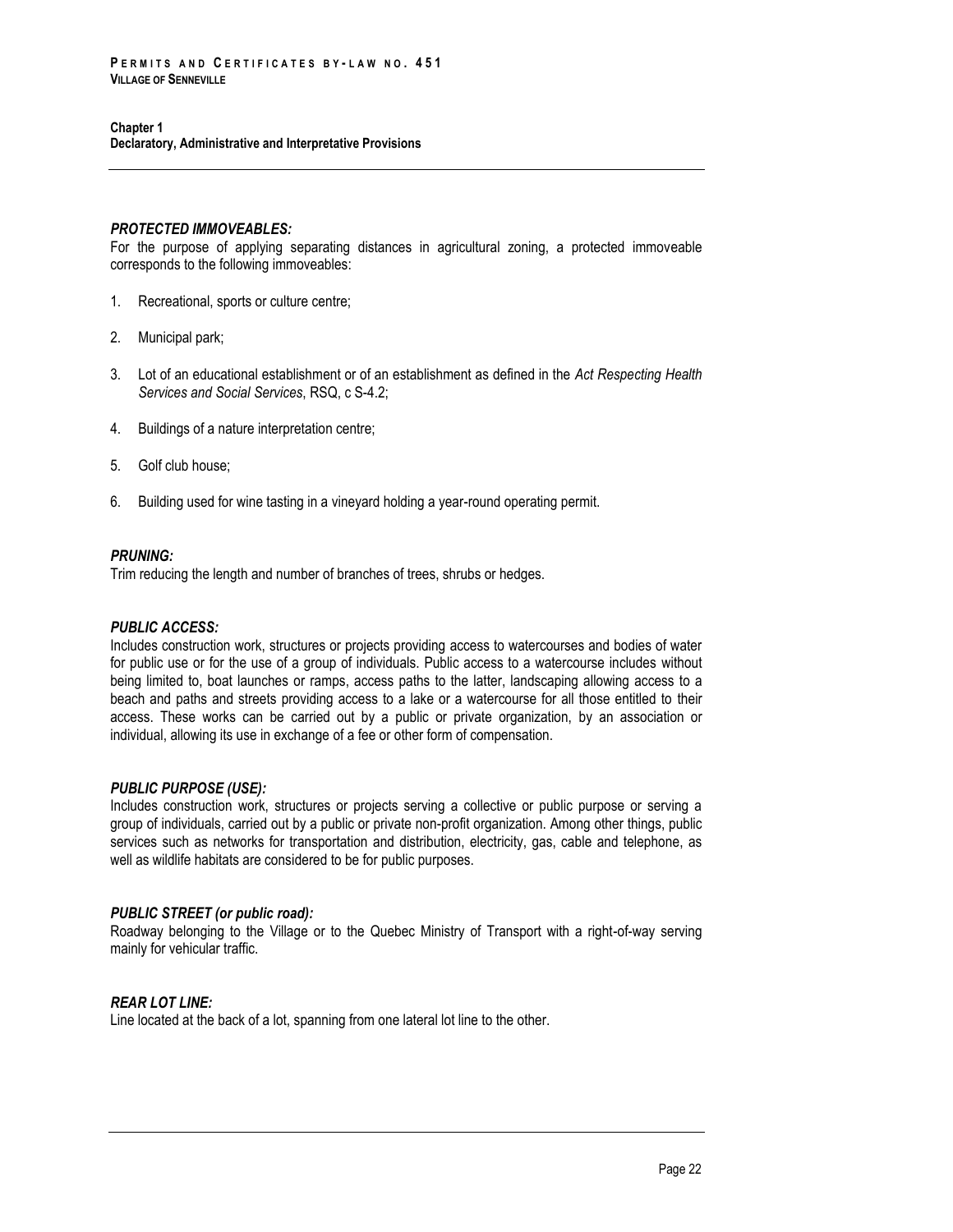#### *PROTECTED IMMOVEABLES:*

For the purpose of applying separating distances in agricultural zoning, a protected immoveable corresponds to the following immoveables:

- 1. Recreational, sports or culture centre;
- 2. Municipal park;
- 3. Lot of an educational establishment or of an establishment as defined in the *Act Respecting Health Services and Social Services*, RSQ, c S-4.2;
- 4. Buildings of a nature interpretation centre;
- 5. Golf club house;
- 6. Building used for wine tasting in a vineyard holding a year-round operating permit.

## *PRUNING:*

Trim reducing the length and number of branches of trees, shrubs or hedges.

## *PUBLIC ACCESS:*

Includes construction work, structures or projects providing access to watercourses and bodies of water for public use or for the use of a group of individuals. Public access to a watercourse includes without being limited to, boat launches or ramps, access paths to the latter, landscaping allowing access to a beach and paths and streets providing access to a lake or a watercourse for all those entitled to their access. These works can be carried out by a public or private organization, by an association or individual, allowing its use in exchange of a fee or other form of compensation.

## *PUBLIC PURPOSE (USE):*

Includes construction work, structures or projects serving a collective or public purpose or serving a group of individuals, carried out by a public or private non-profit organization. Among other things, public services such as networks for transportation and distribution, electricity, gas, cable and telephone, as well as wildlife habitats are considered to be for public purposes.

## *PUBLIC STREET (or public road):*

Roadway belonging to the Village or to the Quebec Ministry of Transport with a right-of-way serving mainly for vehicular traffic.

## *REAR LOT LINE:*

Line located at the back of a lot, spanning from one lateral lot line to the other.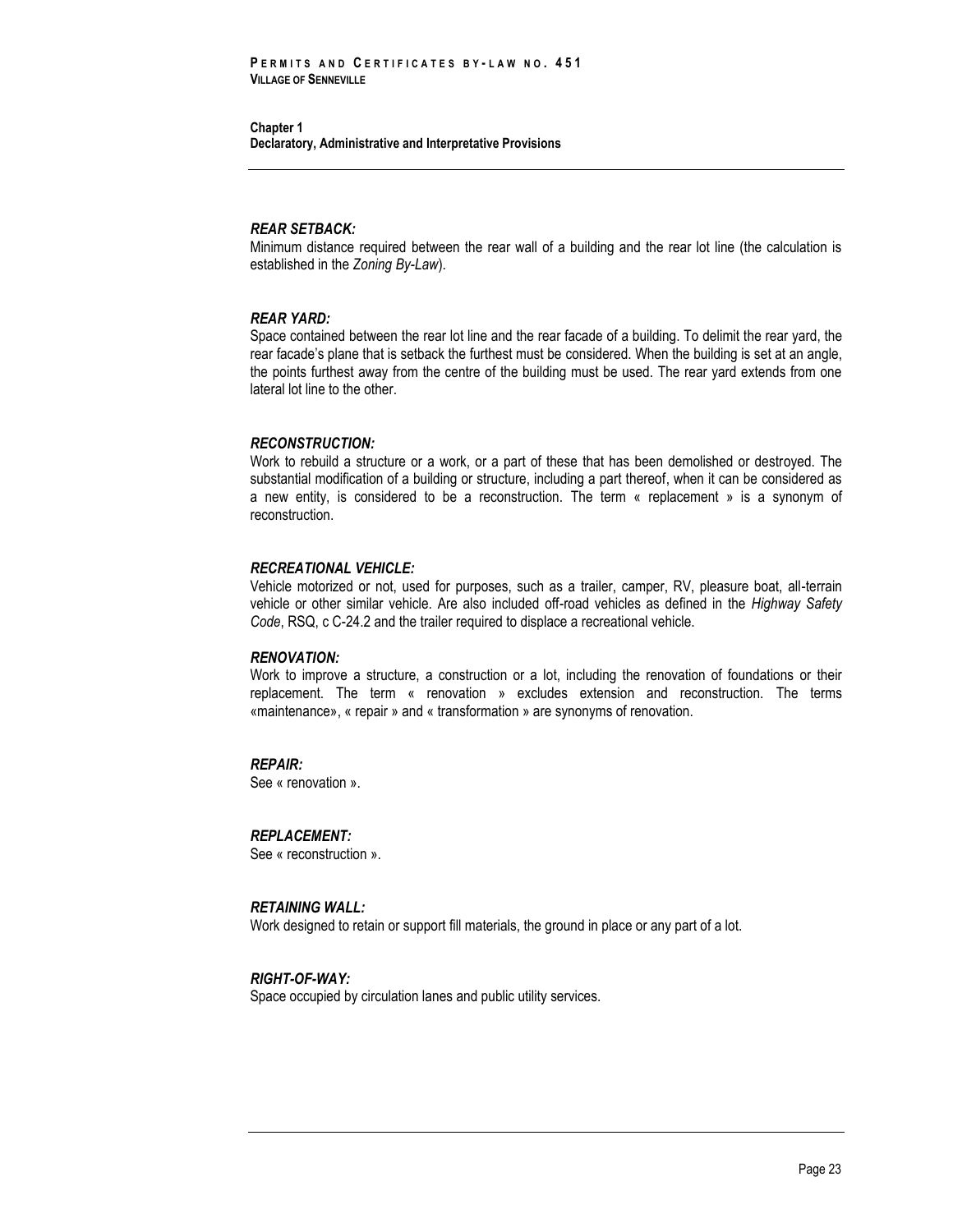#### *REAR SETBACK:*

Minimum distance required between the rear wall of a building and the rear lot line (the calculation is established in the *Zoning By-Law*).

#### *REAR YARD:*

Space contained between the rear lot line and the rear facade of a building. To delimit the rear yard, the rear facade's plane that is setback the furthest must be considered. When the building is set at an angle, the points furthest away from the centre of the building must be used. The rear yard extends from one lateral lot line to the other.

#### *RECONSTRUCTION:*

Work to rebuild a structure or a work, or a part of these that has been demolished or destroyed. The substantial modification of a building or structure, including a part thereof, when it can be considered as a new entity, is considered to be a reconstruction. The term « replacement » is a synonym of reconstruction.

#### *RECREATIONAL VEHICLE:*

Vehicle motorized or not, used for purposes, such as a trailer, camper, RV, pleasure boat, all-terrain vehicle or other similar vehicle. Are also included off-road vehicles as defined in the *Highway Safety Code*, RSQ, c C-24.2 and the trailer required to displace a recreational vehicle.

#### *RENOVATION:*

Work to improve a structure, a construction or a lot, including the renovation of foundations or their replacement. The term « renovation » excludes extension and reconstruction. The terms «maintenance», « repair » and « transformation » are synonyms of renovation.

## *REPAIR:*

See « renovation ».

#### *REPLACEMENT:*

See « reconstruction ».

#### *RETAINING WALL:*

Work designed to retain or support fill materials, the ground in place or any part of a lot.

## *RIGHT-OF-WAY:*

Space occupied by circulation lanes and public utility services.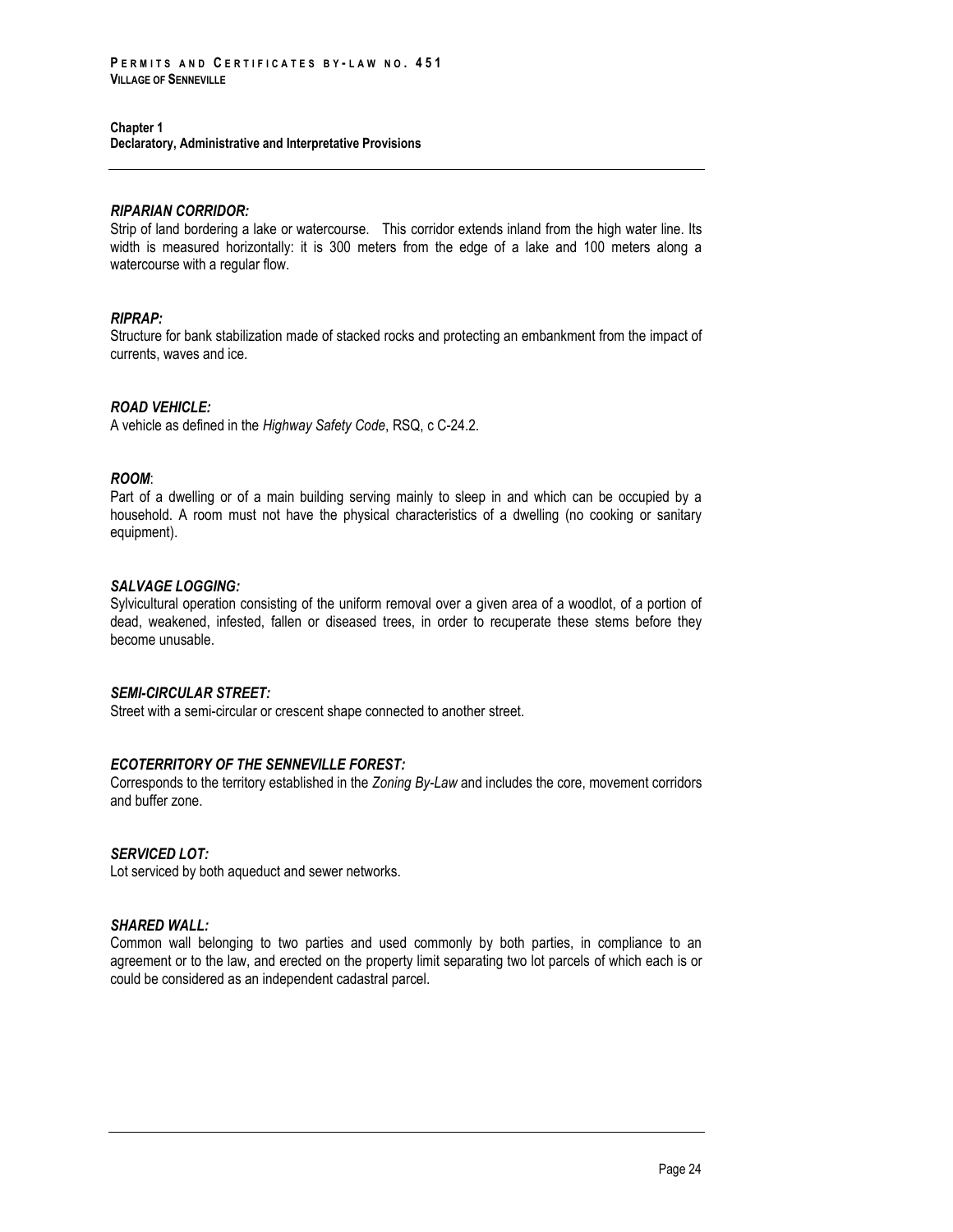## *RIPARIAN CORRIDOR:*

Strip of land bordering a lake or watercourse. This corridor extends inland from the high water line. Its width is measured horizontally: it is 300 meters from the edge of a lake and 100 meters along a watercourse with a regular flow.

#### *RIPRAP:*

Structure for bank stabilization made of stacked rocks and protecting an embankment from the impact of currents, waves and ice.

#### *ROAD VEHICLE:*

A vehicle as defined in the *Highway Safety Code*, RSQ, c C-24.2.

## *ROOM*:

Part of a dwelling or of a main building serving mainly to sleep in and which can be occupied by a household. A room must not have the physical characteristics of a dwelling (no cooking or sanitary equipment).

#### *SALVAGE LOGGING:*

Sylvicultural operation consisting of the uniform removal over a given area of a woodlot, of a portion of dead, weakened, infested, fallen or diseased trees, in order to recuperate these stems before they become unusable.

## *SEMI-CIRCULAR STREET:*

Street with a semi-circular or crescent shape connected to another street.

## *ECOTERRITORY OF THE SENNEVILLE FOREST:*

Corresponds to the territory established in the *Zoning By-Law* and includes the core, movement corridors and buffer zone.

#### *SERVICED LOT:*

Lot serviced by both aqueduct and sewer networks.

## *SHARED WALL:*

Common wall belonging to two parties and used commonly by both parties, in compliance to an agreement or to the law, and erected on the property limit separating two lot parcels of which each is or could be considered as an independent cadastral parcel.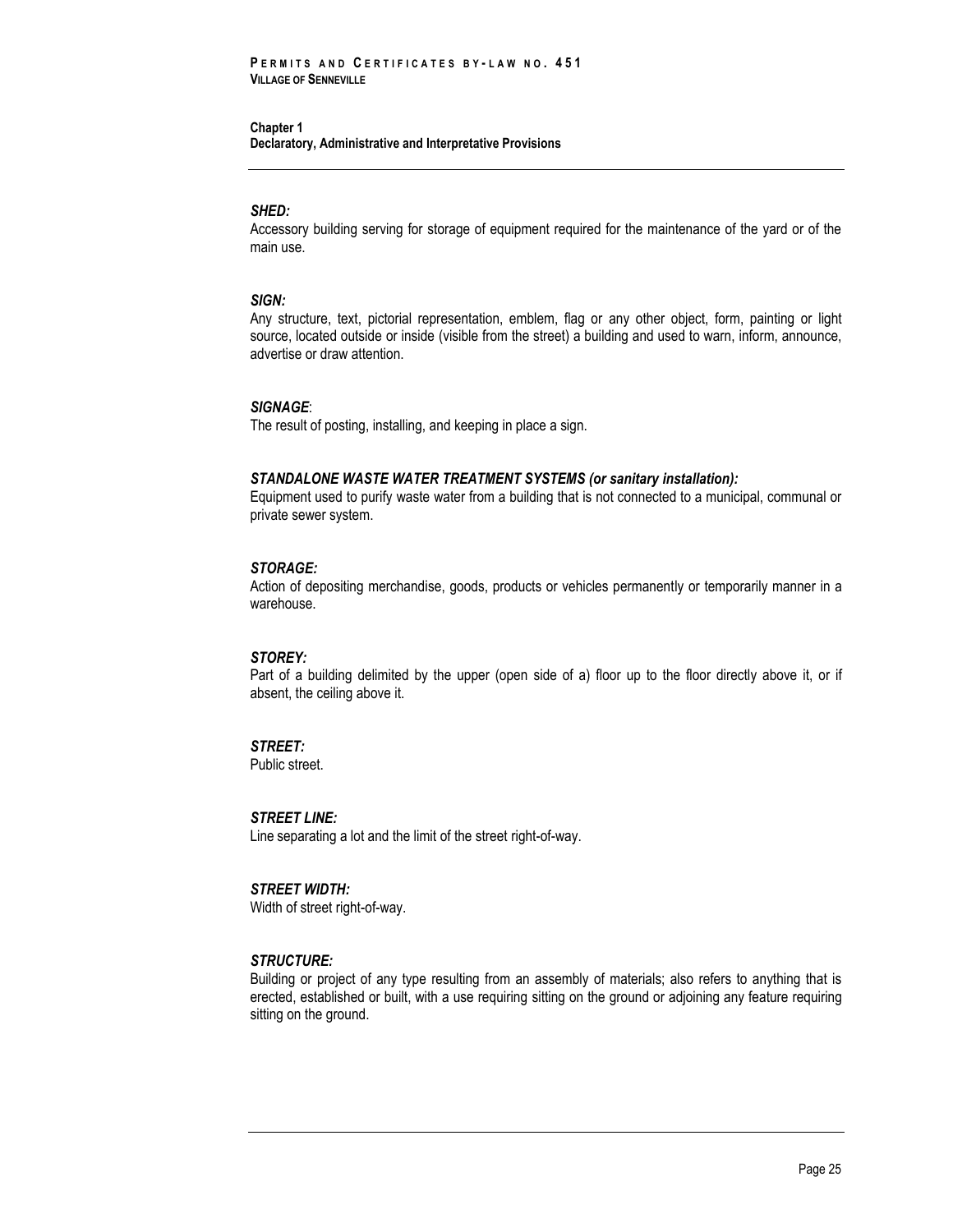#### *SHED:*

Accessory building serving for storage of equipment required for the maintenance of the yard or of the main use.

#### *SIGN:*

Any structure, text, pictorial representation, emblem, flag or any other object, form, painting or light source, located outside or inside (visible from the street) a building and used to warn, inform, announce, advertise or draw attention.

#### *SIGNAGE*:

The result of posting, installing, and keeping in place a sign.

#### *STANDALONE WASTE WATER TREATMENT SYSTEMS (or sanitary installation):*

Equipment used to purify waste water from a building that is not connected to a municipal, communal or private sewer system.

#### *STORAGE:*

Action of depositing merchandise, goods, products or vehicles permanently or temporarily manner in a warehouse.

#### *STOREY:*

Part of a building delimited by the upper (open side of a) floor up to the floor directly above it, or if absent, the ceiling above it.

## *STREET:*

Public street.

#### *STREET LINE:*

Line separating a lot and the limit of the street right-of-way.

## *STREET WIDTH:*

Width of street right-of-way.

## *STRUCTURE:*

Building or project of any type resulting from an assembly of materials; also refers to anything that is erected, established or built, with a use requiring sitting on the ground or adjoining any feature requiring sitting on the ground.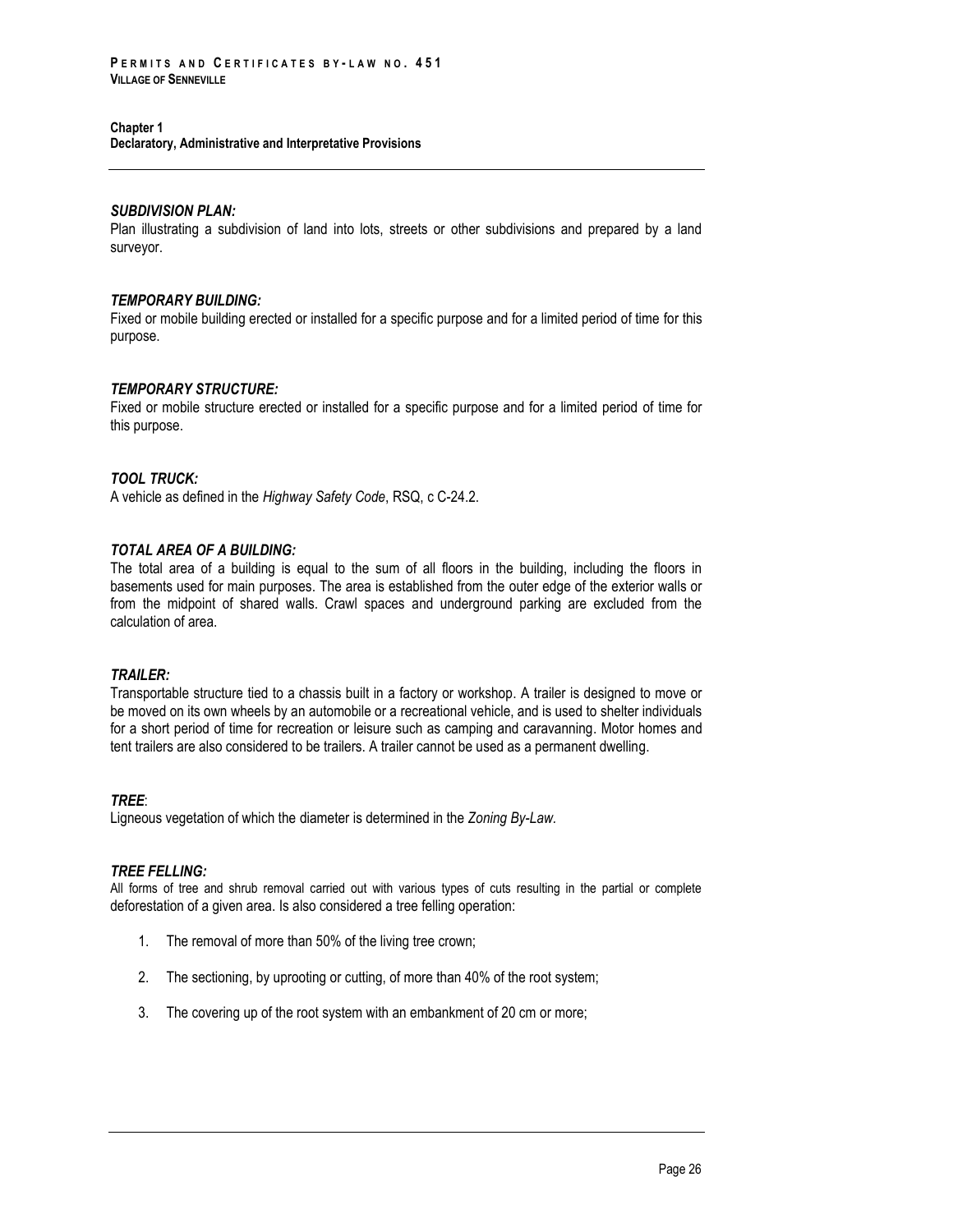## *SUBDIVISION PLAN:*

Plan illustrating a subdivision of land into lots, streets or other subdivisions and prepared by a land surveyor.

#### *TEMPORARY BUILDING:*

Fixed or mobile building erected or installed for a specific purpose and for a limited period of time for this purpose.

#### *TEMPORARY STRUCTURE:*

Fixed or mobile structure erected or installed for a specific purpose and for a limited period of time for this purpose.

#### *TOOL TRUCK:*

A vehicle as defined in the *Highway Safety Code*, RSQ, c C-24.2.

## *TOTAL AREA OF A BUILDING:*

The total area of a building is equal to the sum of all floors in the building, including the floors in basements used for main purposes. The area is established from the outer edge of the exterior walls or from the midpoint of shared walls. Crawl spaces and underground parking are excluded from the calculation of area.

#### *TRAILER:*

Transportable structure tied to a chassis built in a factory or workshop. A trailer is designed to move or be moved on its own wheels by an automobile or a recreational vehicle, and is used to shelter individuals for a short period of time for recreation or leisure such as camping and caravanning. Motor homes and tent trailers are also considered to be trailers. A trailer cannot be used as a permanent dwelling.

#### *TREE*:

Ligneous vegetation of which the diameter is determined in the *Zoning By-Law.*

## *TREE FELLING:*

All forms of tree and shrub removal carried out with various types of cuts resulting in the partial or complete deforestation of a given area. Is also considered a tree felling operation:

- 1. The removal of more than 50% of the living tree crown;
- 2. The sectioning, by uprooting or cutting, of more than 40% of the root system;
- 3. The covering up of the root system with an embankment of 20 cm or more;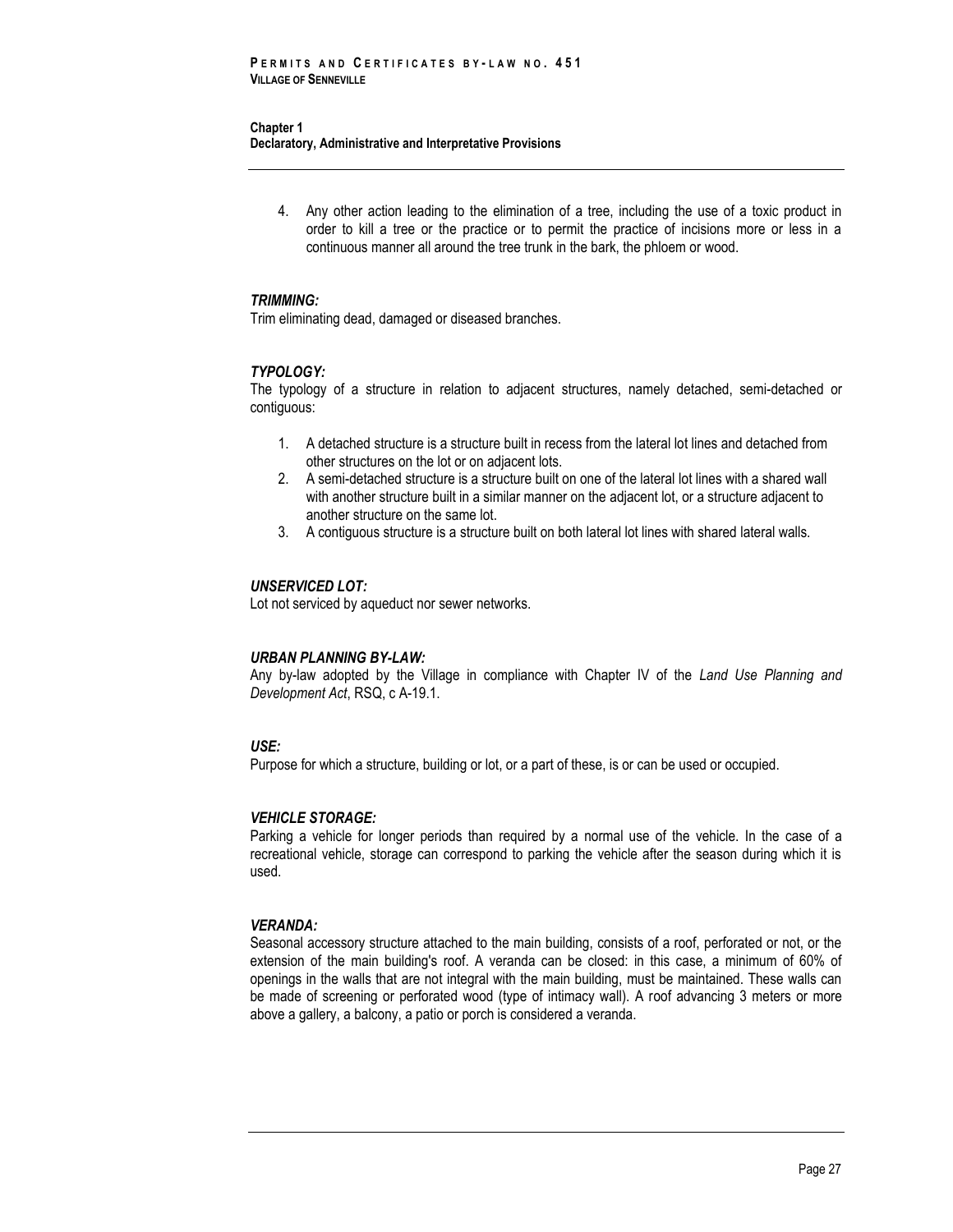4. Any other action leading to the elimination of a tree, including the use of a toxic product in order to kill a tree or the practice or to permit the practice of incisions more or less in a continuous manner all around the tree trunk in the bark, the phloem or wood.

#### *TRIMMING:*

Trim eliminating dead, damaged or diseased branches.

#### *TYPOLOGY:*

The typology of a structure in relation to adjacent structures, namely detached, semi-detached or contiguous:

- 1. A detached structure is a structure built in recess from the lateral lot lines and detached from other structures on the lot or on adjacent lots.
- 2. A semi-detached structure is a structure built on one of the lateral lot lines with a shared wall with another structure built in a similar manner on the adjacent lot, or a structure adjacent to another structure on the same lot.
- 3. A contiguous structure is a structure built on both lateral lot lines with shared lateral walls.

#### *UNSERVICED LOT:*

Lot not serviced by aqueduct nor sewer networks.

#### *URBAN PLANNING BY-LAW:*

Any by-law adopted by the Village in compliance with Chapter IV of the *Land Use Planning and Development Act*, RSQ, c A-19.1.

## *USE:*

Purpose for which a structure, building or lot, or a part of these, is or can be used or occupied.

#### *VEHICLE STORAGE:*

Parking a vehicle for longer periods than required by a normal use of the vehicle. In the case of a recreational vehicle, storage can correspond to parking the vehicle after the season during which it is used.

## *VERANDA:*

Seasonal accessory structure attached to the main building, consists of a roof, perforated or not, or the extension of the main building's roof. A veranda can be closed: in this case, a minimum of 60% of openings in the walls that are not integral with the main building, must be maintained. These walls can be made of screening or perforated wood (type of intimacy wall). A roof advancing 3 meters or more above a gallery, a balcony, a patio or porch is considered a veranda.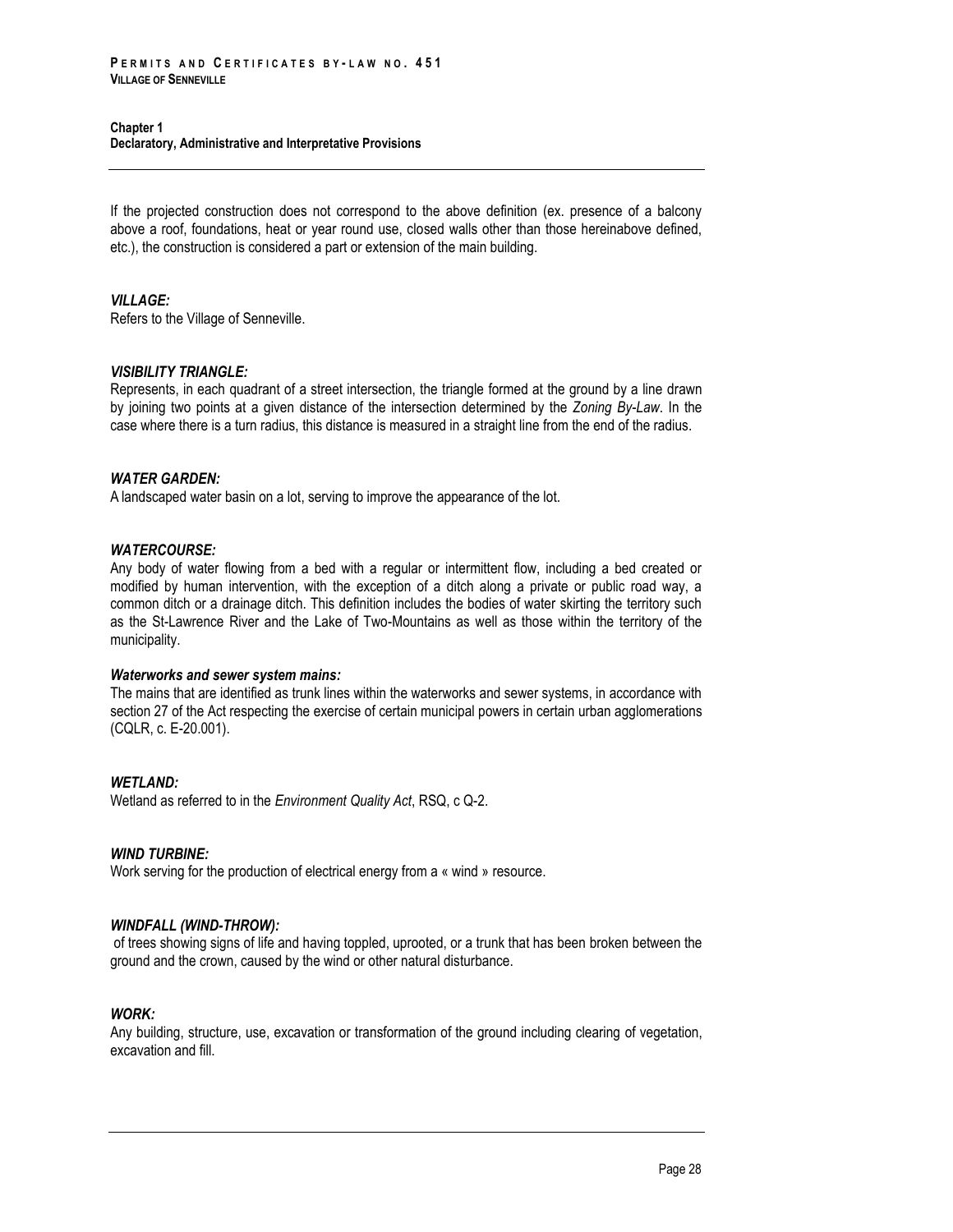If the projected construction does not correspond to the above definition (ex. presence of a balcony above a roof, foundations, heat or year round use, closed walls other than those hereinabove defined, etc.), the construction is considered a part or extension of the main building.

## *VILLAGE:*

Refers to the Village of Senneville.

## *VISIBILITY TRIANGLE:*

Represents, in each quadrant of a street intersection, the triangle formed at the ground by a line drawn by joining two points at a given distance of the intersection determined by the *Zoning By-Law*. In the case where there is a turn radius, this distance is measured in a straight line from the end of the radius.

## *WATER GARDEN:*

A landscaped water basin on a lot, serving to improve the appearance of the lot.

#### *WATERCOURSE:*

Any body of water flowing from a bed with a regular or intermittent flow, including a bed created or modified by human intervention, with the exception of a ditch along a private or public road way, a common ditch or a drainage ditch. This definition includes the bodies of water skirting the territory such as the St-Lawrence River and the Lake of Two-Mountains as well as those within the territory of the municipality.

#### *Waterworks and sewer system mains:*

The mains that are identified as trunk lines within the waterworks and sewer systems, in accordance with section 27 of the Act respecting the exercise of certain municipal powers in certain urban agglomerations (CQLR, c. E-20.001).

## *WETLAND:*

Wetland as referred to in the *Environment Quality Act*, RSQ, c Q-2.

## *WIND TURBINE:*

Work serving for the production of electrical energy from a « wind » resource.

## *WINDFALL (WIND-THROW):*

of trees showing signs of life and having toppled, uprooted, or a trunk that has been broken between the ground and the crown, caused by the wind or other natural disturbance.

## *WORK:*

Any building, structure, use, excavation or transformation of the ground including clearing of vegetation, excavation and fill.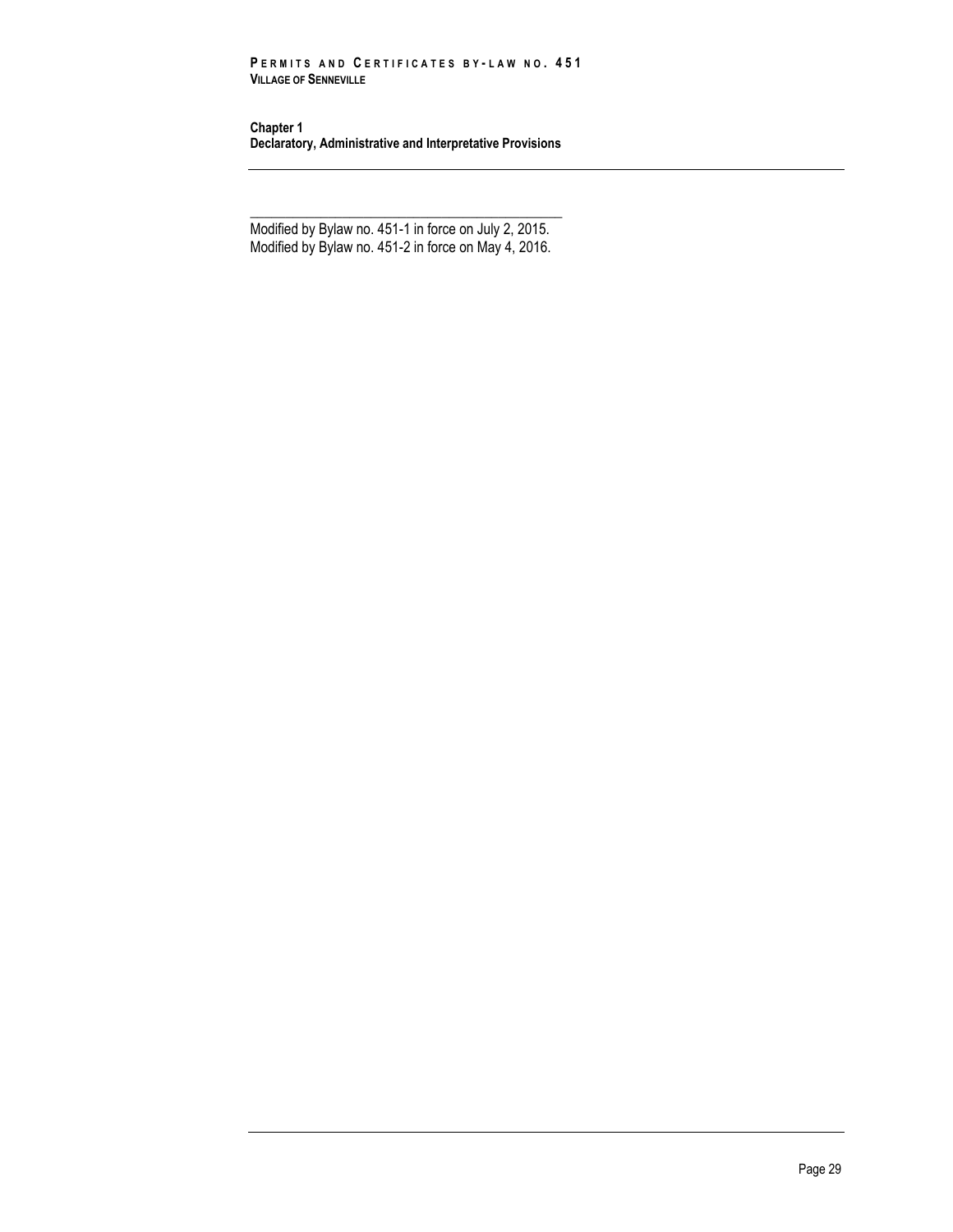#### **P E R M I T S A N D C E R T I F I C A T E S B Y - L A W N O . 4 5 1 VILLAGE OF SENNEVILLE**

**Chapter 1 Declaratory, Administrative and Interpretative Provisions**

\_\_\_\_\_\_\_\_\_\_\_\_\_\_\_\_\_\_\_\_\_\_\_\_\_\_\_\_\_\_\_\_\_\_\_\_\_\_\_\_\_\_\_\_ Modified by Bylaw no. 451-1 in force on July 2, 2015. Modified by Bylaw no. 451-2 in force on May 4, 2016.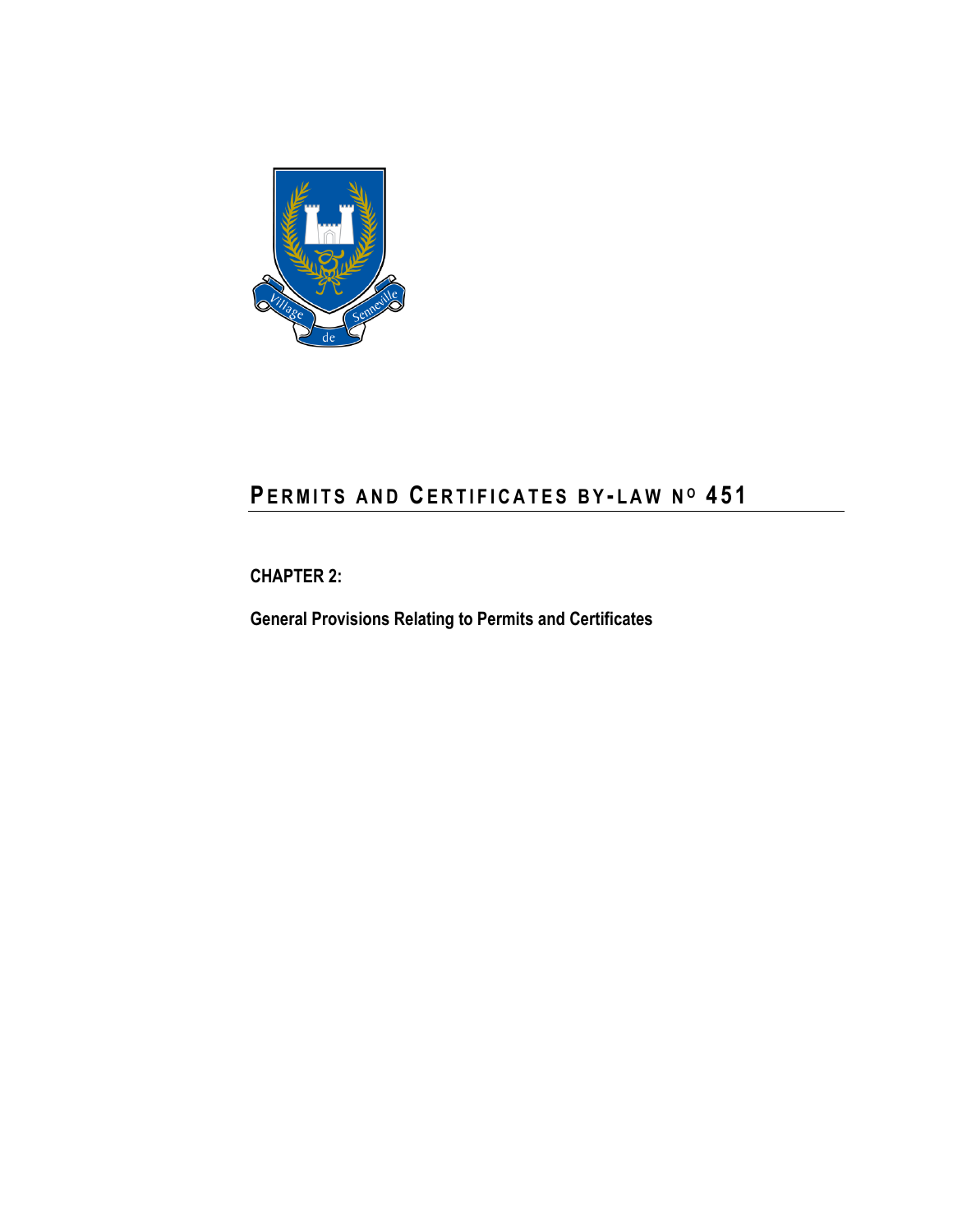

# **PE R M I T S A N D CE R T I F I C A T E S B Y - L A W N <sup>O</sup> 4 5 1**

**CHAPTER 2:**

**General Provisions Relating to Permits and Certificates**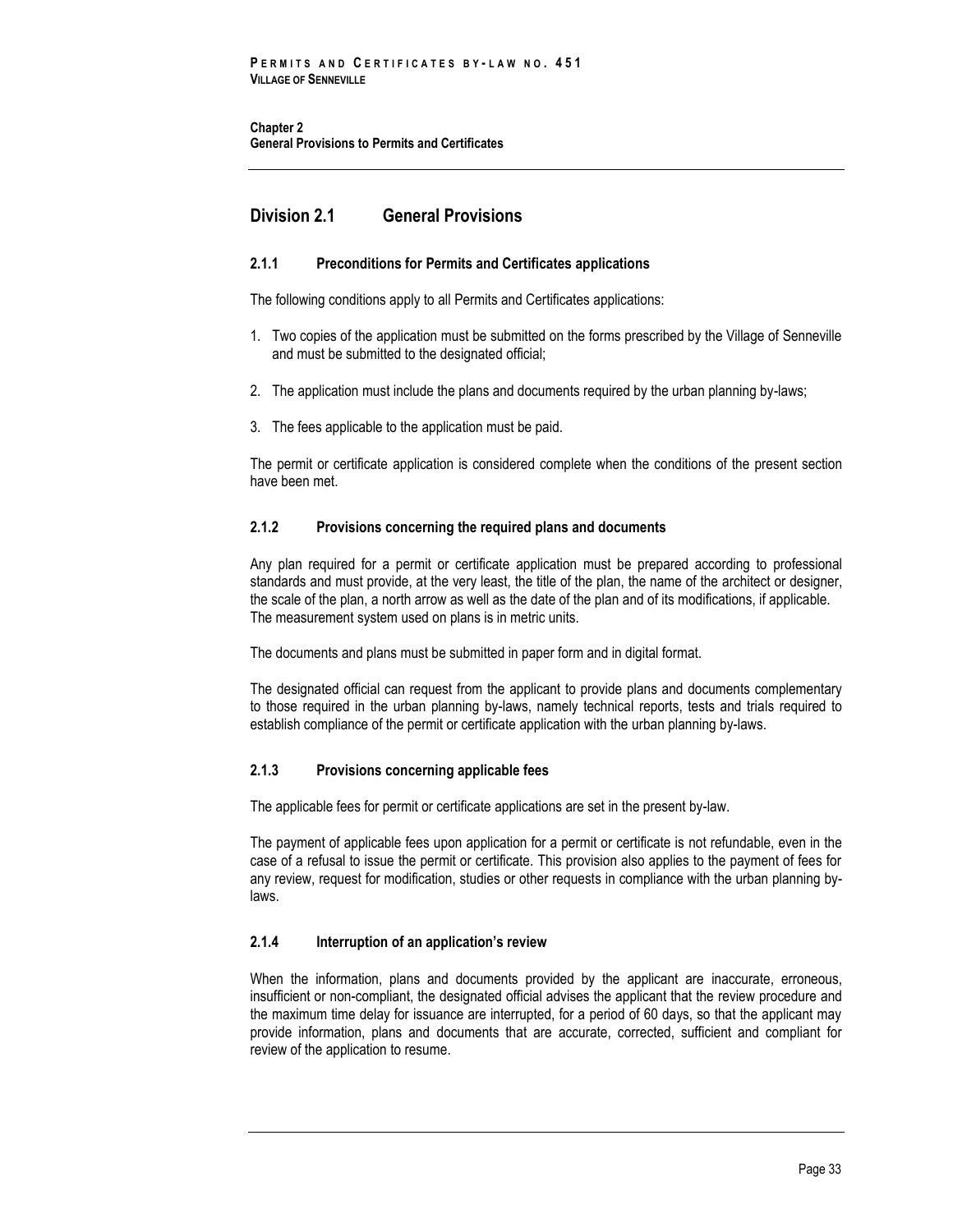**Chapter 2 General Provisions to Permits and Certificates**

# **Division 2.1 General Provisions**

# **2.1.1 Preconditions for Permits and Certificates applications**

The following conditions apply to all Permits and Certificates applications:

- 1. Two copies of the application must be submitted on the forms prescribed by the Village of Senneville and must be submitted to the designated official;
- 2. The application must include the plans and documents required by the urban planning by-laws;
- 3. The fees applicable to the application must be paid.

The permit or certificate application is considered complete when the conditions of the present section have been met.

# **2.1.2 Provisions concerning the required plans and documents**

Any plan required for a permit or certificate application must be prepared according to professional standards and must provide, at the very least, the title of the plan, the name of the architect or designer, the scale of the plan, a north arrow as well as the date of the plan and of its modifications, if applicable. The measurement system used on plans is in metric units.

The documents and plans must be submitted in paper form and in digital format.

The designated official can request from the applicant to provide plans and documents complementary to those required in the urban planning by-laws, namely technical reports, tests and trials required to establish compliance of the permit or certificate application with the urban planning by-laws.

# **2.1.3 Provisions concerning applicable fees**

The applicable fees for permit or certificate applications are set in the present by-law.

The payment of applicable fees upon application for a permit or certificate is not refundable, even in the case of a refusal to issue the permit or certificate. This provision also applies to the payment of fees for any review, request for modification, studies or other requests in compliance with the urban planning bylaws.

# **2.1.4 Interruption of an application's review**

When the information, plans and documents provided by the applicant are inaccurate, erroneous, insufficient or non-compliant, the designated official advises the applicant that the review procedure and the maximum time delay for issuance are interrupted, for a period of 60 days, so that the applicant may provide information, plans and documents that are accurate, corrected, sufficient and compliant for review of the application to resume.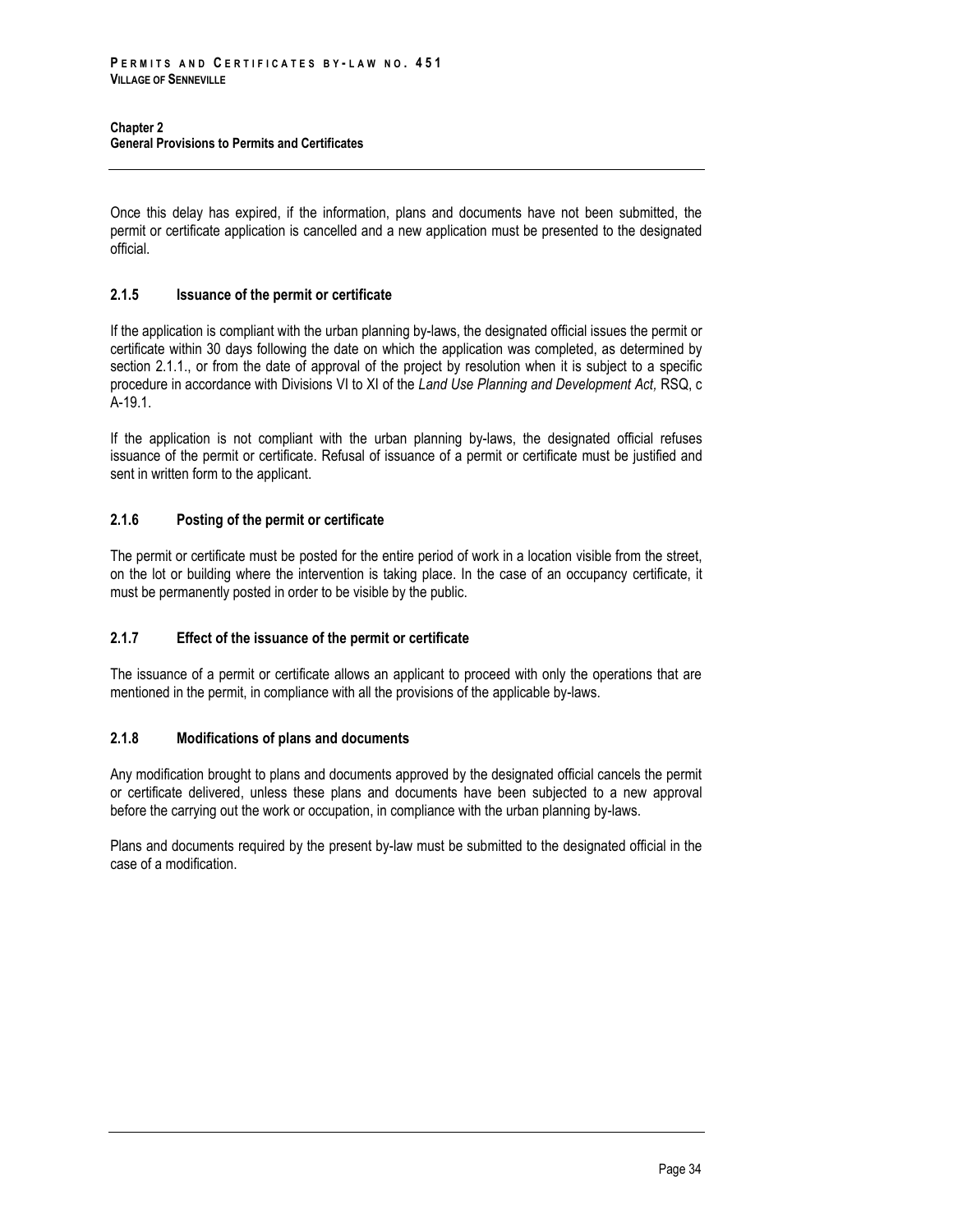Once this delay has expired, if the information, plans and documents have not been submitted, the permit or certificate application is cancelled and a new application must be presented to the designated official.

# **2.1.5 Issuance of the permit or certificate**

If the application is compliant with the urban planning by-laws, the designated official issues the permit or certificate within 30 days following the date on which the application was completed, as determined by section 2.1.1., or from the date of approval of the project by resolution when it is subject to a specific procedure in accordance with Divisions VI to XI of the *Land Use Planning and Development Act,* RSQ, c A-19.1.

If the application is not compliant with the urban planning by-laws, the designated official refuses issuance of the permit or certificate. Refusal of issuance of a permit or certificate must be justified and sent in written form to the applicant.

# **2.1.6 Posting of the permit or certificate**

The permit or certificate must be posted for the entire period of work in a location visible from the street, on the lot or building where the intervention is taking place. In the case of an occupancy certificate, it must be permanently posted in order to be visible by the public.

# **2.1.7 Effect of the issuance of the permit or certificate**

The issuance of a permit or certificate allows an applicant to proceed with only the operations that are mentioned in the permit, in compliance with all the provisions of the applicable by-laws.

# **2.1.8 Modifications of plans and documents**

Any modification brought to plans and documents approved by the designated official cancels the permit or certificate delivered, unless these plans and documents have been subjected to a new approval before the carrying out the work or occupation, in compliance with the urban planning by-laws.

Plans and documents required by the present by-law must be submitted to the designated official in the case of a modification.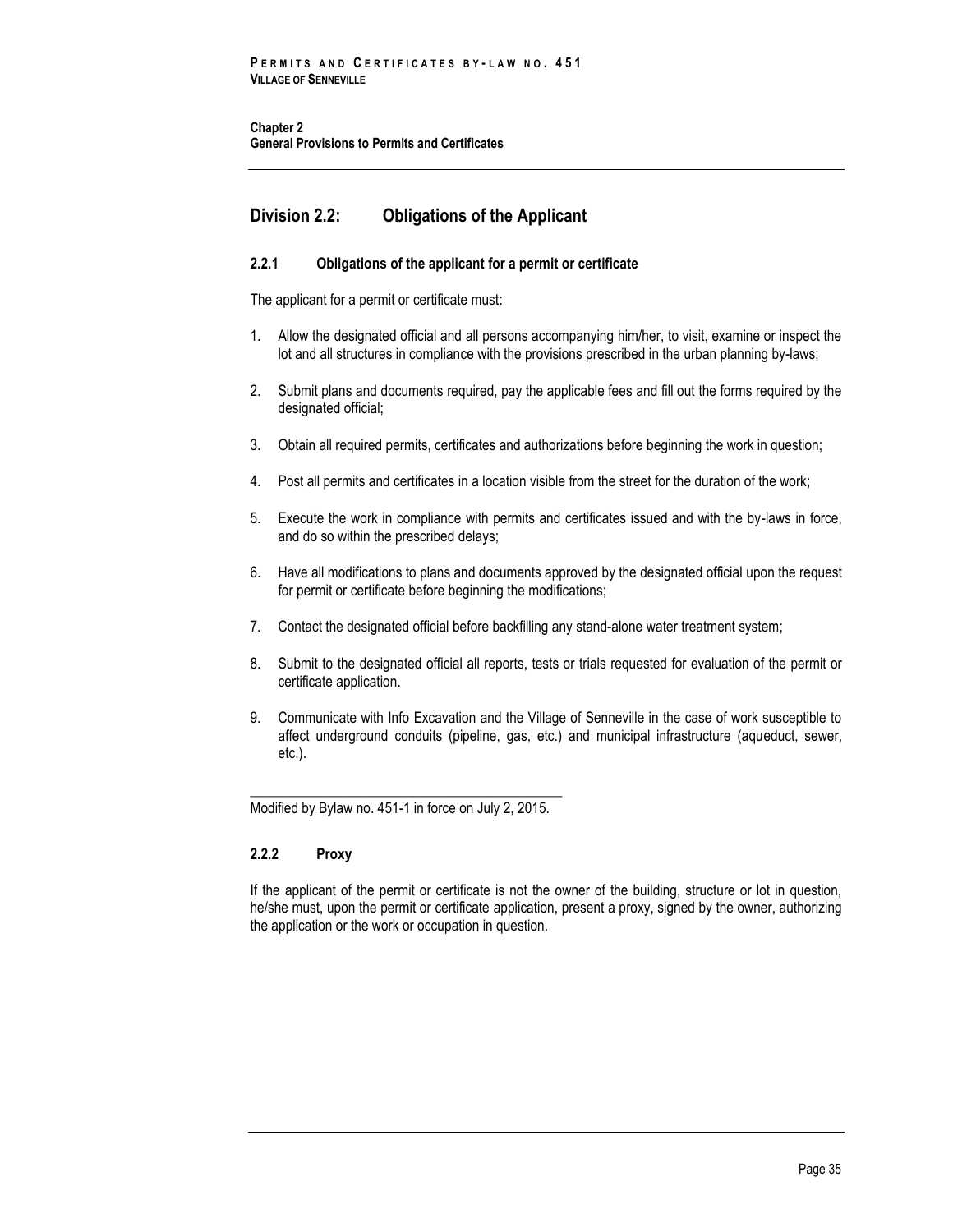**Chapter 2 General Provisions to Permits and Certificates**

# **Division 2.2: Obligations of the Applicant**

# **2.2.1 Obligations of the applicant for a permit or certificate**

The applicant for a permit or certificate must:

- 1. Allow the designated official and all persons accompanying him/her, to visit, examine or inspect the lot and all structures in compliance with the provisions prescribed in the urban planning by-laws;
- 2. Submit plans and documents required, pay the applicable fees and fill out the forms required by the designated official;
- 3. Obtain all required permits, certificates and authorizations before beginning the work in question;
- 4. Post all permits and certificates in a location visible from the street for the duration of the work;
- 5. Execute the work in compliance with permits and certificates issued and with the by-laws in force, and do so within the prescribed delays;
- 6. Have all modifications to plans and documents approved by the designated official upon the request for permit or certificate before beginning the modifications;
- 7. Contact the designated official before backfilling any stand-alone water treatment system;
- 8. Submit to the designated official all reports, tests or trials requested for evaluation of the permit or certificate application.
- 9. Communicate with Info Excavation and the Village of Senneville in the case of work susceptible to affect underground conduits (pipeline, gas, etc.) and municipal infrastructure (aqueduct, sewer, etc.).

\_\_\_\_\_\_\_\_\_\_\_\_\_\_\_\_\_\_\_\_\_\_\_\_\_\_\_\_\_\_\_\_\_\_\_\_\_\_\_\_\_\_\_\_ Modified by Bylaw no. 451-1 in force on July 2, 2015.

# **2.2.2 Proxy**

If the applicant of the permit or certificate is not the owner of the building, structure or lot in question, he/she must, upon the permit or certificate application, present a proxy, signed by the owner, authorizing the application or the work or occupation in question.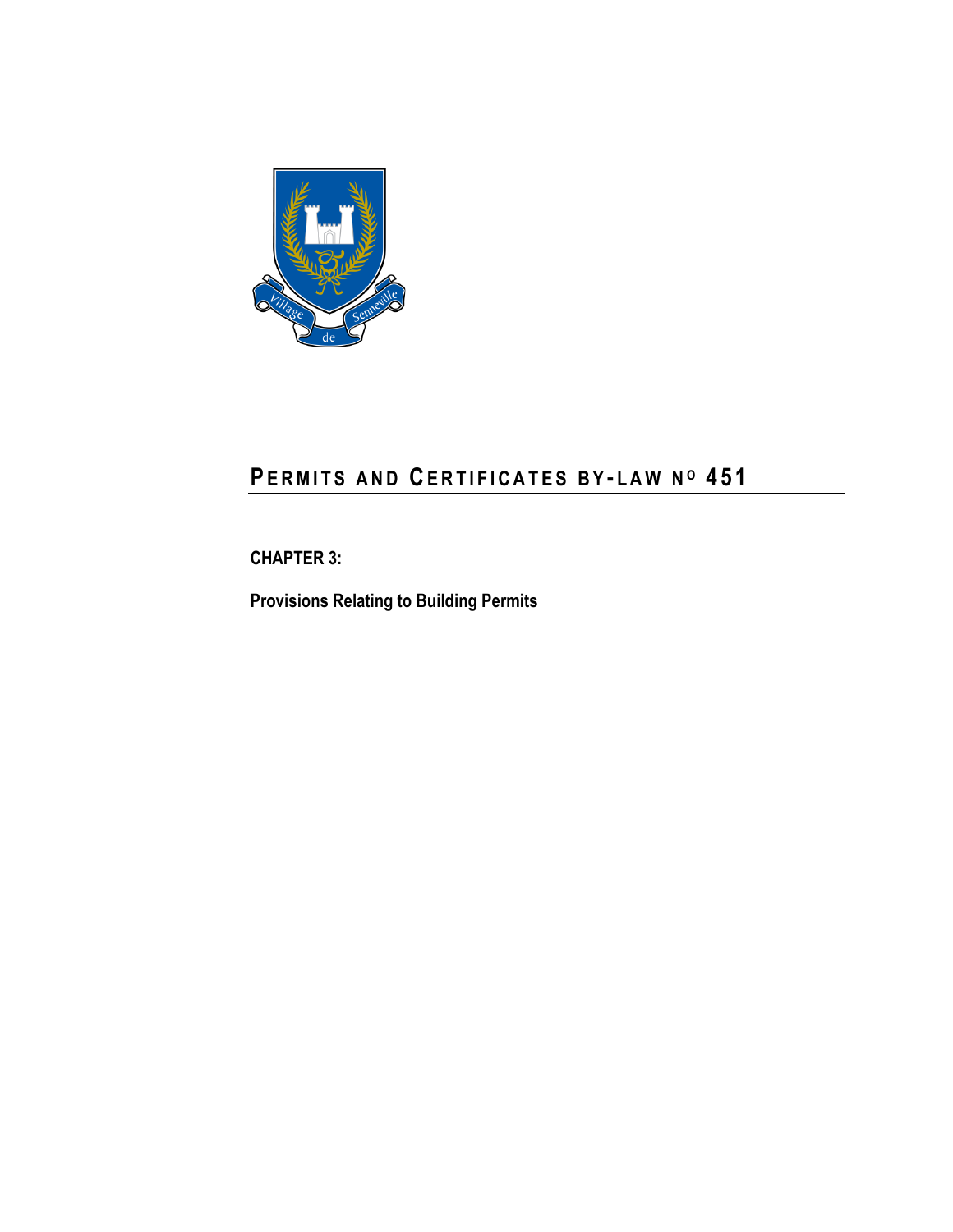

# **PE R M I T S A N D CE R T I F I C A T E S B Y - L A W N <sup>O</sup> 4 5 1**

**CHAPTER 3:**

**Provisions Relating to Building Permits**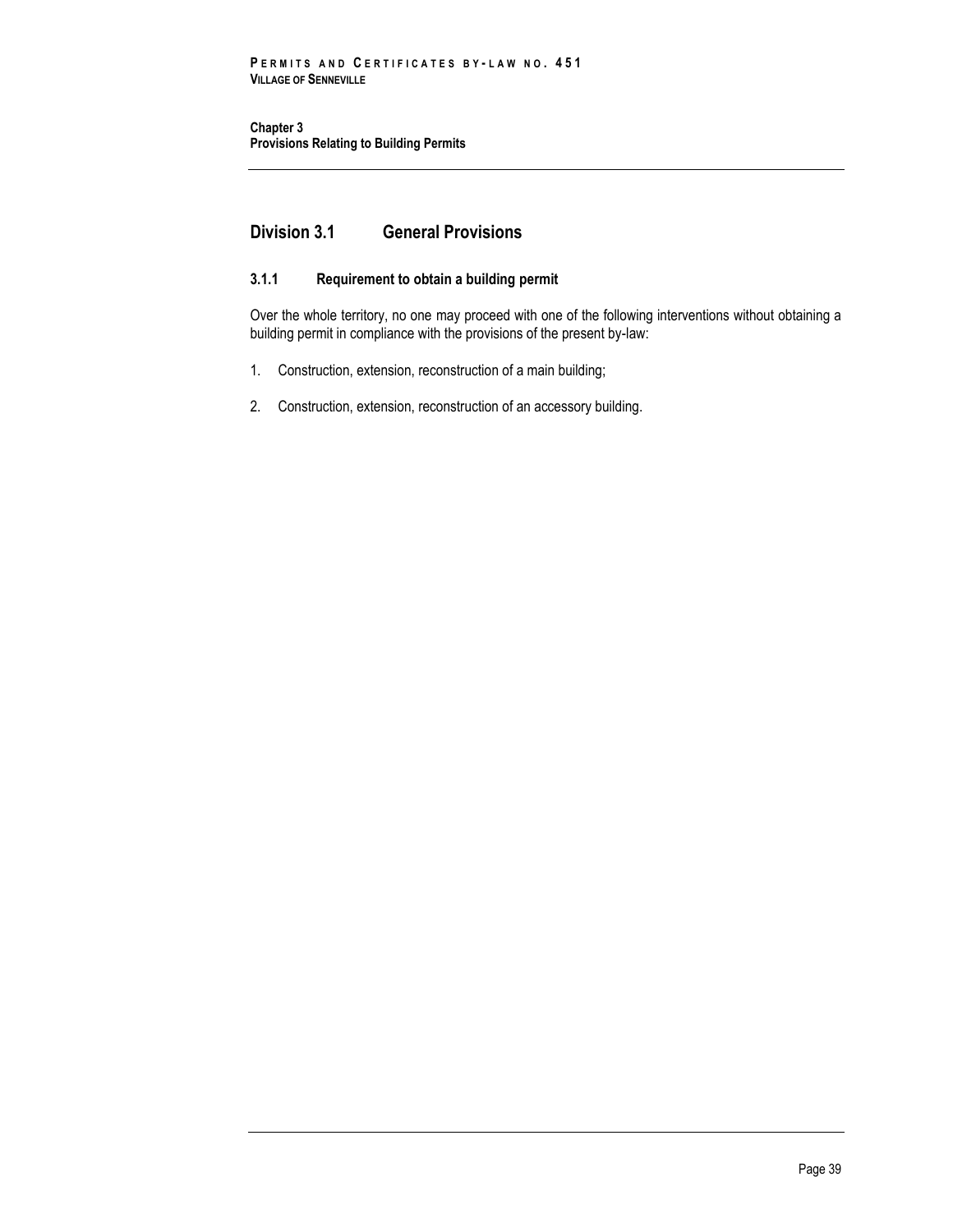# **Division 3.1 General Provisions**

# **3.1.1 Requirement to obtain a building permit**

Over the whole territory, no one may proceed with one of the following interventions without obtaining a building permit in compliance with the provisions of the present by-law:

- 1. Construction, extension, reconstruction of a main building;
- 2. Construction, extension, reconstruction of an accessory building.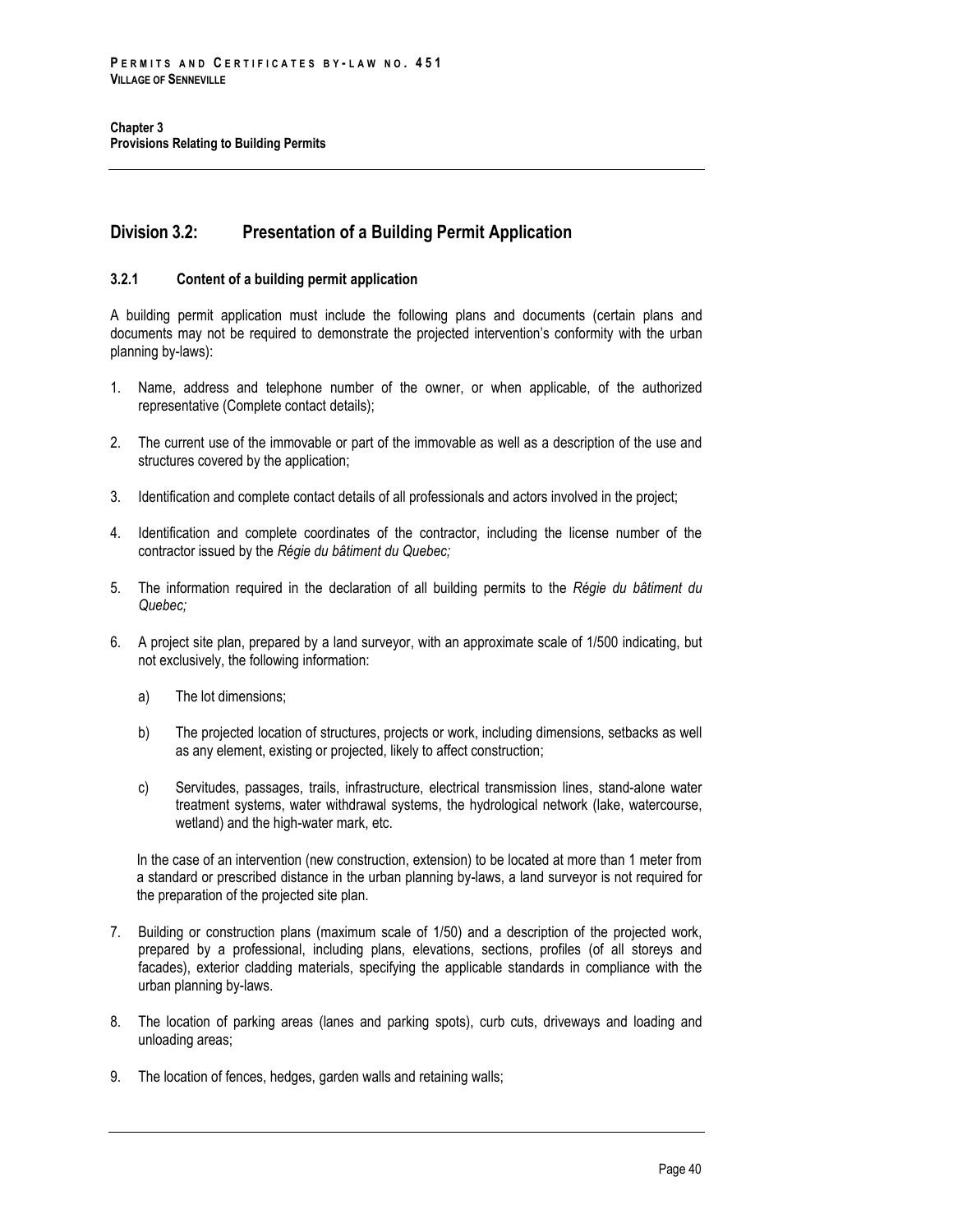# **Division 3.2: Presentation of a Building Permit Application**

### **3.2.1 Content of a building permit application**

A building permit application must include the following plans and documents (certain plans and documents may not be required to demonstrate the projected intervention's conformity with the urban planning by-laws):

- 1. Name, address and telephone number of the owner, or when applicable, of the authorized representative (Complete contact details);
- 2. The current use of the immovable or part of the immovable as well as a description of the use and structures covered by the application;
- 3. Identification and complete contact details of all professionals and actors involved in the project;
- 4. Identification and complete coordinates of the contractor, including the license number of the contractor issued by the *Régie du bâtiment du Quebec;*
- 5. The information required in the declaration of all building permits to the *Régie du bâtiment du Quebec;*
- 6. A project site plan, prepared by a land surveyor, with an approximate scale of 1/500 indicating, but not exclusively, the following information:
	- a) The lot dimensions;
	- b) The projected location of structures, projects or work, including dimensions, setbacks as well as any element, existing or projected, likely to affect construction;
	- c) Servitudes, passages, trails, infrastructure, electrical transmission lines, stand-alone water treatment systems, water withdrawal systems, the hydrological network (lake, watercourse, wetland) and the high-water mark, etc.

In the case of an intervention (new construction, extension) to be located at more than 1 meter from a standard or prescribed distance in the urban planning by-laws, a land surveyor is not required for the preparation of the projected site plan.

- 7. Building or construction plans (maximum scale of 1/50) and a description of the projected work, prepared by a professional, including plans, elevations, sections, profiles (of all storeys and facades), exterior cladding materials, specifying the applicable standards in compliance with the urban planning by-laws.
- 8. The location of parking areas (lanes and parking spots), curb cuts, driveways and loading and unloading areas;
- 9. The location of fences, hedges, garden walls and retaining walls;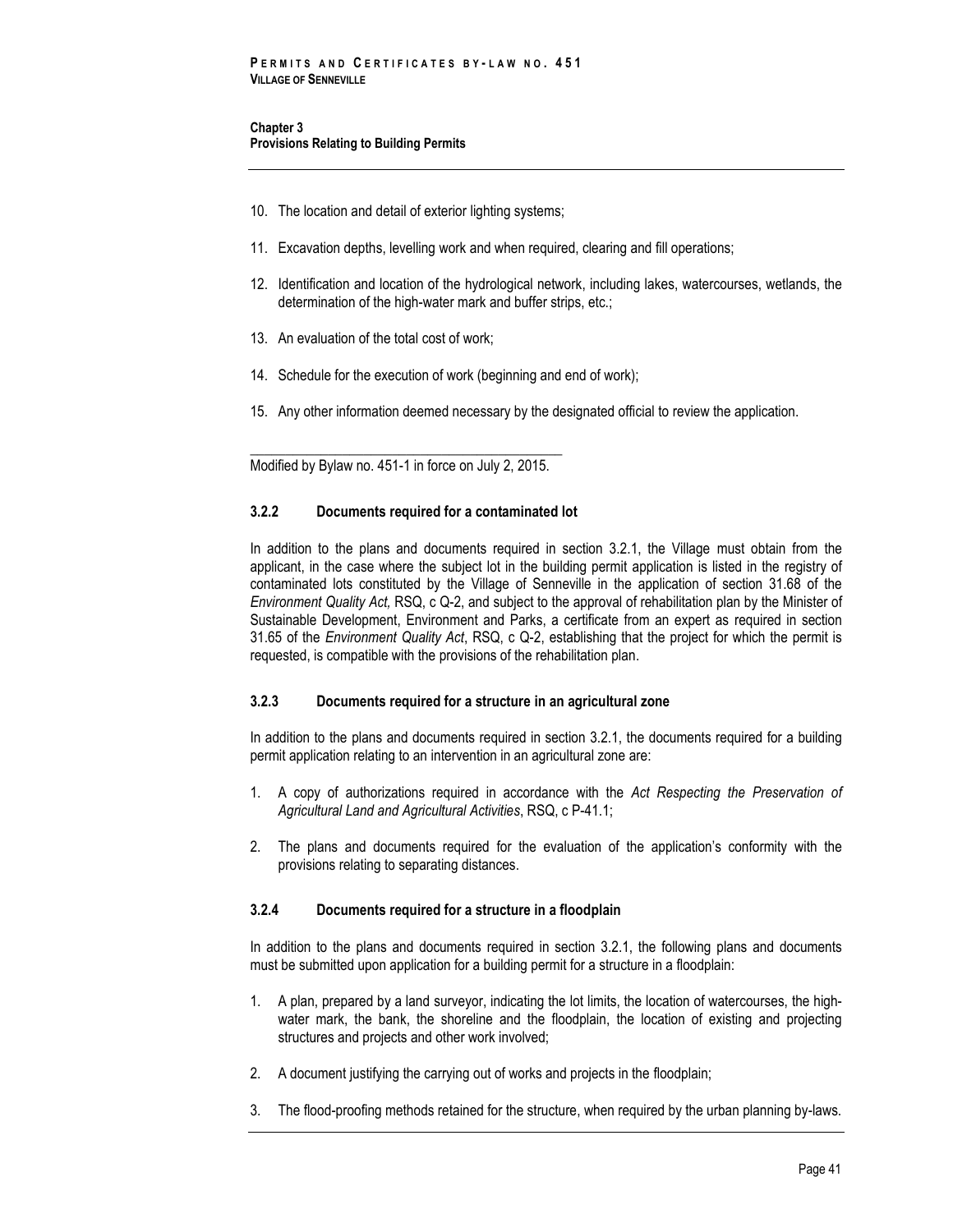- 10. The location and detail of exterior lighting systems;
- 11. Excavation depths, levelling work and when required, clearing and fill operations;
- 12. Identification and location of the hydrological network, including lakes, watercourses, wetlands, the determination of the high-water mark and buffer strips, etc.;
- 13. An evaluation of the total cost of work;
- 14. Schedule for the execution of work (beginning and end of work);
- 15. Any other information deemed necessary by the designated official to review the application.

\_\_\_\_\_\_\_\_\_\_\_\_\_\_\_\_\_\_\_\_\_\_\_\_\_\_\_\_\_\_\_\_\_\_\_\_\_\_\_\_\_\_\_\_ Modified by Bylaw no. 451-1 in force on July 2, 2015.

### **3.2.2 Documents required for a contaminated lot**

In addition to the plans and documents required in section 3.2.1, the Village must obtain from the applicant, in the case where the subject lot in the building permit application is listed in the registry of contaminated lots constituted by the Village of Senneville in the application of section 31.68 of the *Environment Quality Act,* RSQ, c Q-2, and subject to the approval of rehabilitation plan by the Minister of Sustainable Development, Environment and Parks, a certificate from an expert as required in section 31.65 of the *Environment Quality Act*, RSQ, c Q-2, establishing that the project for which the permit is requested, is compatible with the provisions of the rehabilitation plan.

# **3.2.3 Documents required for a structure in an agricultural zone**

In addition to the plans and documents required in section 3.2.1, the documents required for a building permit application relating to an intervention in an agricultural zone are:

- 1. A copy of authorizations required in accordance with the *Act Respecting the Preservation of Agricultural Land and Agricultural Activities*, RSQ, c P-41.1;
- 2. The plans and documents required for the evaluation of the application's conformity with the provisions relating to separating distances.

# **3.2.4 Documents required for a structure in a floodplain**

In addition to the plans and documents required in section 3.2.1, the following plans and documents must be submitted upon application for a building permit for a structure in a floodplain:

- 1. A plan, prepared by a land surveyor, indicating the lot limits, the location of watercourses, the highwater mark, the bank, the shoreline and the floodplain, the location of existing and projecting structures and projects and other work involved;
- 2. A document justifying the carrying out of works and projects in the floodplain;
- 3. The flood-proofing methods retained for the structure, when required by the urban planning by-laws.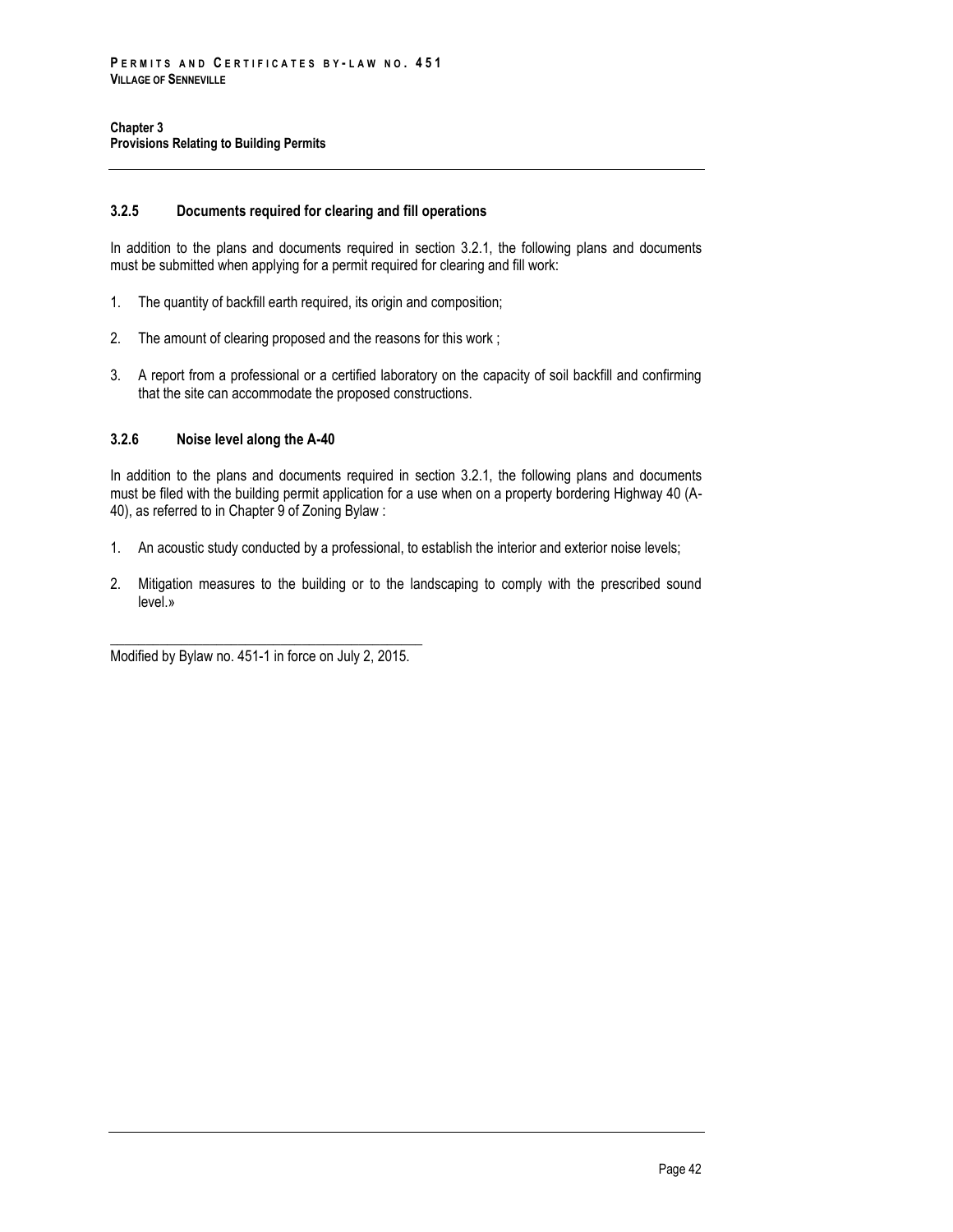# **3.2.5 Documents required for clearing and fill operations**

In addition to the plans and documents required in section 3.2.1, the following plans and documents must be submitted when applying for a permit required for clearing and fill work:

- 1. The quantity of backfill earth required, its origin and composition;
- 2. The amount of clearing proposed and the reasons for this work ;
- 3. A report from a professional or a certified laboratory on the capacity of soil backfill and confirming that the site can accommodate the proposed constructions.

### **3.2.6 Noise level along the A-40**

In addition to the plans and documents required in section 3.2.1, the following plans and documents must be filed with the building permit application for a use when on a property bordering Highway 40 (A-40), as referred to in Chapter 9 of Zoning Bylaw :

- 1. An acoustic study conducted by a professional, to establish the interior and exterior noise levels;
- 2. Mitigation measures to the building or to the landscaping to comply with the prescribed sound level.»

\_\_\_\_\_\_\_\_\_\_\_\_\_\_\_\_\_\_\_\_\_\_\_\_\_\_\_\_\_\_\_\_\_\_\_\_\_\_\_\_\_\_\_\_ Modified by Bylaw no. 451-1 in force on July 2, 2015.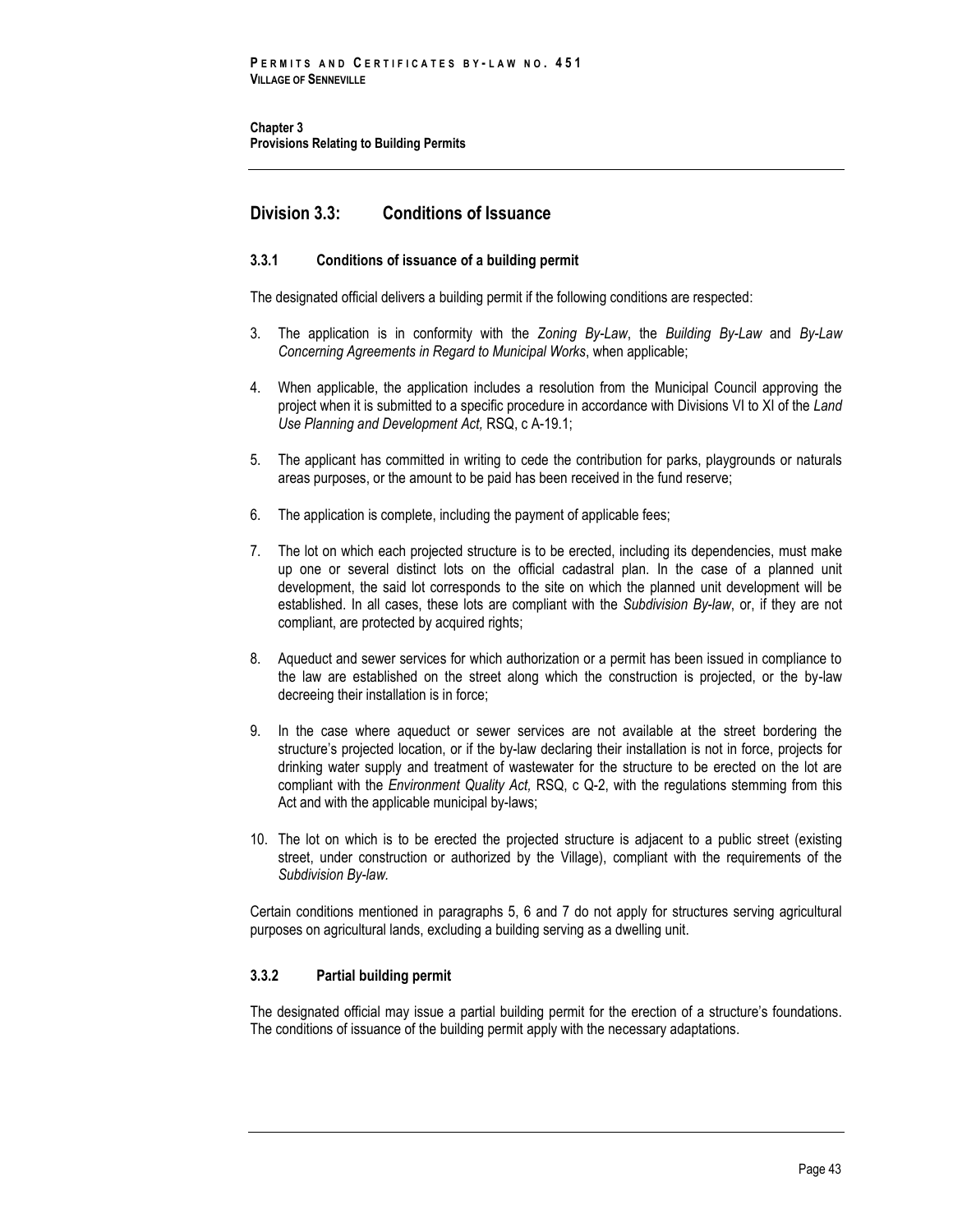# **Division 3.3: Conditions of Issuance**

# **3.3.1 Conditions of issuance of a building permit**

The designated official delivers a building permit if the following conditions are respected:

- 3. The application is in conformity with the *Zoning By-Law*, the *Building By-Law* and *By-Law Concerning Agreements in Regard to Municipal Works*, when applicable;
- 4. When applicable, the application includes a resolution from the Municipal Council approving the project when it is submitted to a specific procedure in accordance with Divisions VI to XI of the *Land Use Planning and Development Act,* RSQ, c A-19.1;
- 5. The applicant has committed in writing to cede the contribution for parks, playgrounds or naturals areas purposes, or the amount to be paid has been received in the fund reserve;
- 6. The application is complete, including the payment of applicable fees;
- 7. The lot on which each projected structure is to be erected, including its dependencies, must make up one or several distinct lots on the official cadastral plan. In the case of a planned unit development, the said lot corresponds to the site on which the planned unit development will be established. In all cases, these lots are compliant with the *Subdivision By-law*, or, if they are not compliant, are protected by acquired rights;
- 8. Aqueduct and sewer services for which authorization or a permit has been issued in compliance to the law are established on the street along which the construction is projected, or the by-law decreeing their installation is in force;
- 9. In the case where aqueduct or sewer services are not available at the street bordering the structure's projected location, or if the by-law declaring their installation is not in force, projects for drinking water supply and treatment of wastewater for the structure to be erected on the lot are compliant with the *Environment Quality Act,* RSQ, c Q-2, with the regulations stemming from this Act and with the applicable municipal by-laws;
- 10. The lot on which is to be erected the projected structure is adjacent to a public street (existing street, under construction or authorized by the Village), compliant with the requirements of the *Subdivision By-law.*

Certain conditions mentioned in paragraphs 5, 6 and 7 do not apply for structures serving agricultural purposes on agricultural lands, excluding a building serving as a dwelling unit.

# **3.3.2 Partial building permit**

The designated official may issue a partial building permit for the erection of a structure's foundations. The conditions of issuance of the building permit apply with the necessary adaptations.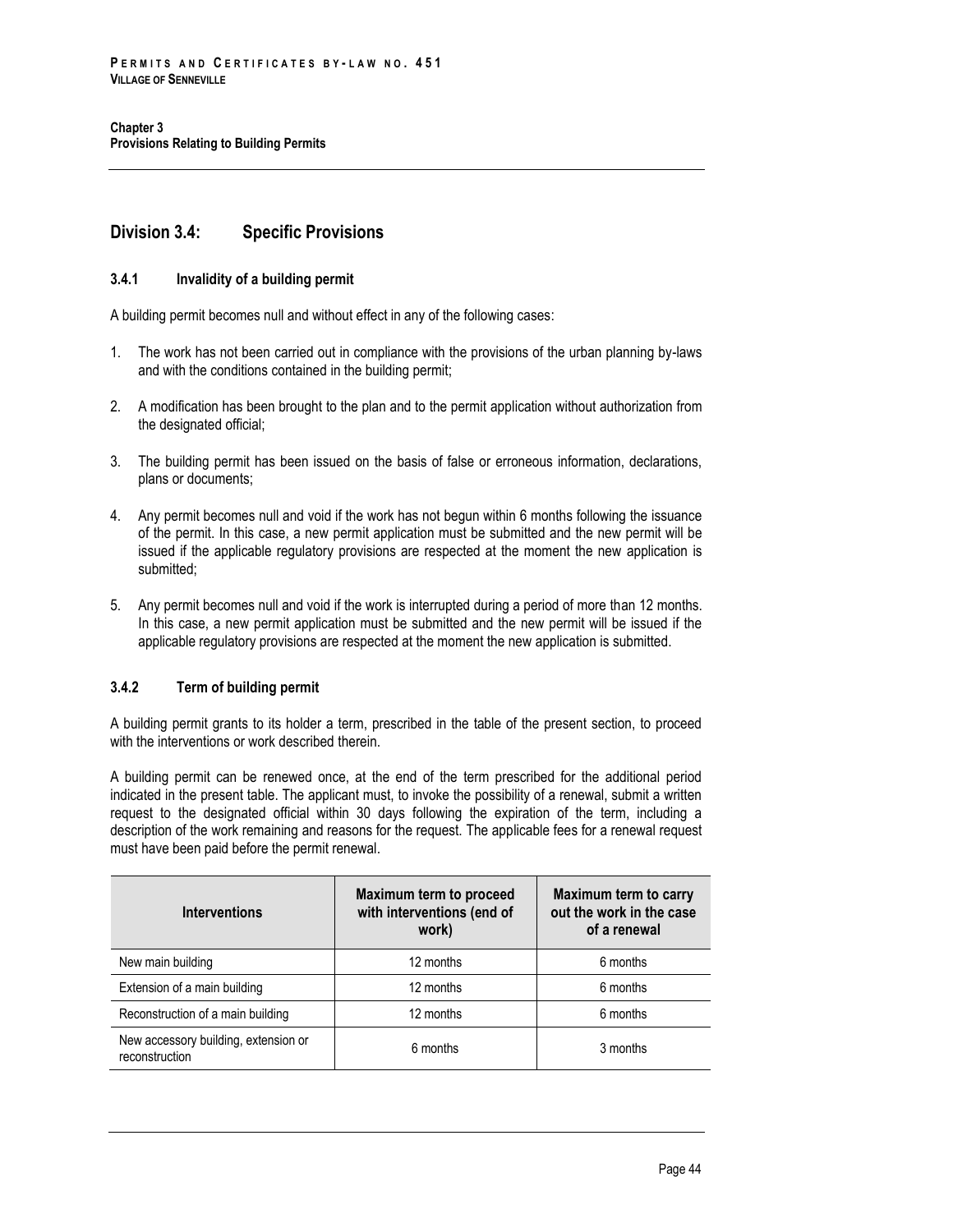# **Division 3.4: Specific Provisions**

# **3.4.1 Invalidity of a building permit**

A building permit becomes null and without effect in any of the following cases:

- 1. The work has not been carried out in compliance with the provisions of the urban planning by-laws and with the conditions contained in the building permit;
- 2. A modification has been brought to the plan and to the permit application without authorization from the designated official;
- 3. The building permit has been issued on the basis of false or erroneous information, declarations, plans or documents;
- 4. Any permit becomes null and void if the work has not begun within 6 months following the issuance of the permit. In this case, a new permit application must be submitted and the new permit will be issued if the applicable regulatory provisions are respected at the moment the new application is submitted:
- 5. Any permit becomes null and void if the work is interrupted during a period of more than 12 months. In this case, a new permit application must be submitted and the new permit will be issued if the applicable regulatory provisions are respected at the moment the new application is submitted.

# **3.4.2 Term of building permit**

A building permit grants to its holder a term, prescribed in the table of the present section, to proceed with the interventions or work described therein.

A building permit can be renewed once, at the end of the term prescribed for the additional period indicated in the present table. The applicant must, to invoke the possibility of a renewal, submit a written request to the designated official within 30 days following the expiration of the term, including a description of the work remaining and reasons for the request. The applicable fees for a renewal request must have been paid before the permit renewal.

| <b>Interventions</b>                                   | Maximum term to proceed<br>with interventions (end of<br>work) | Maximum term to carry<br>out the work in the case<br>of a renewal |
|--------------------------------------------------------|----------------------------------------------------------------|-------------------------------------------------------------------|
| New main building                                      | 12 months                                                      | 6 months                                                          |
| Extension of a main building                           | 12 months                                                      | 6 months                                                          |
| Reconstruction of a main building                      | 12 months                                                      | 6 months                                                          |
| New accessory building, extension or<br>reconstruction | 6 months                                                       | 3 months                                                          |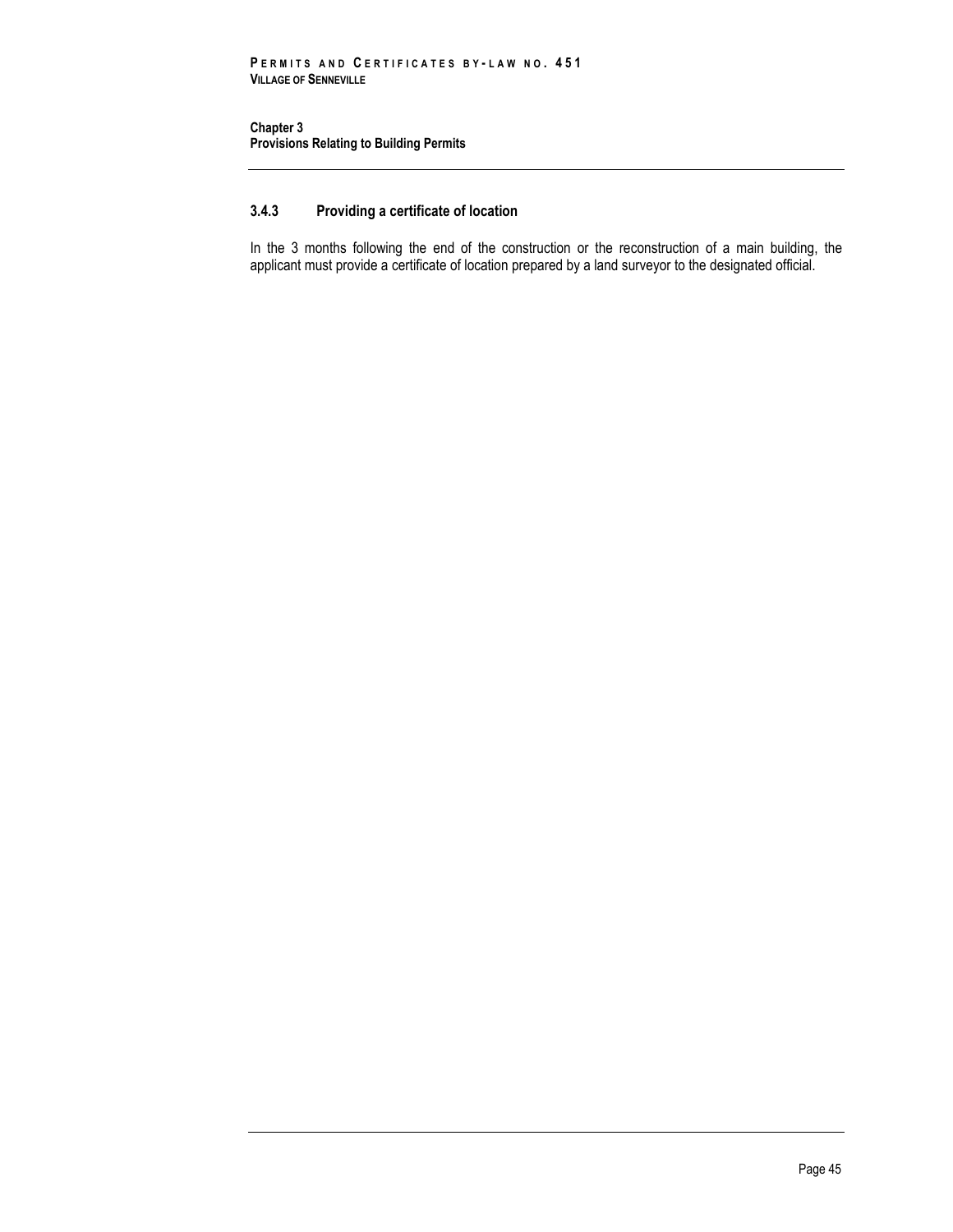# **3.4.3 Providing a certificate of location**

In the 3 months following the end of the construction or the reconstruction of a main building, the applicant must provide a certificate of location prepared by a land surveyor to the designated official.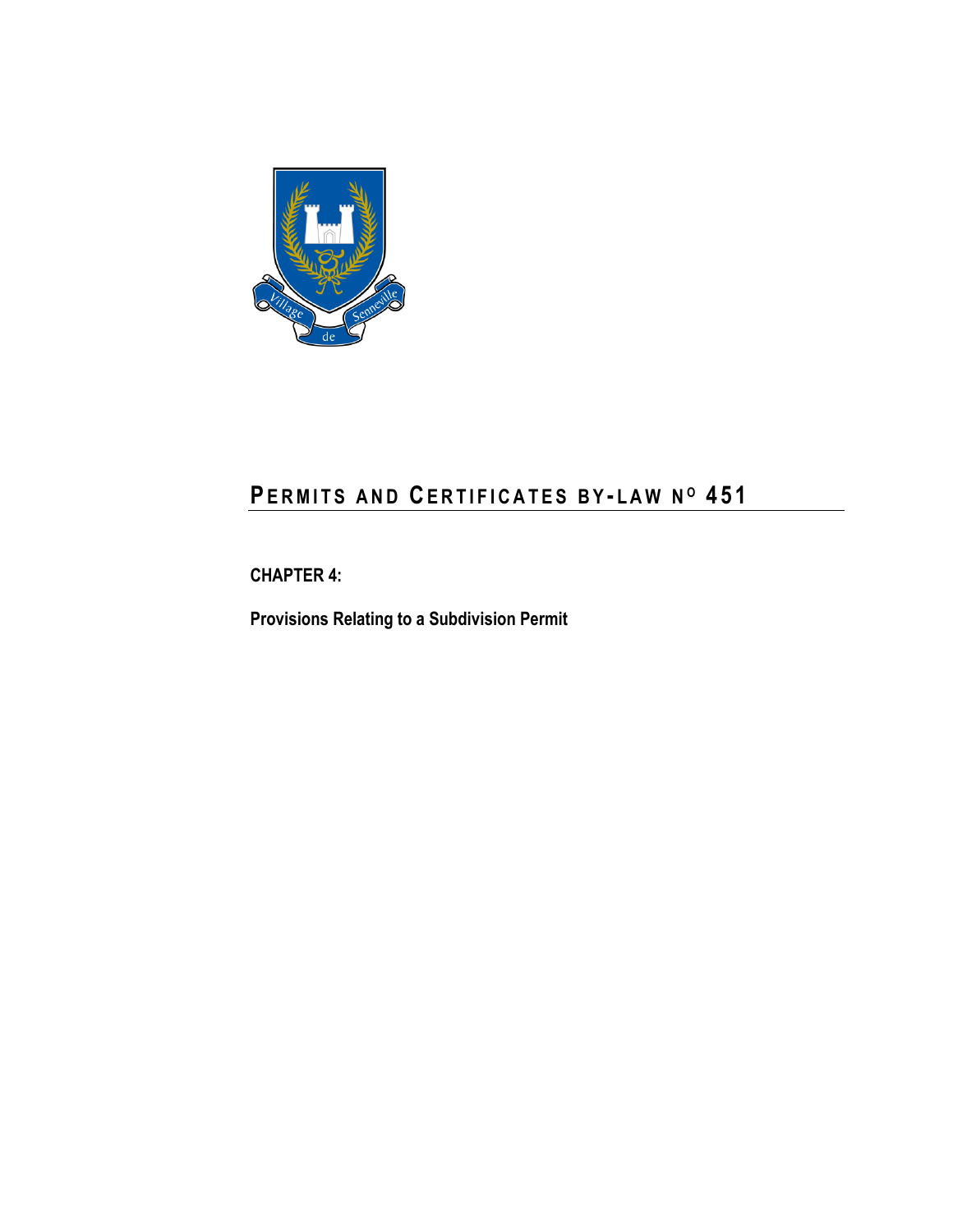

# **PE R M I T S A N D CE R T I F I C A T E S B Y - L A W N <sup>O</sup> 4 5 1**

**CHAPTER 4:**

**Provisions Relating to a Subdivision Permit**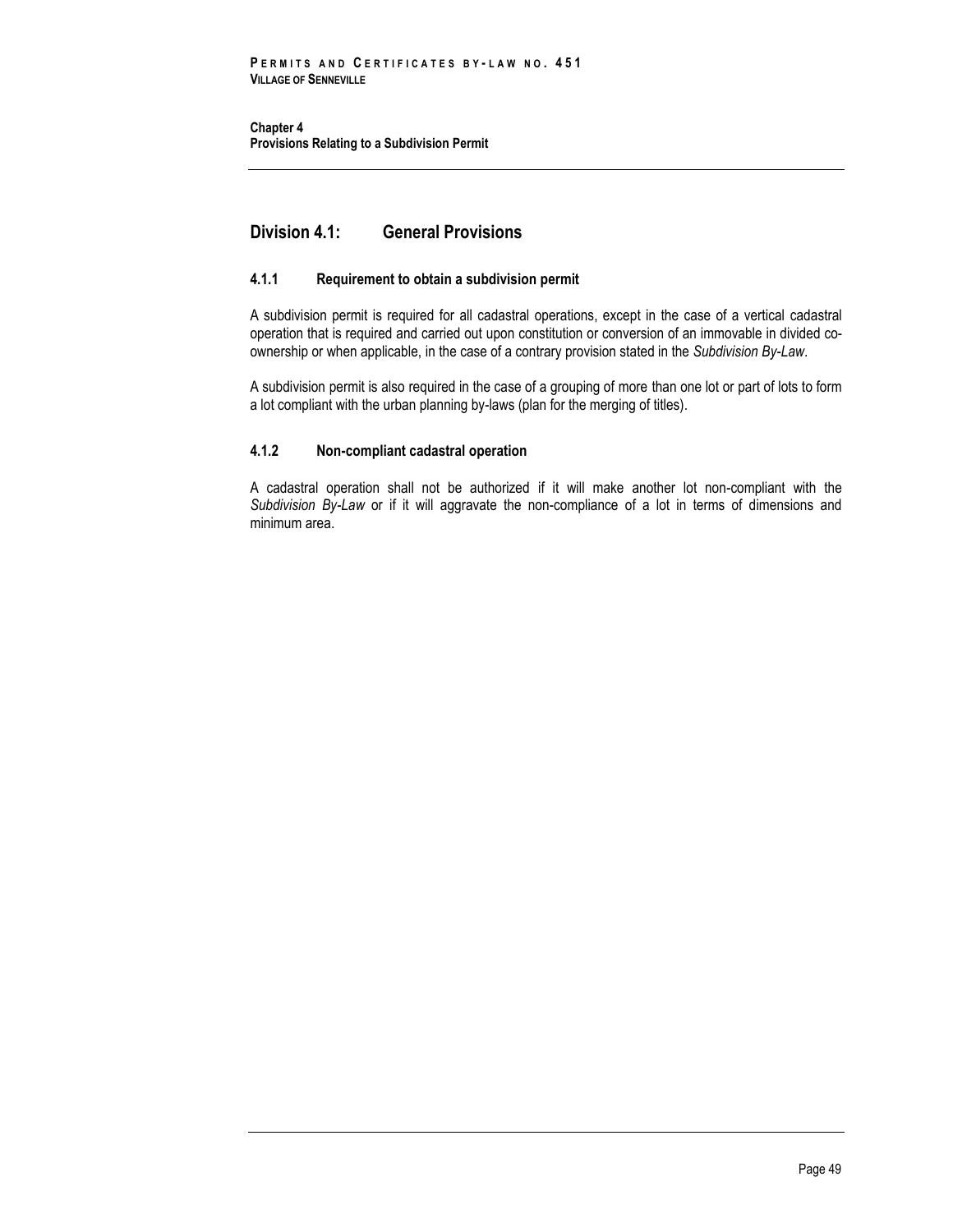**Chapter 4 Provisions Relating to a Subdivision Permit** 

# **Division 4.1: General Provisions**

# **4.1.1 Requirement to obtain a subdivision permit**

A subdivision permit is required for all cadastral operations, except in the case of a vertical cadastral operation that is required and carried out upon constitution or conversion of an immovable in divided coownership or when applicable, in the case of a contrary provision stated in the *Subdivision By-Law*.

A subdivision permit is also required in the case of a grouping of more than one lot or part of lots to form a lot compliant with the urban planning by-laws (plan for the merging of titles).

# **4.1.2 Non-compliant cadastral operation**

A cadastral operation shall not be authorized if it will make another lot non-compliant with the *Subdivision By-Law* or if it will aggravate the non-compliance of a lot in terms of dimensions and minimum area.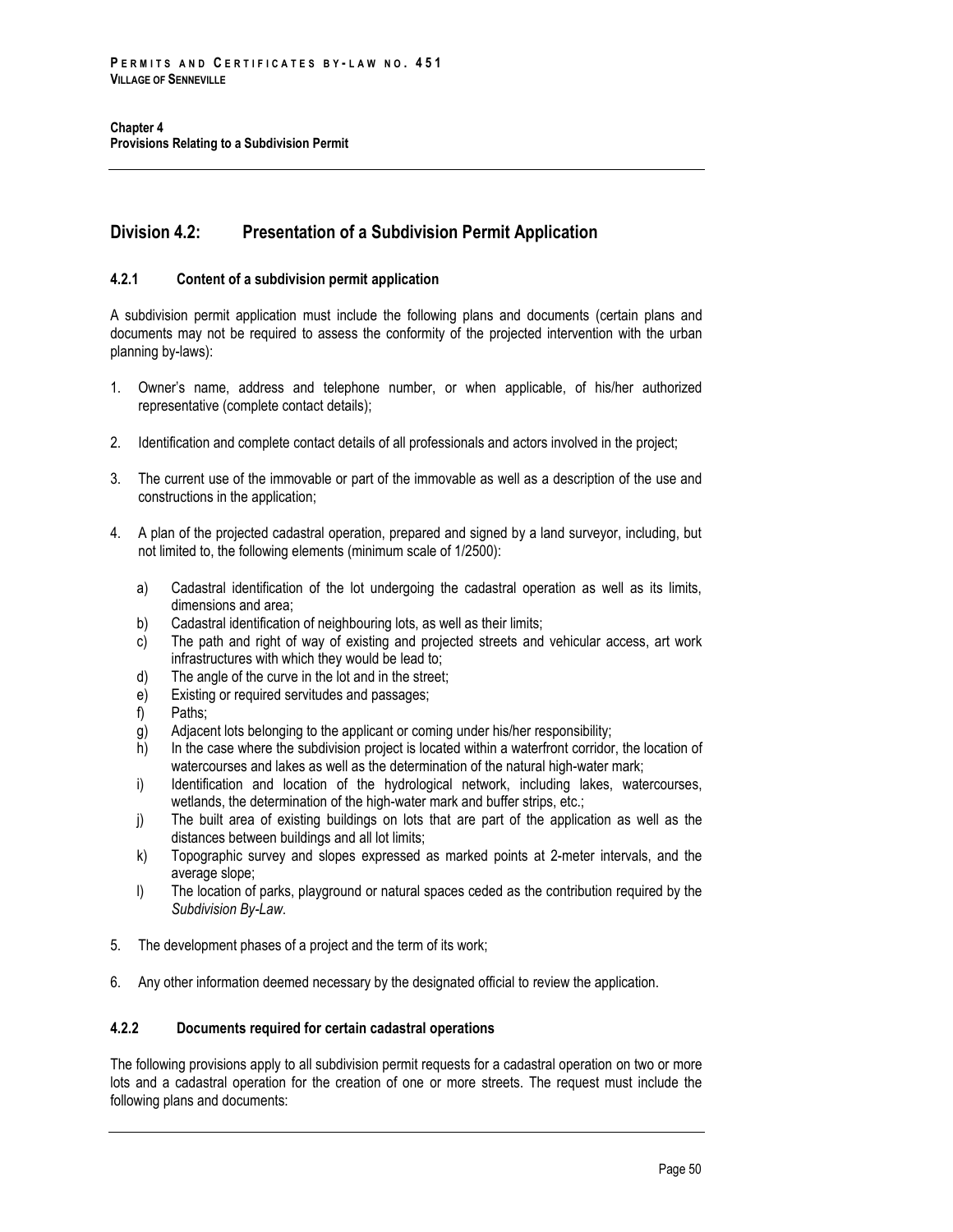# **Division 4.2: Presentation of a Subdivision Permit Application**

# **4.2.1 Content of a subdivision permit application**

A subdivision permit application must include the following plans and documents (certain plans and documents may not be required to assess the conformity of the projected intervention with the urban planning by-laws):

- 1. Owner's name, address and telephone number, or when applicable, of his/her authorized representative (complete contact details);
- 2. Identification and complete contact details of all professionals and actors involved in the project;
- 3. The current use of the immovable or part of the immovable as well as a description of the use and constructions in the application;
- 4. A plan of the projected cadastral operation, prepared and signed by a land surveyor, including, but not limited to, the following elements (minimum scale of 1/2500):
	- a) Cadastral identification of the lot undergoing the cadastral operation as well as its limits, dimensions and area;
	- b) Cadastral identification of neighbouring lots, as well as their limits;
	- c) The path and right of way of existing and projected streets and vehicular access, art work infrastructures with which they would be lead to;
	- d) The angle of the curve in the lot and in the street;
	- e) Existing or required servitudes and passages;
	- f) Paths;
	- g) Adjacent lots belonging to the applicant or coming under his/her responsibility;
	- h) In the case where the subdivision project is located within a waterfront corridor, the location of watercourses and lakes as well as the determination of the natural high-water mark;
	- i) Identification and location of the hydrological network, including lakes, watercourses, wetlands, the determination of the high-water mark and buffer strips, etc.;
	- j) The built area of existing buildings on lots that are part of the application as well as the distances between buildings and all lot limits;
	- k) Topographic survey and slopes expressed as marked points at 2-meter intervals, and the average slope;
	- l) The location of parks, playground or natural spaces ceded as the contribution required by the *Subdivision By-Law*.
- 5. The development phases of a project and the term of its work;
- 6. Any other information deemed necessary by the designated official to review the application.

# **4.2.2 Documents required for certain cadastral operations**

The following provisions apply to all subdivision permit requests for a cadastral operation on two or more lots and a cadastral operation for the creation of one or more streets. The request must include the following plans and documents: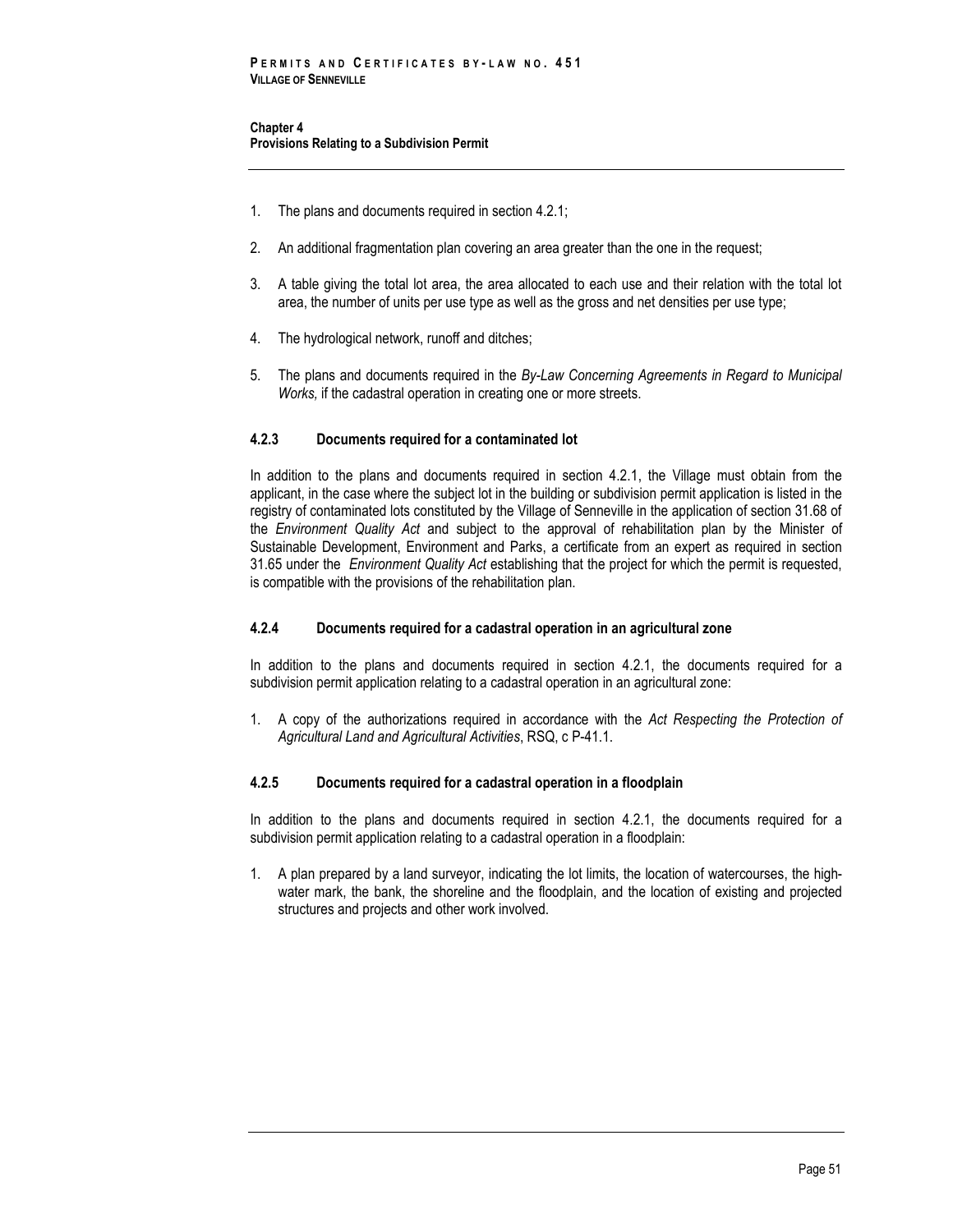**Chapter 4 Provisions Relating to a Subdivision Permit** 

- 1. The plans and documents required in section 4.2.1;
- 2. An additional fragmentation plan covering an area greater than the one in the request;
- 3. A table giving the total lot area, the area allocated to each use and their relation with the total lot area, the number of units per use type as well as the gross and net densities per use type;
- 4. The hydrological network, runoff and ditches;
- 5. The plans and documents required in the *By-Law Concerning Agreements in Regard to Municipal Works,* if the cadastral operation in creating one or more streets.

### **4.2.3 Documents required for a contaminated lot**

In addition to the plans and documents required in section 4.2.1, the Village must obtain from the applicant, in the case where the subject lot in the building or subdivision permit application is listed in the registry of contaminated lots constituted by the Village of Senneville in the application of section 31.68 of the *Environment Quality Act* and subject to the approval of rehabilitation plan by the Minister of Sustainable Development, Environment and Parks, a certificate from an expert as required in section 31.65 under the *Environment Quality Act* establishing that the project for which the permit is requested, is compatible with the provisions of the rehabilitation plan.

# **4.2.4 Documents required for a cadastral operation in an agricultural zone**

In addition to the plans and documents required in section 4.2.1, the documents required for a subdivision permit application relating to a cadastral operation in an agricultural zone:

1. A copy of the authorizations required in accordance with the *Act Respecting the Protection of Agricultural Land and Agricultural Activities*, RSQ, c P-41.1.

#### **4.2.5 Documents required for a cadastral operation in a floodplain**

In addition to the plans and documents required in section 4.2.1, the documents required for a subdivision permit application relating to a cadastral operation in a floodplain:

1. A plan prepared by a land surveyor, indicating the lot limits, the location of watercourses, the highwater mark, the bank, the shoreline and the floodplain, and the location of existing and projected structures and projects and other work involved.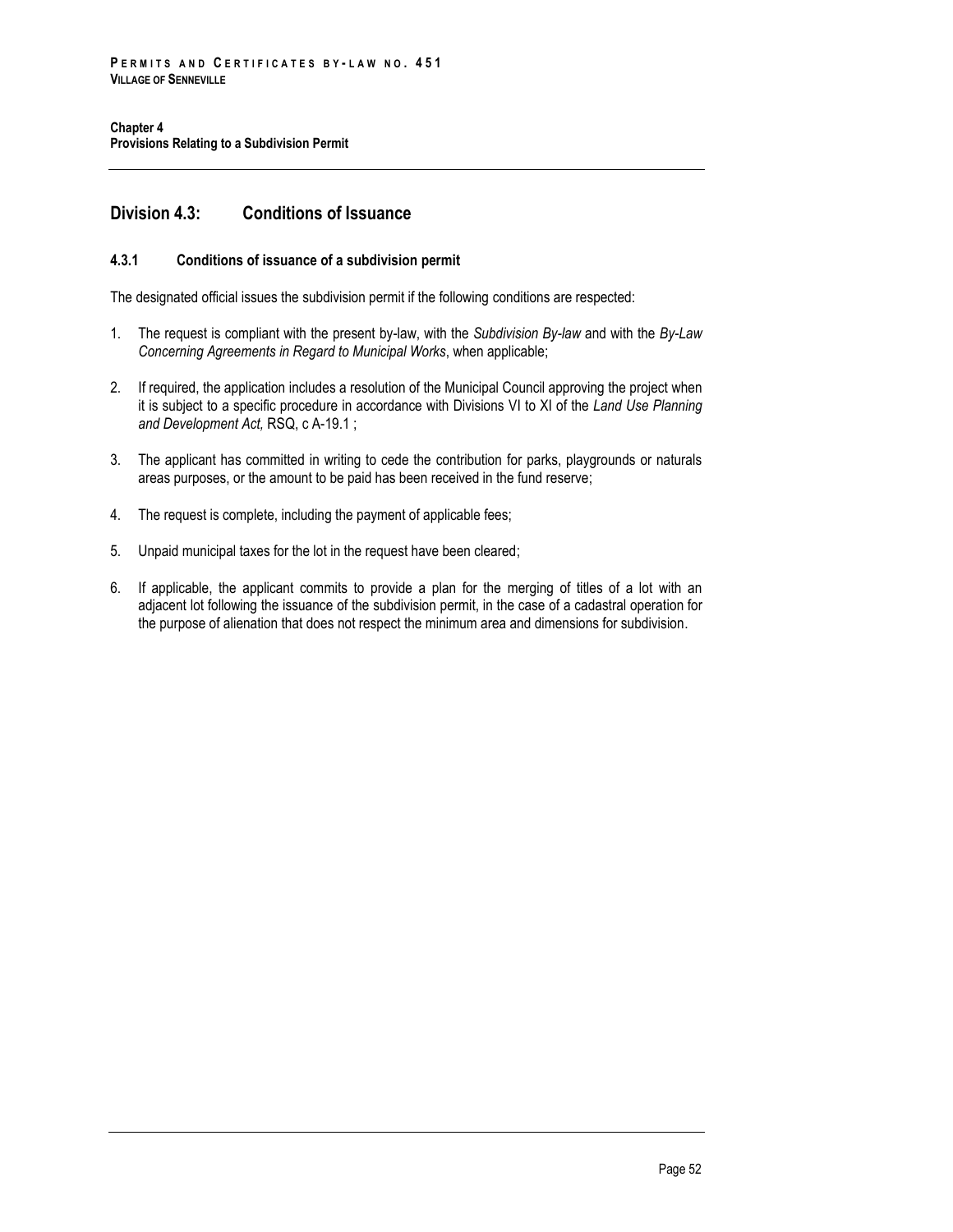# **Division 4.3: Conditions of Issuance**

# **4.3.1 Conditions of issuance of a subdivision permit**

The designated official issues the subdivision permit if the following conditions are respected:

- 1. The request is compliant with the present by-law, with the *Subdivision By-law* and with the *By-Law Concerning Agreements in Regard to Municipal Works*, when applicable;
- 2. If required, the application includes a resolution of the Municipal Council approving the project when it is subject to a specific procedure in accordance with Divisions VI to XI of the *Land Use Planning and Development Act,* RSQ, c A-19.1 ;
- 3. The applicant has committed in writing to cede the contribution for parks, playgrounds or naturals areas purposes, or the amount to be paid has been received in the fund reserve;
- 4. The request is complete, including the payment of applicable fees;
- 5. Unpaid municipal taxes for the lot in the request have been cleared;
- 6. If applicable, the applicant commits to provide a plan for the merging of titles of a lot with an adjacent lot following the issuance of the subdivision permit, in the case of a cadastral operation for the purpose of alienation that does not respect the minimum area and dimensions for subdivision.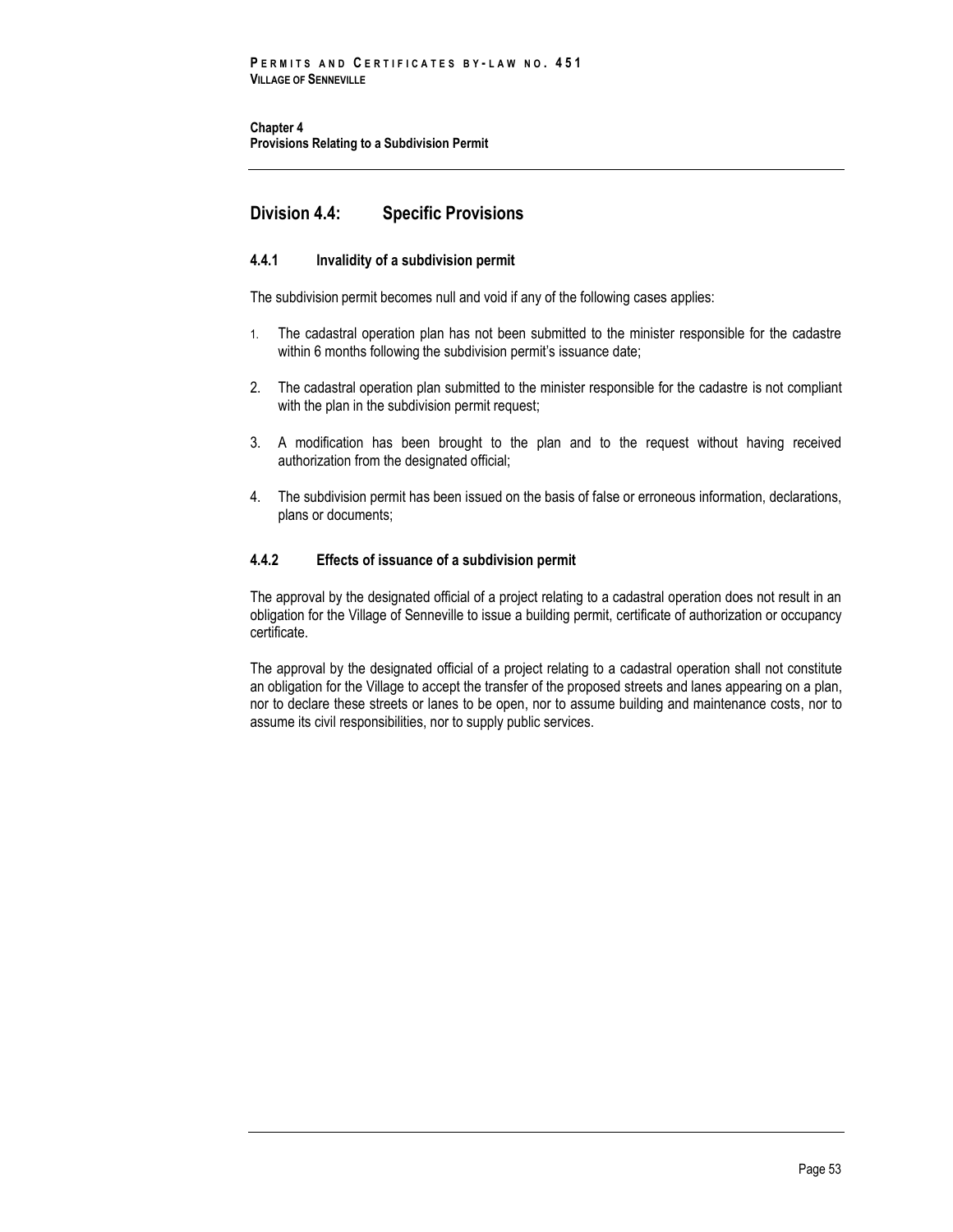**Chapter 4 Provisions Relating to a Subdivision Permit** 

# **Division 4.4: Specific Provisions**

# **4.4.1 Invalidity of a subdivision permit**

The subdivision permit becomes null and void if any of the following cases applies:

- 1. The cadastral operation plan has not been submitted to the minister responsible for the cadastre within 6 months following the subdivision permit's issuance date;
- 2. The cadastral operation plan submitted to the minister responsible for the cadastre is not compliant with the plan in the subdivision permit request;
- 3. A modification has been brought to the plan and to the request without having received authorization from the designated official;
- 4. The subdivision permit has been issued on the basis of false or erroneous information, declarations, plans or documents;

# **4.4.2 Effects of issuance of a subdivision permit**

The approval by the designated official of a project relating to a cadastral operation does not result in an obligation for the Village of Senneville to issue a building permit, certificate of authorization or occupancy certificate.

The approval by the designated official of a project relating to a cadastral operation shall not constitute an obligation for the Village to accept the transfer of the proposed streets and lanes appearing on a plan, nor to declare these streets or lanes to be open, nor to assume building and maintenance costs, nor to assume its civil responsibilities, nor to supply public services.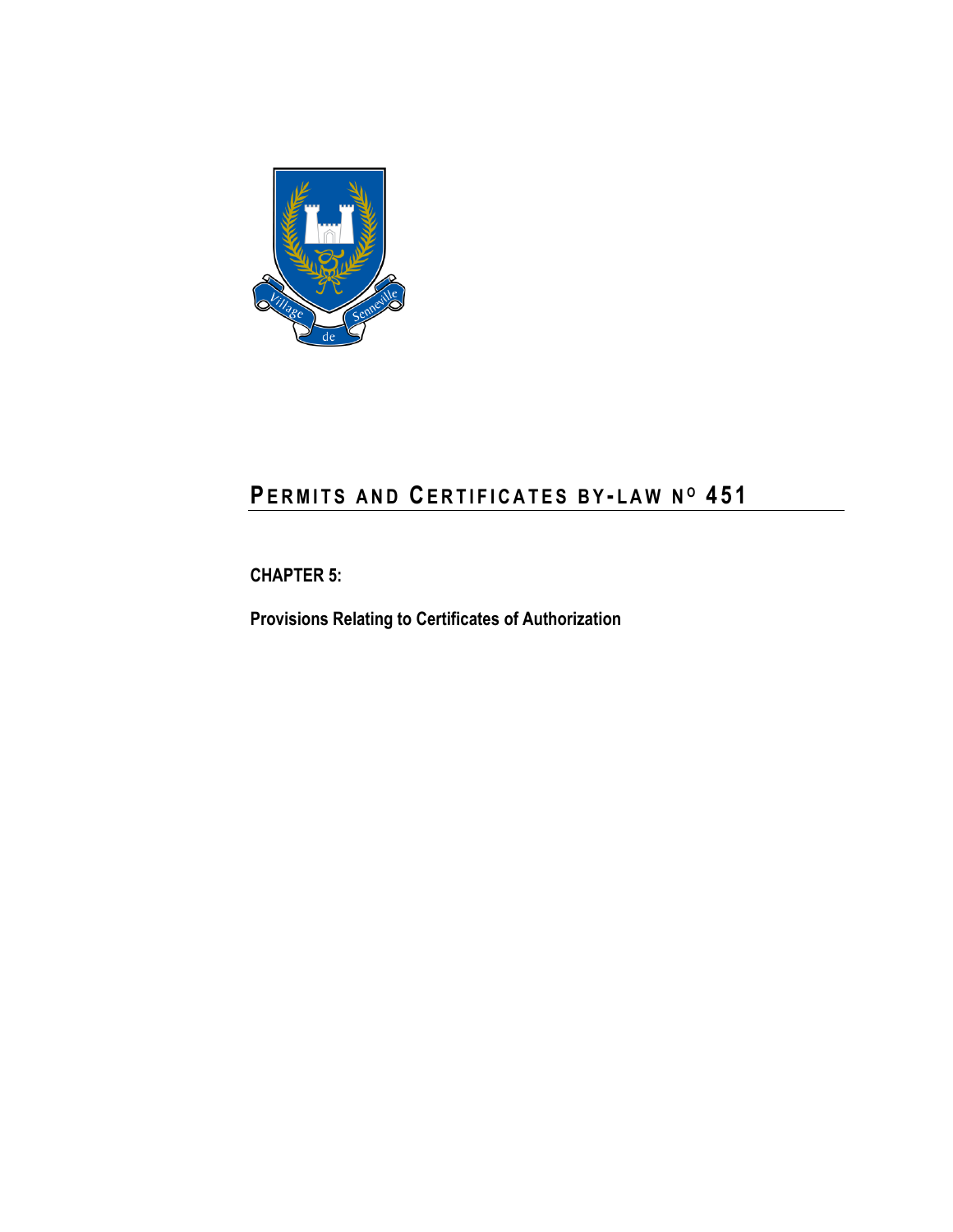

# **PE R M I T S A N D CE R T I F I C A T E S B Y - L A W N <sup>O</sup> 4 5 1**

**CHAPTER 5:**

**Provisions Relating to Certificates of Authorization**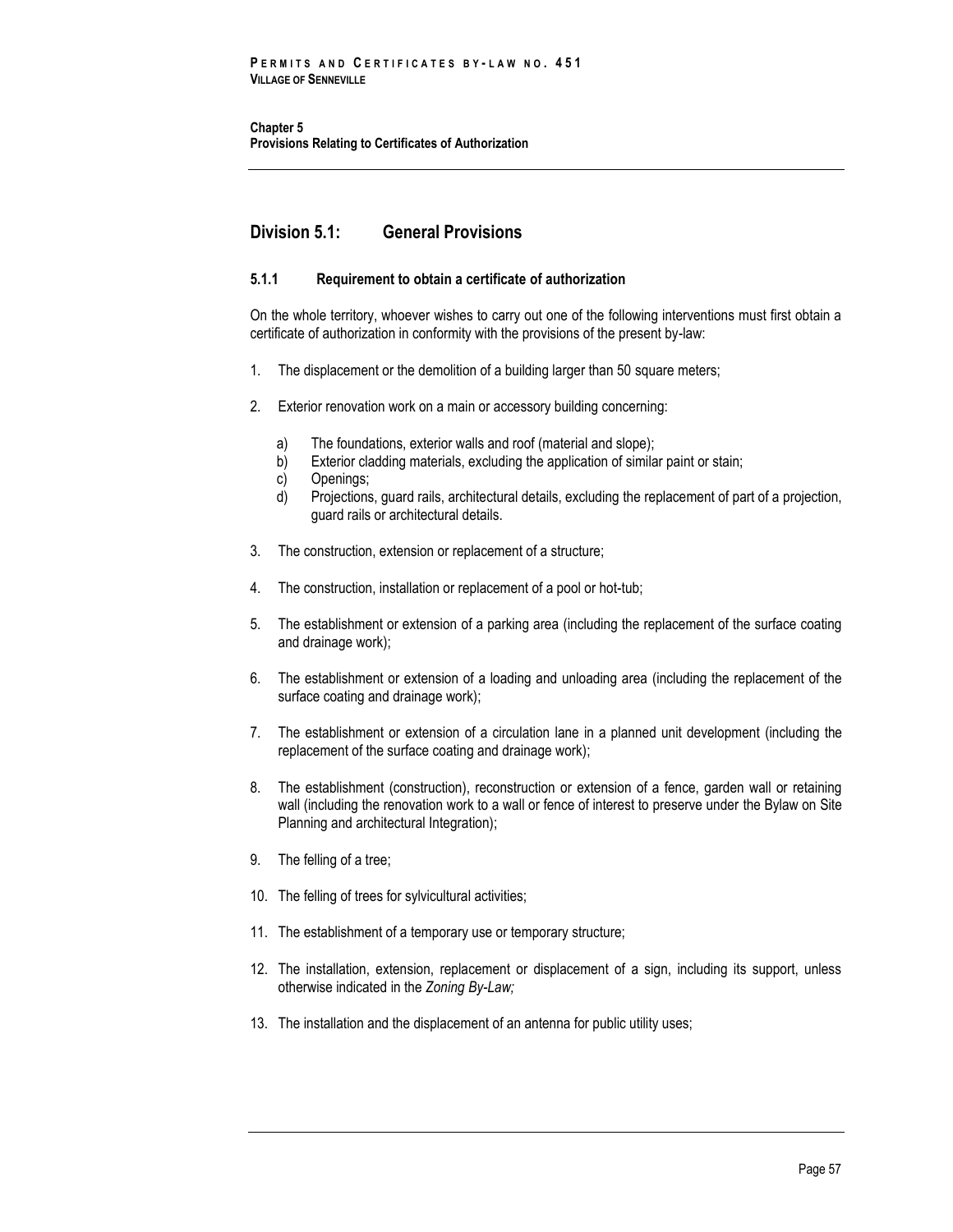**Chapter 5 Provisions Relating to Certificates of Authorization**

# **Division 5.1: General Provisions**

# **5.1.1 Requirement to obtain a certificate of authorization**

On the whole territory, whoever wishes to carry out one of the following interventions must first obtain a certificate of authorization in conformity with the provisions of the present by-law:

- 1. The displacement or the demolition of a building larger than 50 square meters;
- 2. Exterior renovation work on a main or accessory building concerning:
	- a) The foundations, exterior walls and roof (material and slope);
	- b) Exterior cladding materials, excluding the application of similar paint or stain;
	- c) Openings;
	- d) Projections, guard rails, architectural details, excluding the replacement of part of a projection, guard rails or architectural details.
- 3. The construction, extension or replacement of a structure;
- 4. The construction, installation or replacement of a pool or hot-tub;
- 5. The establishment or extension of a parking area (including the replacement of the surface coating and drainage work);
- 6. The establishment or extension of a loading and unloading area (including the replacement of the surface coating and drainage work);
- 7. The establishment or extension of a circulation lane in a planned unit development (including the replacement of the surface coating and drainage work);
- 8. The establishment (construction), reconstruction or extension of a fence, garden wall or retaining wall (including the renovation work to a wall or fence of interest to preserve under the Bylaw on Site Planning and architectural Integration);
- 9. The felling of a tree;
- 10. The felling of trees for sylvicultural activities;
- 11. The establishment of a temporary use or temporary structure;
- 12. The installation, extension, replacement or displacement of a sign, including its support, unless otherwise indicated in the *Zoning By-Law;*
- 13. The installation and the displacement of an antenna for public utility uses;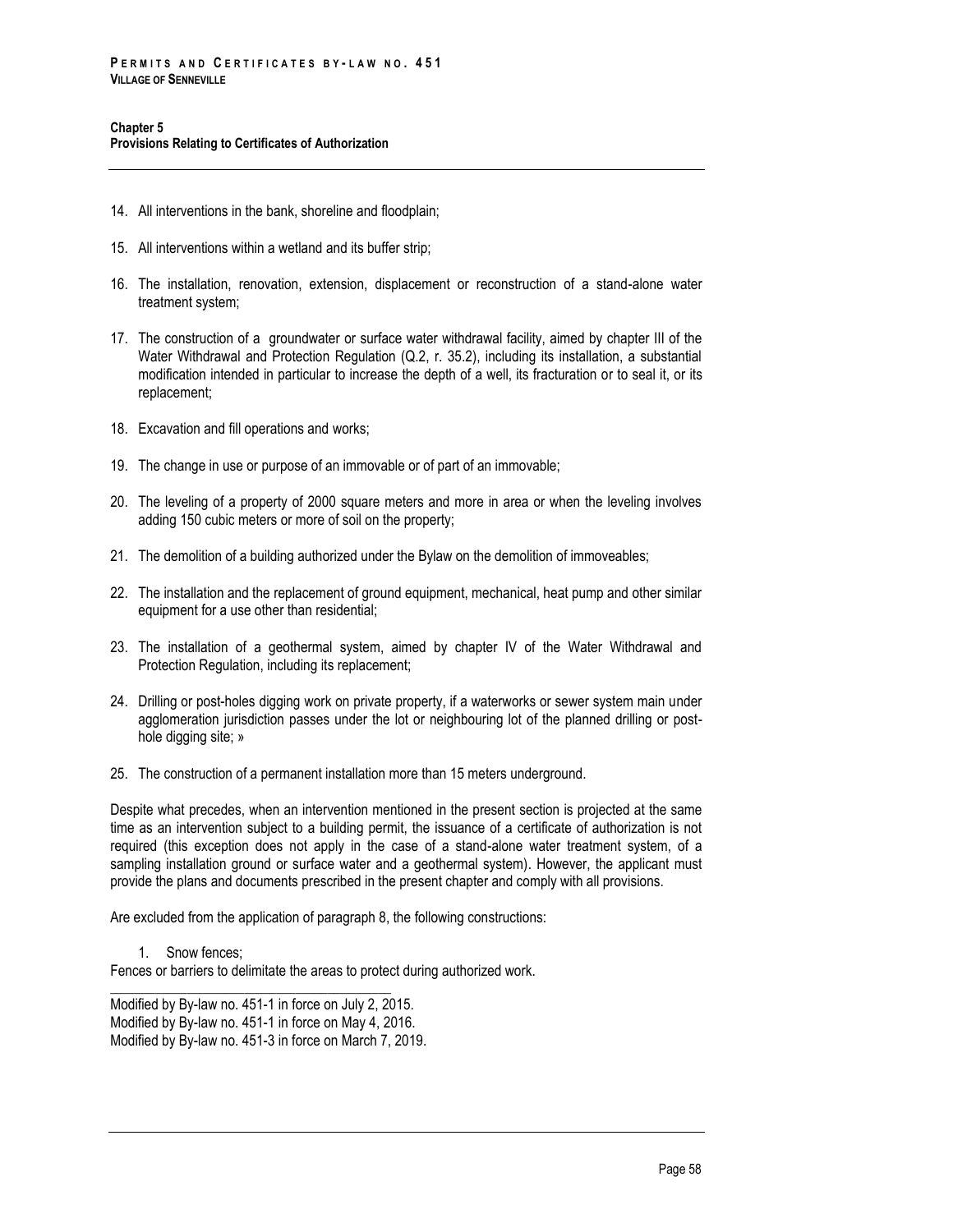- 14. All interventions in the bank, shoreline and floodplain;
- 15. All interventions within a wetland and its buffer strip;
- 16. The installation, renovation, extension, displacement or reconstruction of a stand-alone water treatment system;
- 17. The construction of a groundwater or surface water withdrawal facility, aimed by chapter III of the Water Withdrawal and Protection Regulation (Q.2, r. 35.2), including its installation, a substantial modification intended in particular to increase the depth of a well, its fracturation or to seal it, or its replacement;
- 18. Excavation and fill operations and works;
- 19. The change in use or purpose of an immovable or of part of an immovable;
- 20. The leveling of a property of 2000 square meters and more in area or when the leveling involves adding 150 cubic meters or more of soil on the property;
- 21. The demolition of a building authorized under the Bylaw on the demolition of immoveables;
- 22. The installation and the replacement of ground equipment, mechanical, heat pump and other similar equipment for a use other than residential;
- 23. The installation of a geothermal system, aimed by chapter IV of the Water Withdrawal and Protection Regulation, including its replacement;
- 24. Drilling or post-holes digging work on private property, if a waterworks or sewer system main under agglomeration jurisdiction passes under the lot or neighbouring lot of the planned drilling or posthole digging site; »
- 25. The construction of a permanent installation more than 15 meters underground.

Despite what precedes, when an intervention mentioned in the present section is projected at the same time as an intervention subject to a building permit, the issuance of a certificate of authorization is not required (this exception does not apply in the case of a stand-alone water treatment system, of a sampling installation ground or surface water and a geothermal system). However, the applicant must provide the plans and documents prescribed in the present chapter and comply with all provisions.

Are excluded from the application of paragraph 8, the following constructions:

1. Snow fences; Fences or barriers to delimitate the areas to protect during authorized work.

\_\_\_\_\_\_\_\_\_\_\_\_\_\_\_\_\_\_\_\_\_\_\_\_\_\_\_\_\_\_\_\_\_\_\_\_\_\_\_\_\_\_\_\_

Modified by By-law no. 451-1 in force on July 2, 2015. Modified by By-law no. 451-1 in force on May 4, 2016. Modified by By-law no. 451-3 in force on March 7, 2019.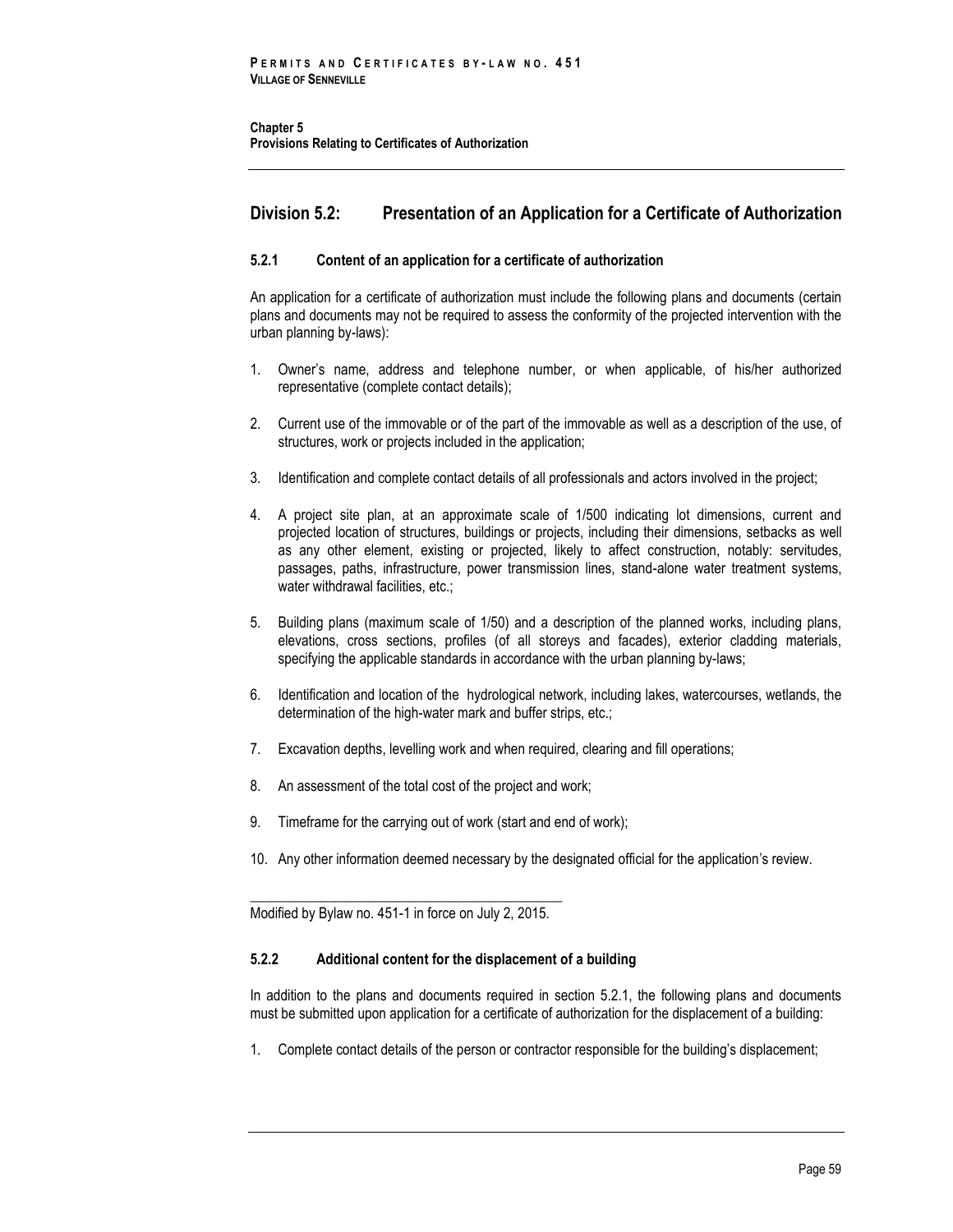**Chapter 5 Provisions Relating to Certificates of Authorization**

# **Division 5.2: Presentation of an Application for a Certificate of Authorization**

# **5.2.1 Content of an application for a certificate of authorization**

An application for a certificate of authorization must include the following plans and documents (certain plans and documents may not be required to assess the conformity of the projected intervention with the urban planning by-laws):

- 1. Owner's name, address and telephone number, or when applicable, of his/her authorized representative (complete contact details);
- 2. Current use of the immovable or of the part of the immovable as well as a description of the use, of structures, work or projects included in the application;
- 3. Identification and complete contact details of all professionals and actors involved in the project;
- 4. A project site plan, at an approximate scale of 1/500 indicating lot dimensions, current and projected location of structures, buildings or projects, including their dimensions, setbacks as well as any other element, existing or projected, likely to affect construction, notably: servitudes, passages, paths, infrastructure, power transmission lines, stand-alone water treatment systems, water withdrawal facilities, etc.;
- 5. Building plans (maximum scale of 1/50) and a description of the planned works, including plans, elevations, cross sections, profiles (of all storeys and facades), exterior cladding materials, specifying the applicable standards in accordance with the urban planning by-laws;
- 6. Identification and location of the hydrological network, including lakes, watercourses, wetlands, the determination of the high-water mark and buffer strips, etc.;
- 7. Excavation depths, levelling work and when required, clearing and fill operations;
- 8. An assessment of the total cost of the project and work;
- 9. Timeframe for the carrying out of work (start and end of work);
- 10. Any other information deemed necessary by the designated official for the application's review.

\_\_\_\_\_\_\_\_\_\_\_\_\_\_\_\_\_\_\_\_\_\_\_\_\_\_\_\_\_\_\_\_\_\_\_\_\_\_\_\_\_\_\_\_ Modified by Bylaw no. 451-1 in force on July 2, 2015.

# **5.2.2 Additional content for the displacement of a building**

In addition to the plans and documents required in section 5.2.1, the following plans and documents must be submitted upon application for a certificate of authorization for the displacement of a building:

1. Complete contact details of the person or contractor responsible for the building's displacement;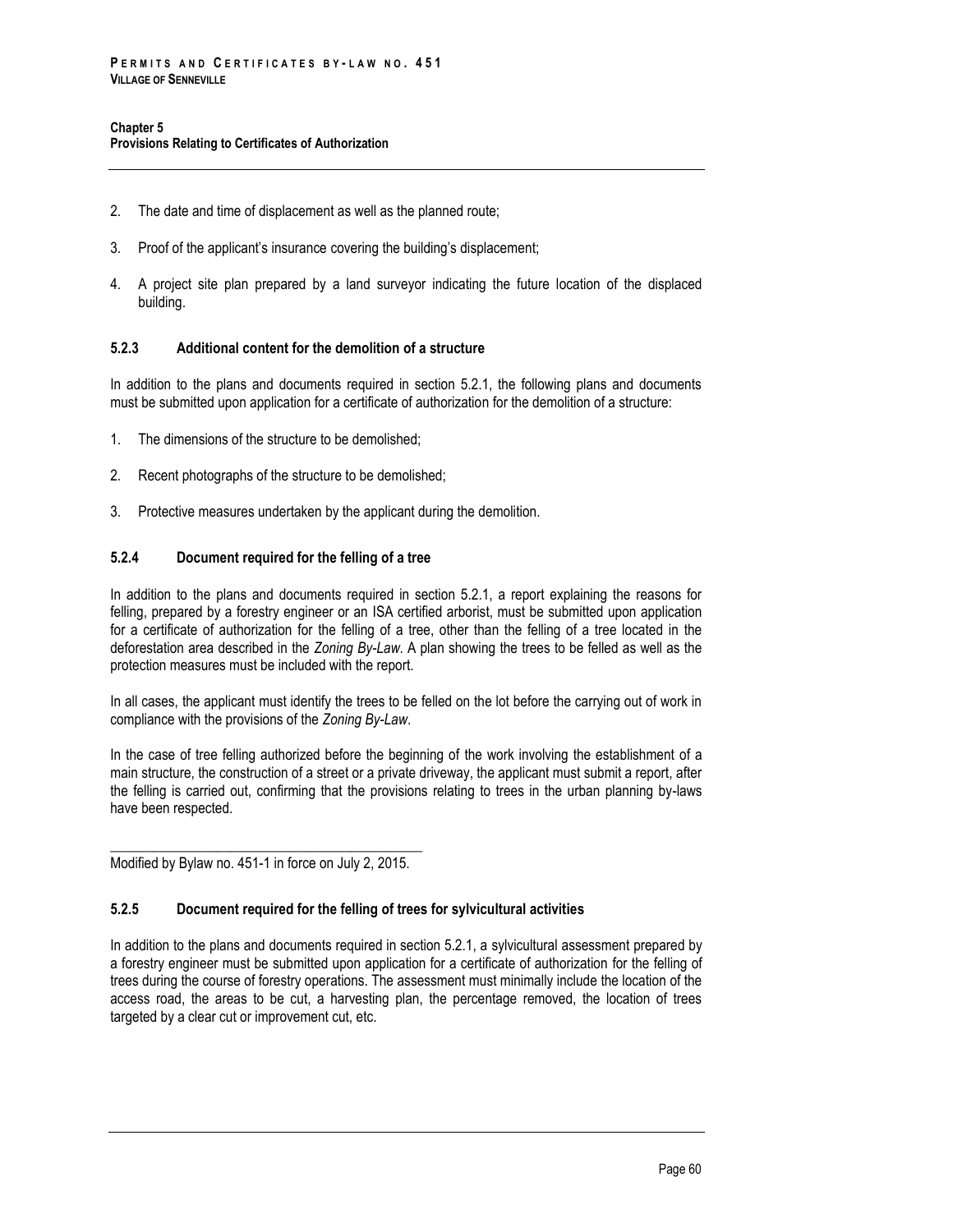- 2. The date and time of displacement as well as the planned route;
- 3. Proof of the applicant's insurance covering the building's displacement;
- 4. A project site plan prepared by a land surveyor indicating the future location of the displaced building.

### **5.2.3 Additional content for the demolition of a structure**

In addition to the plans and documents required in section 5.2.1, the following plans and documents must be submitted upon application for a certificate of authorization for the demolition of a structure:

- 1. The dimensions of the structure to be demolished;
- 2. Recent photographs of the structure to be demolished;
- 3. Protective measures undertaken by the applicant during the demolition.

### **5.2.4 Document required for the felling of a tree**

In addition to the plans and documents required in section 5.2.1, a report explaining the reasons for felling, prepared by a forestry engineer or an ISA certified arborist, must be submitted upon application for a certificate of authorization for the felling of a tree, other than the felling of a tree located in the deforestation area described in the *Zoning By-Law*. A plan showing the trees to be felled as well as the protection measures must be included with the report.

In all cases, the applicant must identify the trees to be felled on the lot before the carrying out of work in compliance with the provisions of the *Zoning By-Law*.

In the case of tree felling authorized before the beginning of the work involving the establishment of a main structure, the construction of a street or a private driveway, the applicant must submit a report, after the felling is carried out, confirming that the provisions relating to trees in the urban planning by-laws have been respected.

\_\_\_\_\_\_\_\_\_\_\_\_\_\_\_\_\_\_\_\_\_\_\_\_\_\_\_\_\_\_\_\_\_\_\_\_\_\_\_\_\_\_\_\_ Modified by Bylaw no. 451-1 in force on July 2, 2015.

# **5.2.5 Document required for the felling of trees for sylvicultural activities**

In addition to the plans and documents required in section 5.2.1, a sylvicultural assessment prepared by a forestry engineer must be submitted upon application for a certificate of authorization for the felling of trees during the course of forestry operations. The assessment must minimally include the location of the access road, the areas to be cut, a harvesting plan, the percentage removed, the location of trees targeted by a clear cut or improvement cut, etc.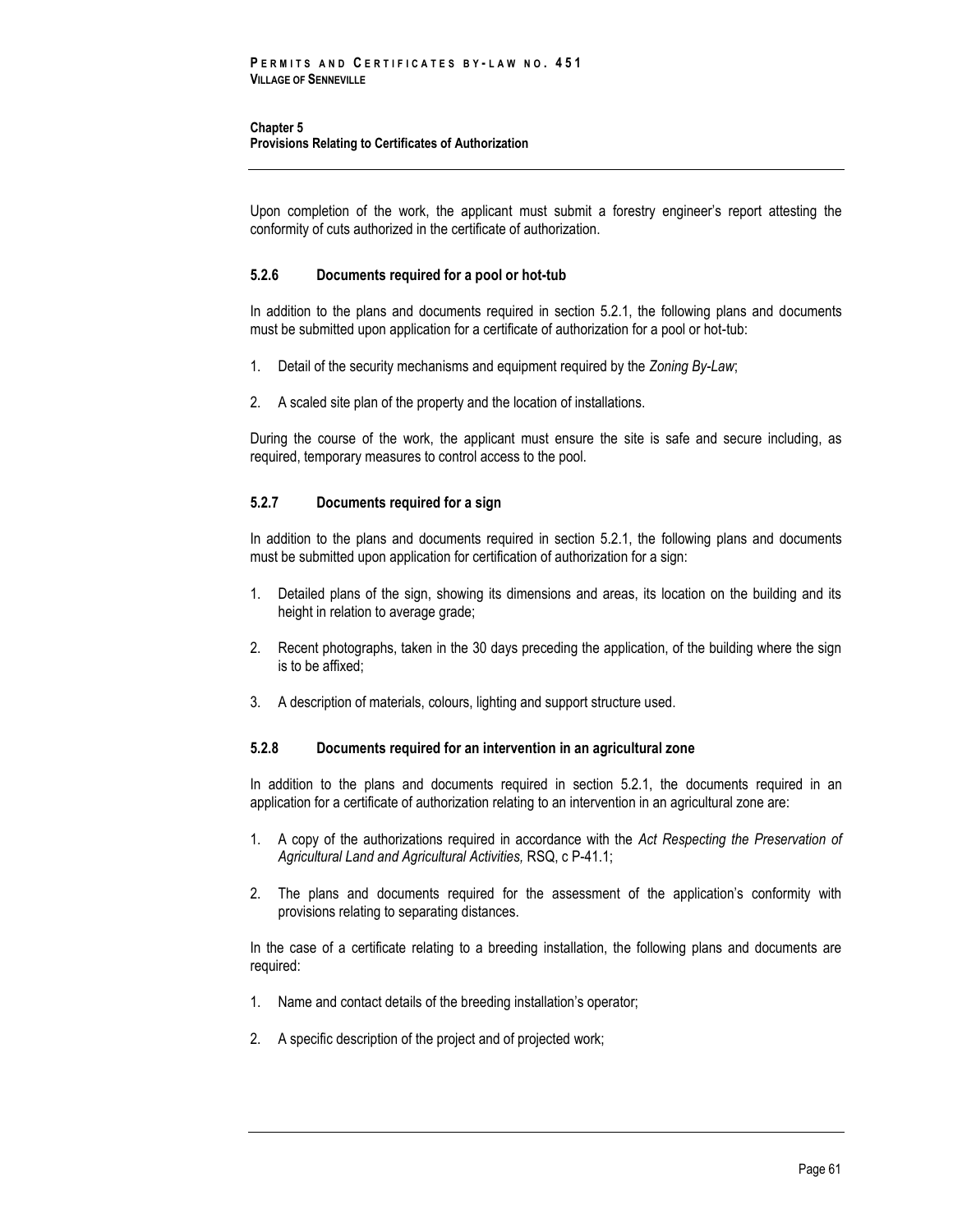#### **Chapter 5 Provisions Relating to Certificates of Authorization**

Upon completion of the work, the applicant must submit a forestry engineer's report attesting the conformity of cuts authorized in the certificate of authorization.

# **5.2.6 Documents required for a pool or hot-tub**

In addition to the plans and documents required in section 5.2.1, the following plans and documents must be submitted upon application for a certificate of authorization for a pool or hot-tub:

- 1. Detail of the security mechanisms and equipment required by the *Zoning By-Law*;
- 2. A scaled site plan of the property and the location of installations.

During the course of the work, the applicant must ensure the site is safe and secure including, as required, temporary measures to control access to the pool.

# **5.2.7 Documents required for a sign**

In addition to the plans and documents required in section 5.2.1, the following plans and documents must be submitted upon application for certification of authorization for a sign:

- 1. Detailed plans of the sign, showing its dimensions and areas, its location on the building and its height in relation to average grade;
- 2. Recent photographs, taken in the 30 days preceding the application, of the building where the sign is to be affixed;
- 3. A description of materials, colours, lighting and support structure used.

# **5.2.8 Documents required for an intervention in an agricultural zone**

In addition to the plans and documents required in section 5.2.1, the documents required in an application for a certificate of authorization relating to an intervention in an agricultural zone are:

- 1. A copy of the authorizations required in accordance with the *Act Respecting the Preservation of Agricultural Land and Agricultural Activities,* RSQ, c P-41.1;
- 2. The plans and documents required for the assessment of the application's conformity with provisions relating to separating distances.

In the case of a certificate relating to a breeding installation, the following plans and documents are required:

- 1. Name and contact details of the breeding installation's operator;
- 2. A specific description of the project and of projected work;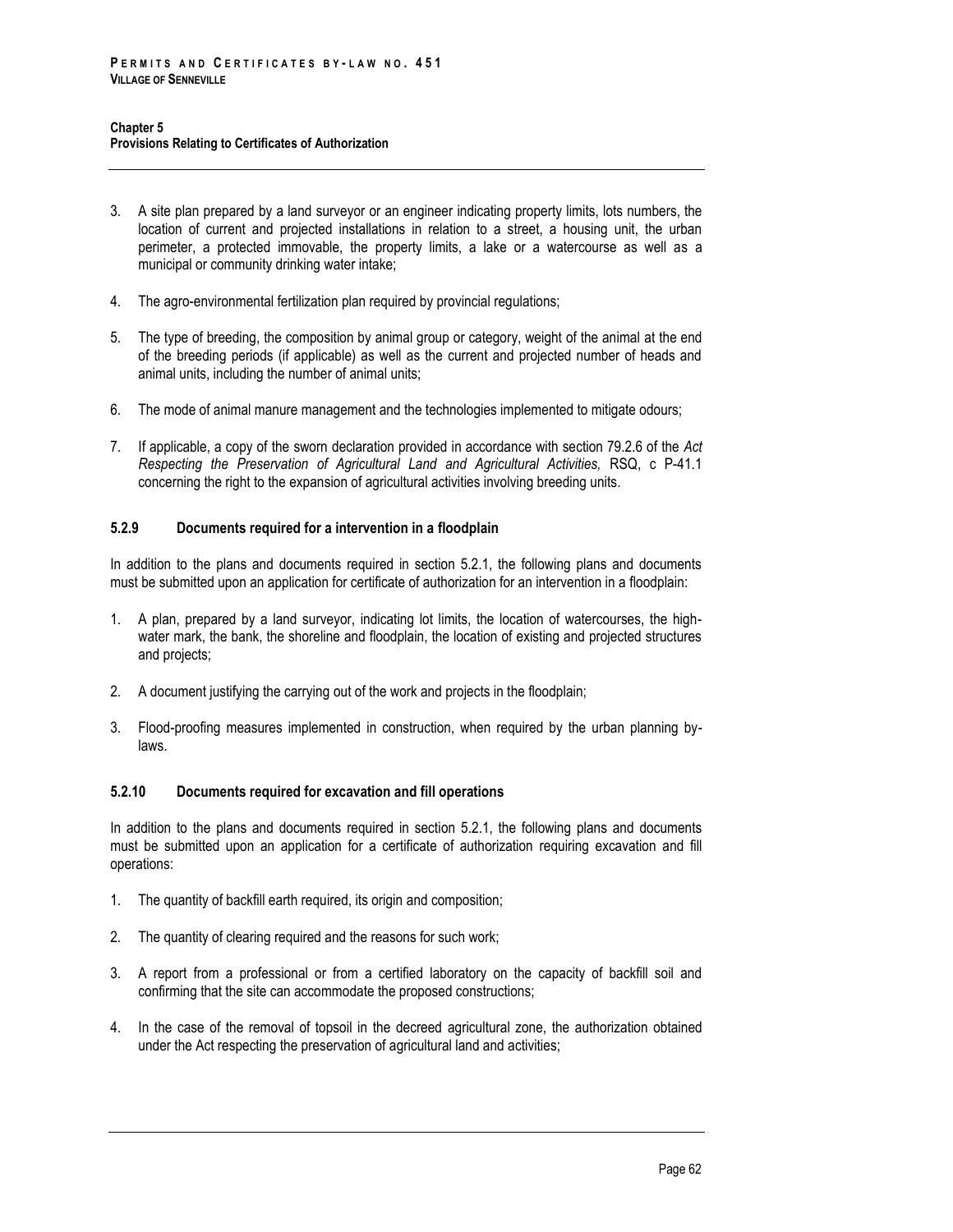- 3. A site plan prepared by a land surveyor or an engineer indicating property limits, lots numbers, the location of current and projected installations in relation to a street, a housing unit, the urban perimeter, a protected immovable, the property limits, a lake or a watercourse as well as a municipal or community drinking water intake;
- 4. The agro-environmental fertilization plan required by provincial regulations;
- 5. The type of breeding, the composition by animal group or category, weight of the animal at the end of the breeding periods (if applicable) as well as the current and projected number of heads and animal units, including the number of animal units;
- 6. The mode of animal manure management and the technologies implemented to mitigate odours;
- 7. If applicable, a copy of the sworn declaration provided in accordance with section 79.2.6 of the *Act Respecting the Preservation of Agricultural Land and Agricultural Activities,* RSQ, c P-41.1 concerning the right to the expansion of agricultural activities involving breeding units.

# **5.2.9 Documents required for a intervention in a floodplain**

In addition to the plans and documents required in section 5.2.1, the following plans and documents must be submitted upon an application for certificate of authorization for an intervention in a floodplain:

- 1. A plan, prepared by a land surveyor, indicating lot limits, the location of watercourses, the highwater mark, the bank, the shoreline and floodplain, the location of existing and projected structures and projects;
- 2. A document justifying the carrying out of the work and projects in the floodplain;
- 3. Flood-proofing measures implemented in construction, when required by the urban planning bylaws.

# **5.2.10 Documents required for excavation and fill operations**

In addition to the plans and documents required in section 5.2.1, the following plans and documents must be submitted upon an application for a certificate of authorization requiring excavation and fill operations:

- 1. The quantity of backfill earth required, its origin and composition;
- 2. The quantity of clearing required and the reasons for such work;
- 3. A report from a professional or from a certified laboratory on the capacity of backfill soil and confirming that the site can accommodate the proposed constructions;
- 4. In the case of the removal of topsoil in the decreed agricultural zone, the authorization obtained under the Act respecting the preservation of agricultural land and activities;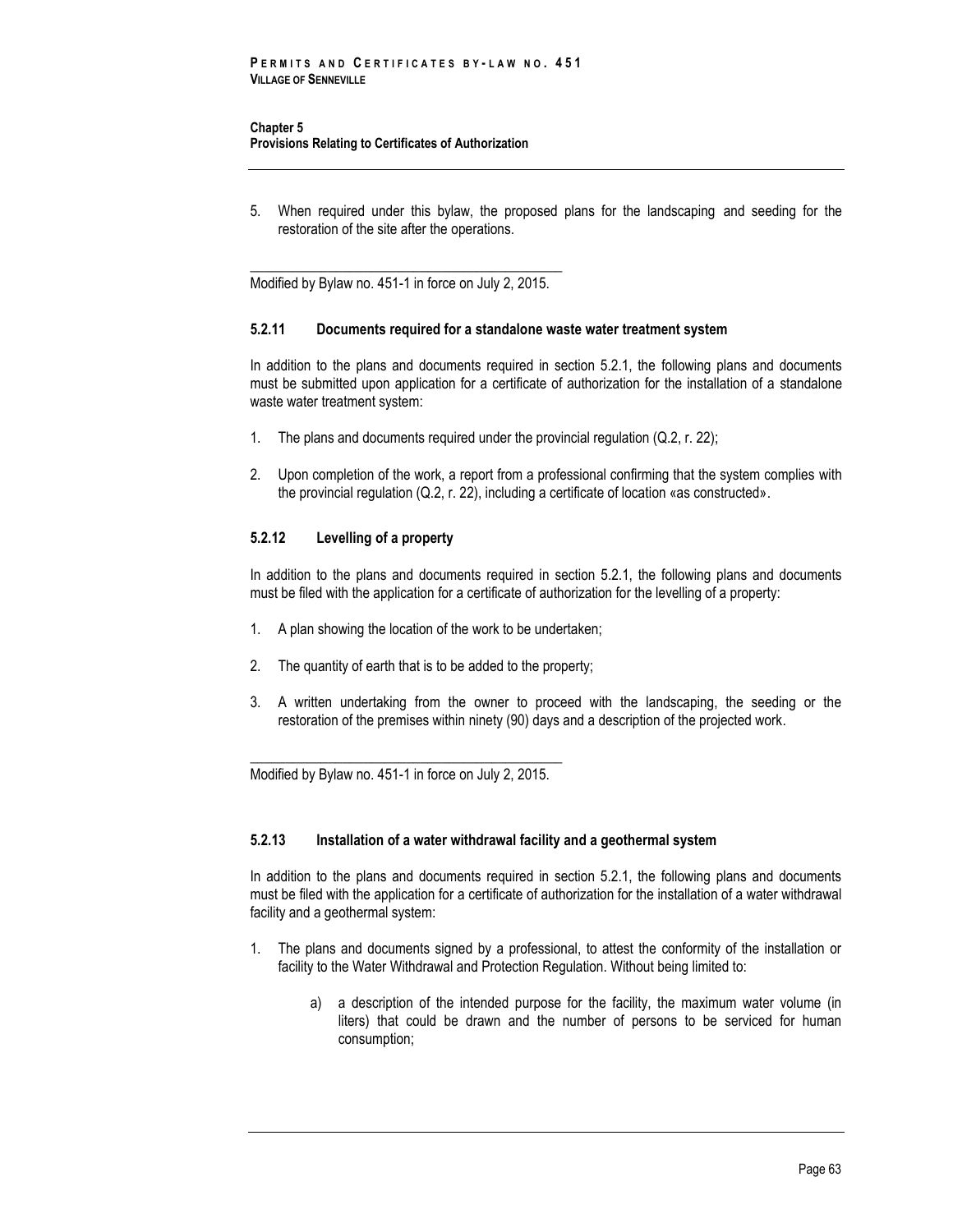#### **Chapter 5 Provisions Relating to Certificates of Authorization**

5. When required under this bylaw, the proposed plans for the landscaping and seeding for the restoration of the site after the operations.

\_\_\_\_\_\_\_\_\_\_\_\_\_\_\_\_\_\_\_\_\_\_\_\_\_\_\_\_\_\_\_\_\_\_\_\_\_\_\_\_\_\_\_\_ Modified by Bylaw no. 451-1 in force on July 2, 2015.

### **5.2.11 Documents required for a standalone waste water treatment system**

In addition to the plans and documents required in section 5.2.1, the following plans and documents must be submitted upon application for a certificate of authorization for the installation of a standalone waste water treatment system:

- 1. The plans and documents required under the provincial regulation (Q.2, r. 22);
- 2. Upon completion of the work, a report from a professional confirming that the system complies with the provincial regulation (Q.2, r. 22), including a certificate of location «as constructed».

# **5.2.12 Levelling of a property**

In addition to the plans and documents required in section 5.2.1, the following plans and documents must be filed with the application for a certificate of authorization for the levelling of a property:

- 1. A plan showing the location of the work to be undertaken;
- 2. The quantity of earth that is to be added to the property;
- 3. A written undertaking from the owner to proceed with the landscaping, the seeding or the restoration of the premises within ninety (90) days and a description of the projected work.

\_\_\_\_\_\_\_\_\_\_\_\_\_\_\_\_\_\_\_\_\_\_\_\_\_\_\_\_\_\_\_\_\_\_\_\_\_\_\_\_\_\_\_\_ Modified by Bylaw no. 451-1 in force on July 2, 2015.

#### **5.2.13 Installation of a water withdrawal facility and a geothermal system**

In addition to the plans and documents required in section 5.2.1, the following plans and documents must be filed with the application for a certificate of authorization for the installation of a water withdrawal facility and a geothermal system:

- 1. The plans and documents signed by a professional, to attest the conformity of the installation or facility to the Water Withdrawal and Protection Regulation. Without being limited to:
	- a) a description of the intended purpose for the facility, the maximum water volume (in liters) that could be drawn and the number of persons to be serviced for human consumption;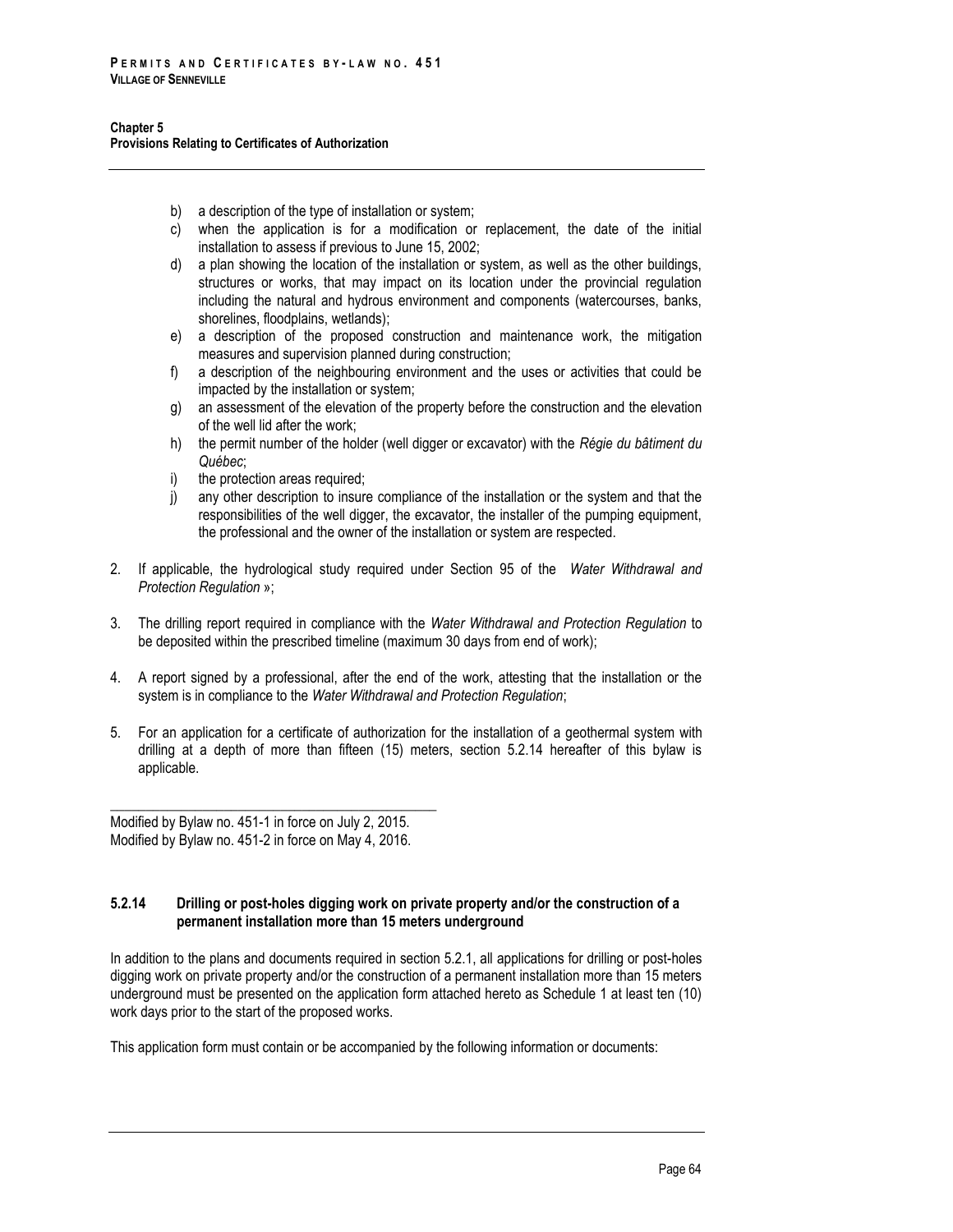- b) a description of the type of installation or system;
- c) when the application is for a modification or replacement, the date of the initial installation to assess if previous to June 15, 2002;
- d) a plan showing the location of the installation or system, as well as the other buildings, structures or works, that may impact on its location under the provincial regulation including the natural and hydrous environment and components (watercourses, banks, shorelines, floodplains, wetlands);
- e) a description of the proposed construction and maintenance work, the mitigation measures and supervision planned during construction;
- f) a description of the neighbouring environment and the uses or activities that could be impacted by the installation or system;
- g) an assessment of the elevation of the property before the construction and the elevation of the well lid after the work;
- h) the permit number of the holder (well digger or excavator) with the *Régie du bâtiment du Québec*;
- i) the protection areas required;
- j) any other description to insure compliance of the installation or the system and that the responsibilities of the well digger, the excavator, the installer of the pumping equipment, the professional and the owner of the installation or system are respected.
- 2. If applicable, the hydrological study required under Section 95 of the *Water Withdrawal and Protection Regulation* »;
- 3. The drilling report required in compliance with the *Water Withdrawal and Protection Regulation* to be deposited within the prescribed timeline (maximum 30 days from end of work);
- 4. A report signed by a professional, after the end of the work, attesting that the installation or the system is in compliance to the *Water Withdrawal and Protection Regulation*;
- 5. For an application for a certificate of authorization for the installation of a geothermal system with drilling at a depth of more than fifteen (15) meters, section 5.2.14 hereafter of this bylaw is applicable.

Modified by Bylaw no. 451-1 in force on July 2, 2015. Modified by Bylaw no. 451-2 in force on May 4, 2016.

\_\_\_\_\_\_\_\_\_\_\_\_\_\_\_\_\_\_\_\_\_\_\_\_\_\_\_\_\_\_\_\_\_\_\_\_\_\_\_\_\_\_\_\_\_\_

# **5.2.14 Drilling or post-holes digging work on private property and/or the construction of a permanent installation more than 15 meters underground**

In addition to the plans and documents required in section 5.2.1, all applications for drilling or post-holes digging work on private property and/or the construction of a permanent installation more than 15 meters underground must be presented on the application form attached hereto as Schedule 1 at least ten (10) work days prior to the start of the proposed works.

This application form must contain or be accompanied by the following information or documents: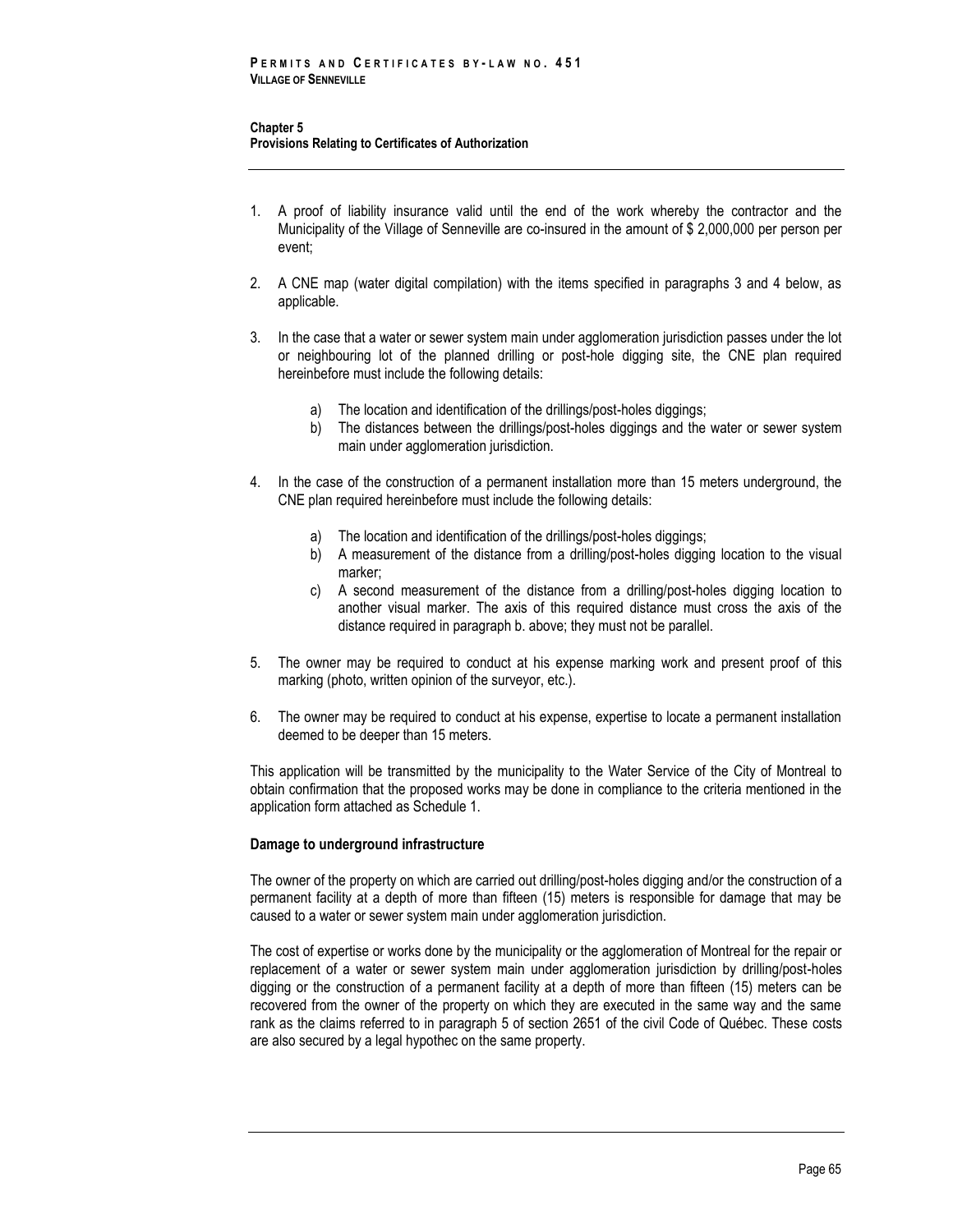- 1. A proof of liability insurance valid until the end of the work whereby the contractor and the Municipality of the Village of Senneville are co-insured in the amount of \$ 2,000,000 per person per event;
- 2. A CNE map (water digital compilation) with the items specified in paragraphs 3 and 4 below, as applicable.
- 3. In the case that a water or sewer system main under agglomeration jurisdiction passes under the lot or neighbouring lot of the planned drilling or post-hole digging site, the CNE plan required hereinbefore must include the following details:
	- a) The location and identification of the drillings/post-holes diggings;
	- b) The distances between the drillings/post-holes diggings and the water or sewer system main under agglomeration jurisdiction.
- 4. In the case of the construction of a permanent installation more than 15 meters underground, the CNE plan required hereinbefore must include the following details:
	- a) The location and identification of the drillings/post-holes diggings;
	- b) A measurement of the distance from a drilling/post-holes digging location to the visual marker;
	- c) A second measurement of the distance from a drilling/post-holes digging location to another visual marker. The axis of this required distance must cross the axis of the distance required in paragraph b. above; they must not be parallel.
- 5. The owner may be required to conduct at his expense marking work and present proof of this marking (photo, written opinion of the surveyor, etc.).
- 6. The owner may be required to conduct at his expense, expertise to locate a permanent installation deemed to be deeper than 15 meters.

This application will be transmitted by the municipality to the Water Service of the City of Montreal to obtain confirmation that the proposed works may be done in compliance to the criteria mentioned in the application form attached as Schedule 1.

### **Damage to underground infrastructure**

The owner of the property on which are carried out drilling/post-holes digging and/or the construction of a permanent facility at a depth of more than fifteen (15) meters is responsible for damage that may be caused to a water or sewer system main under agglomeration jurisdiction.

The cost of expertise or works done by the municipality or the agglomeration of Montreal for the repair or replacement of a water or sewer system main under agglomeration jurisdiction by drilling/post-holes digging or the construction of a permanent facility at a depth of more than fifteen (15) meters can be recovered from the owner of the property on which they are executed in the same way and the same rank as the claims referred to in paragraph 5 of section 2651 of the civil Code of Québec. These costs are also secured by a legal hypothec on the same property.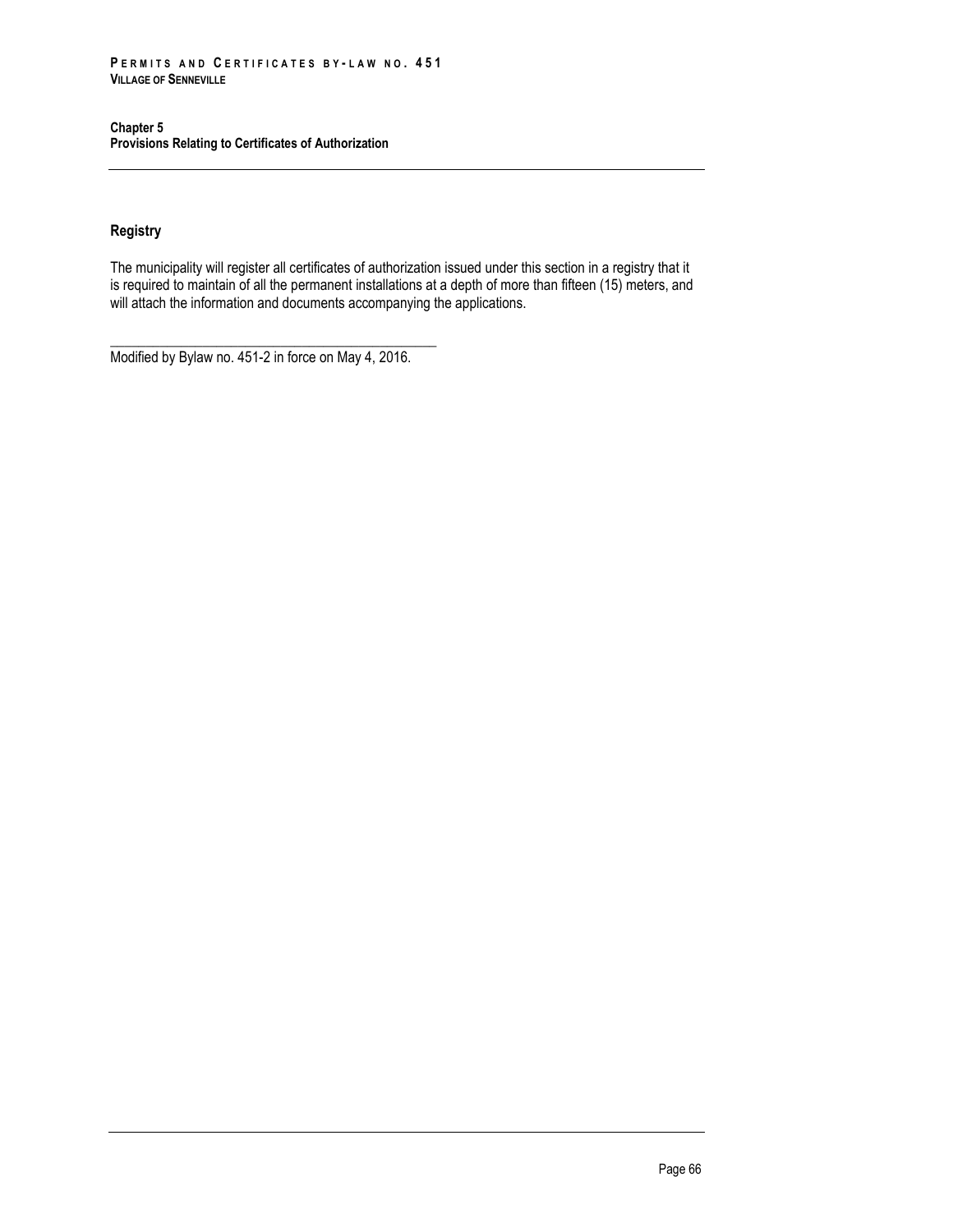## **Registry**

The municipality will register all certificates of authorization issued under this section in a registry that it is required to maintain of all the permanent installations at a depth of more than fifteen (15) meters, and will attach the information and documents accompanying the applications.

\_\_\_\_\_\_\_\_\_\_\_\_\_\_\_\_\_\_\_\_\_\_\_\_\_\_\_\_\_\_\_\_\_\_\_\_\_\_\_\_\_\_\_\_\_\_ Modified by Bylaw no. 451-2 in force on May 4, 2016.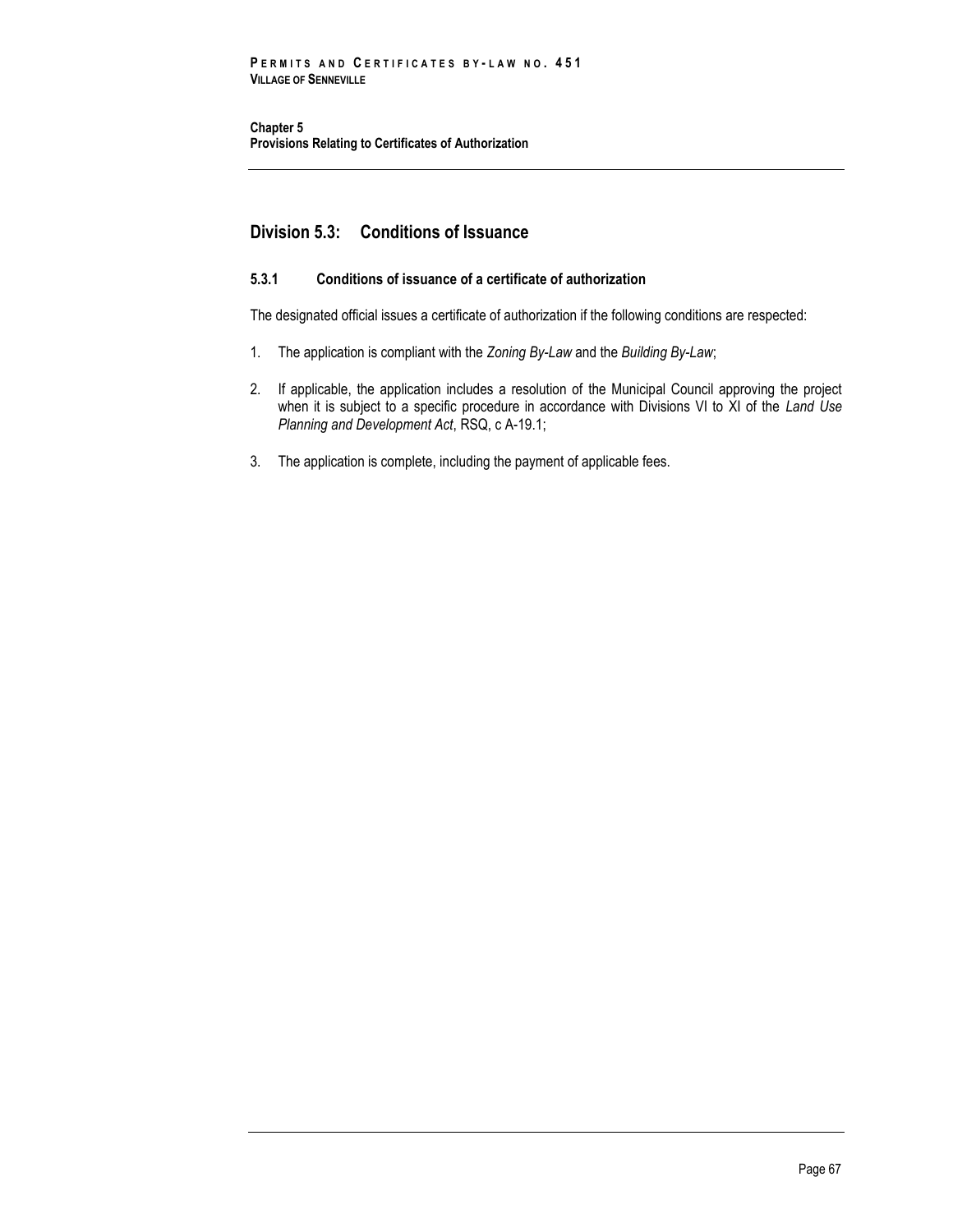# **Division 5.3: Conditions of Issuance**

## **5.3.1 Conditions of issuance of a certificate of authorization**

The designated official issues a certificate of authorization if the following conditions are respected:

- 1. The application is compliant with the *Zoning By-Law* and the *Building By-Law*;
- 2. If applicable, the application includes a resolution of the Municipal Council approving the project when it is subject to a specific procedure in accordance with Divisions VI to XI of the *Land Use Planning and Development Act*, RSQ, c A-19.1;
- 3. The application is complete, including the payment of applicable fees.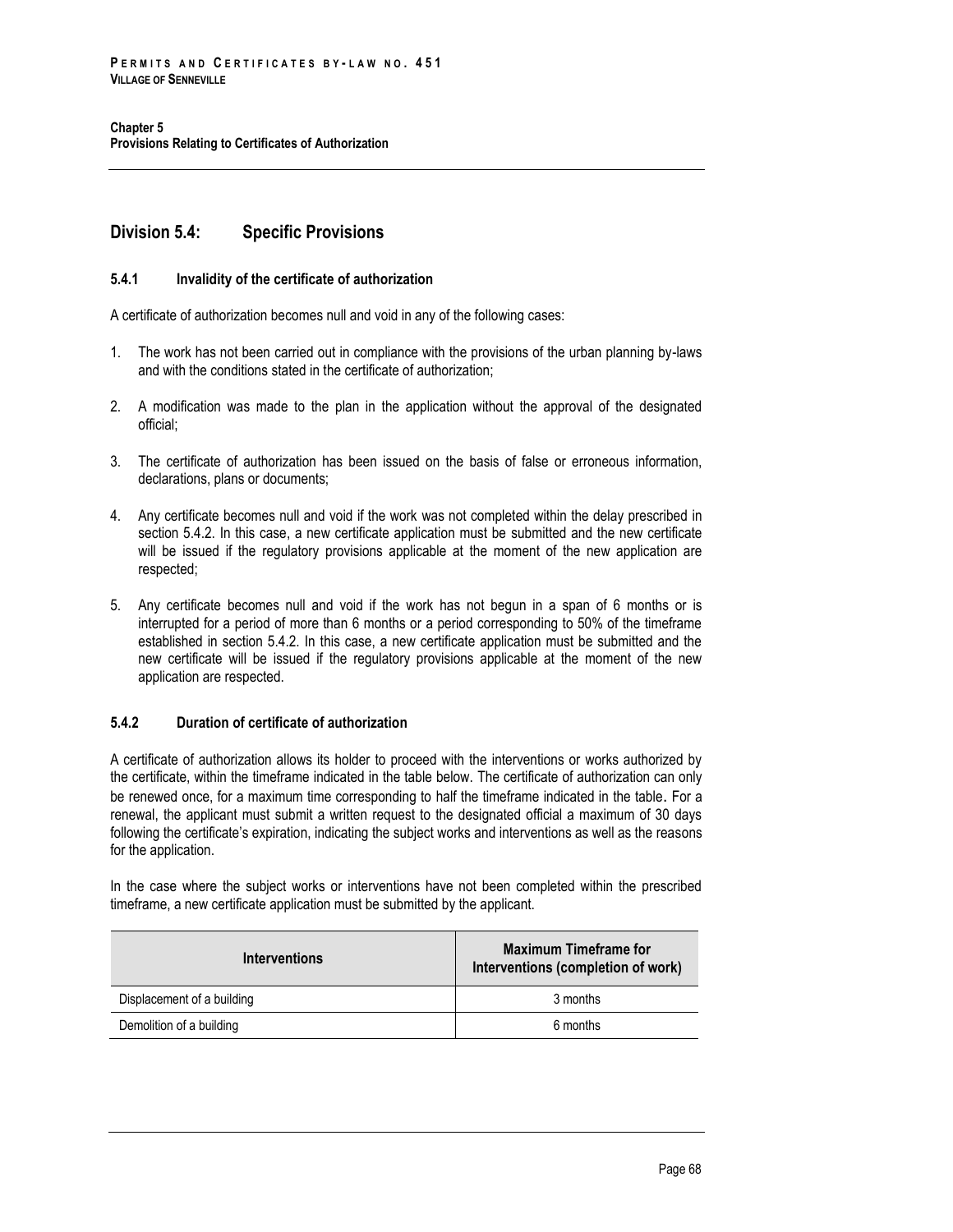# **Division 5.4: Specific Provisions**

### **5.4.1 Invalidity of the certificate of authorization**

A certificate of authorization becomes null and void in any of the following cases:

- 1. The work has not been carried out in compliance with the provisions of the urban planning by-laws and with the conditions stated in the certificate of authorization;
- 2. A modification was made to the plan in the application without the approval of the designated official;
- 3. The certificate of authorization has been issued on the basis of false or erroneous information, declarations, plans or documents;
- 4. Any certificate becomes null and void if the work was not completed within the delay prescribed in section 5.4.2. In this case, a new certificate application must be submitted and the new certificate will be issued if the regulatory provisions applicable at the moment of the new application are respected;
- 5. Any certificate becomes null and void if the work has not begun in a span of 6 months or is interrupted for a period of more than 6 months or a period corresponding to 50% of the timeframe established in section 5.4.2. In this case, a new certificate application must be submitted and the new certificate will be issued if the regulatory provisions applicable at the moment of the new application are respected.

## **5.4.2 Duration of certificate of authorization**

A certificate of authorization allows its holder to proceed with the interventions or works authorized by the certificate, within the timeframe indicated in the table below. The certificate of authorization can only be renewed once, for a maximum time corresponding to half the timeframe indicated in the table. For a renewal, the applicant must submit a written request to the designated official a maximum of 30 days following the certificate's expiration, indicating the subject works and interventions as well as the reasons for the application.

In the case where the subject works or interventions have not been completed within the prescribed timeframe, a new certificate application must be submitted by the applicant.

| <b>Interventions</b>       | <b>Maximum Timeframe for</b><br>Interventions (completion of work) |  |
|----------------------------|--------------------------------------------------------------------|--|
| Displacement of a building | 3 months                                                           |  |
| Demolition of a building   | 6 months                                                           |  |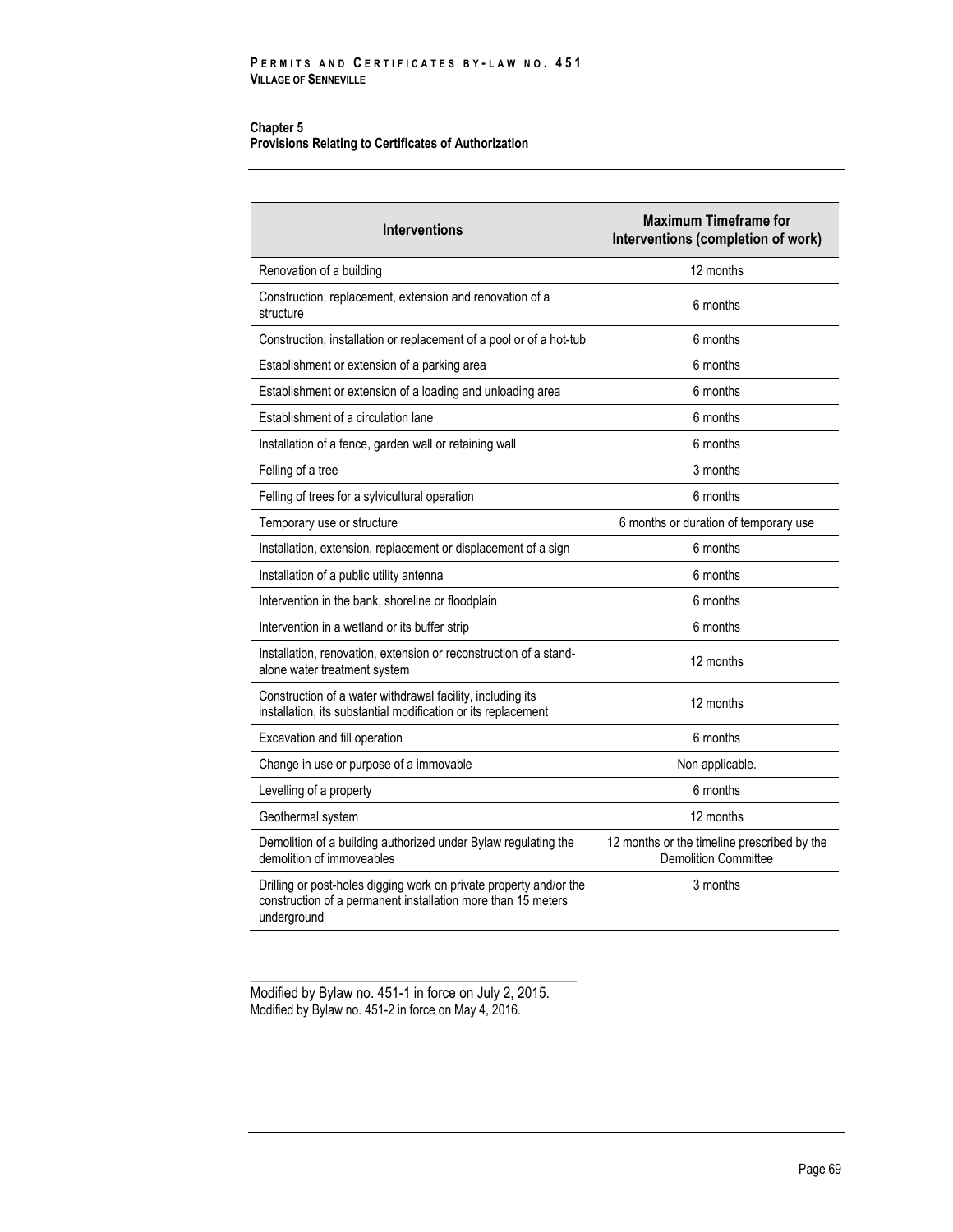| <b>Interventions</b>                                                                                                                              | <b>Maximum Timeframe for</b><br>Interventions (completion of work)         |  |
|---------------------------------------------------------------------------------------------------------------------------------------------------|----------------------------------------------------------------------------|--|
| Renovation of a building                                                                                                                          | 12 months                                                                  |  |
| Construction, replacement, extension and renovation of a<br>structure                                                                             | 6 months                                                                   |  |
| Construction, installation or replacement of a pool or of a hot-tub                                                                               | 6 months                                                                   |  |
| Establishment or extension of a parking area                                                                                                      | 6 months                                                                   |  |
| Establishment or extension of a loading and unloading area                                                                                        | 6 months                                                                   |  |
| Establishment of a circulation lane                                                                                                               | 6 months                                                                   |  |
| Installation of a fence, garden wall or retaining wall                                                                                            | 6 months                                                                   |  |
| Felling of a tree                                                                                                                                 | 3 months                                                                   |  |
| Felling of trees for a sylvicultural operation                                                                                                    | 6 months                                                                   |  |
| Temporary use or structure                                                                                                                        | 6 months or duration of temporary use                                      |  |
| Installation, extension, replacement or displacement of a sign                                                                                    | 6 months                                                                   |  |
| Installation of a public utility antenna                                                                                                          | 6 months                                                                   |  |
| Intervention in the bank, shoreline or floodplain                                                                                                 | 6 months                                                                   |  |
| Intervention in a wetland or its buffer strip                                                                                                     | 6 months                                                                   |  |
| Installation, renovation, extension or reconstruction of a stand-<br>alone water treatment system                                                 | 12 months                                                                  |  |
| Construction of a water withdrawal facility, including its<br>installation, its substantial modification or its replacement                       | 12 months                                                                  |  |
| Excavation and fill operation                                                                                                                     | 6 months                                                                   |  |
| Change in use or purpose of a immovable                                                                                                           | Non applicable.                                                            |  |
| Levelling of a property                                                                                                                           | 6 months                                                                   |  |
| Geothermal system                                                                                                                                 | 12 months                                                                  |  |
| Demolition of a building authorized under Bylaw regulating the<br>demolition of immoveables                                                       | 12 months or the timeline prescribed by the<br><b>Demolition Committee</b> |  |
| Drilling or post-holes digging work on private property and/or the<br>construction of a permanent installation more than 15 meters<br>underground | 3 months                                                                   |  |

Modified by Bylaw no. 451-1 in force on July 2, 2015. Modified by Bylaw no. 451-2 in force on May 4, 2016.

\_\_\_\_\_\_\_\_\_\_\_\_\_\_\_\_\_\_\_\_\_\_\_\_\_\_\_\_\_\_\_\_\_\_\_\_\_\_\_\_\_\_\_\_\_\_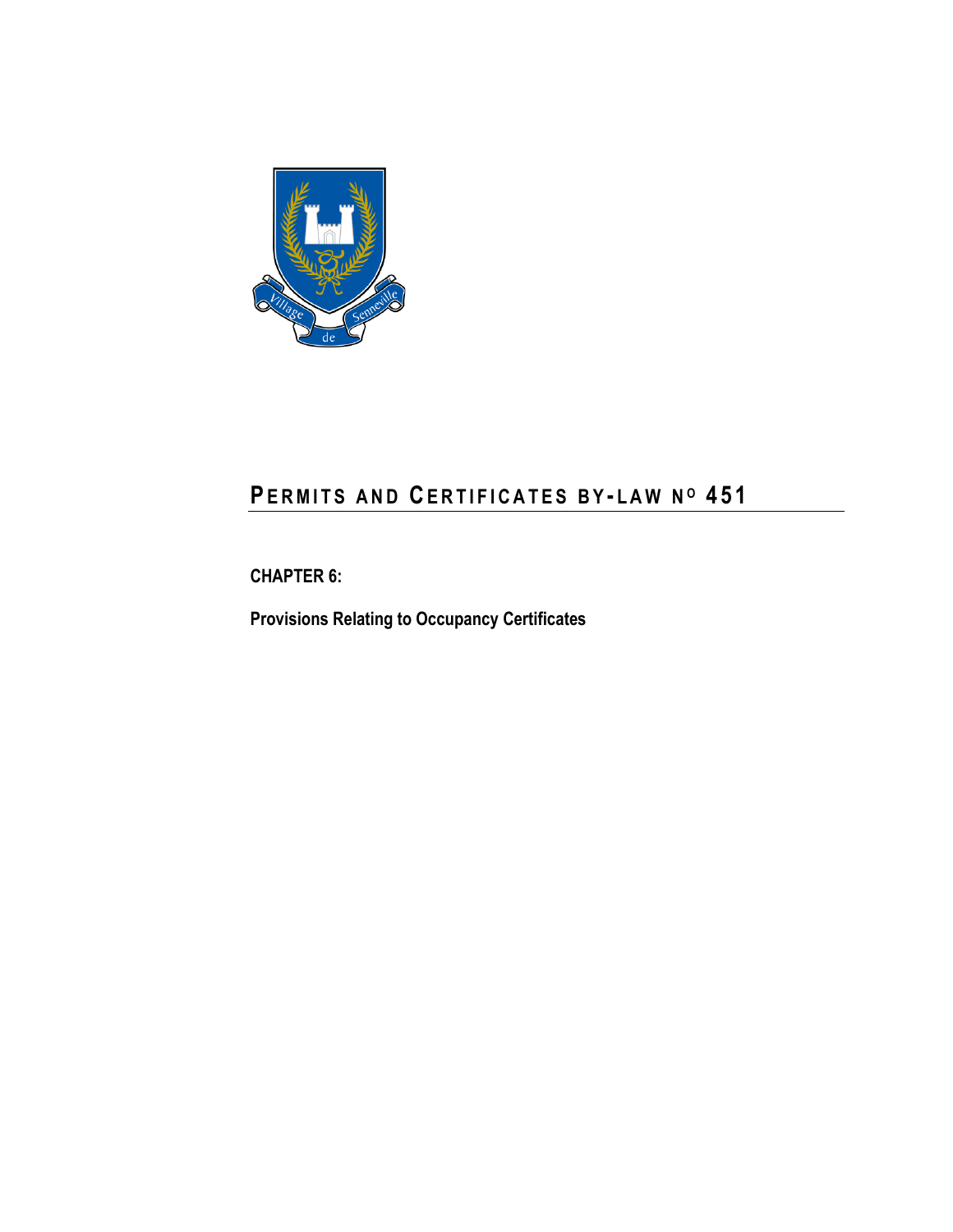

# **PE R M I T S A N D CE R T I F I C A T E S B Y - L A W N <sup>O</sup> 4 5 1**

**CHAPTER 6:**

**Provisions Relating to Occupancy Certificates**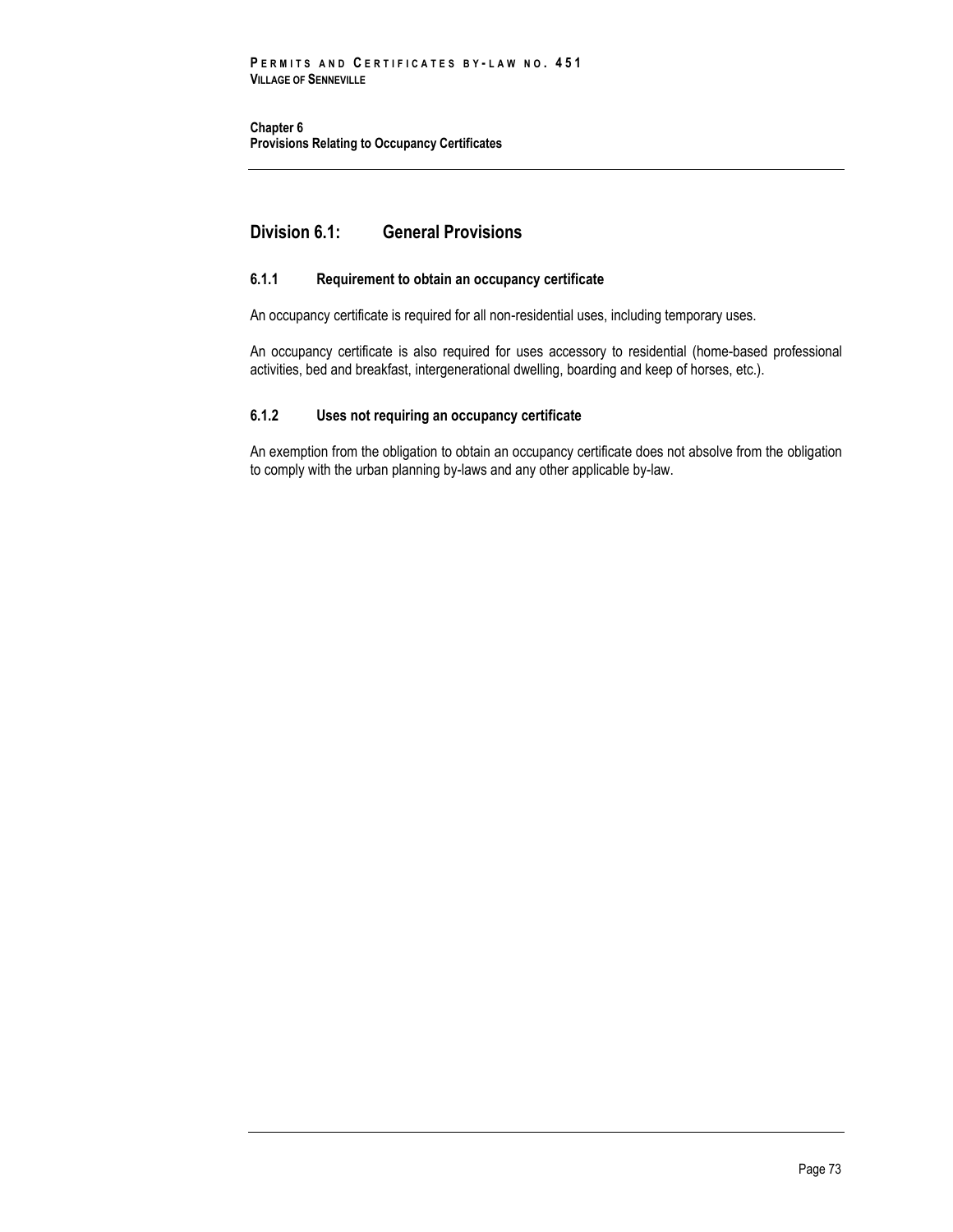**Chapter 6 Provisions Relating to Occupancy Certificates**

# **Division 6.1: General Provisions**

## **6.1.1 Requirement to obtain an occupancy certificate**

An occupancy certificate is required for all non-residential uses, including temporary uses.

An occupancy certificate is also required for uses accessory to residential (home-based professional activities, bed and breakfast, intergenerational dwelling, boarding and keep of horses, etc.).

## **6.1.2 Uses not requiring an occupancy certificate**

An exemption from the obligation to obtain an occupancy certificate does not absolve from the obligation to comply with the urban planning by-laws and any other applicable by-law.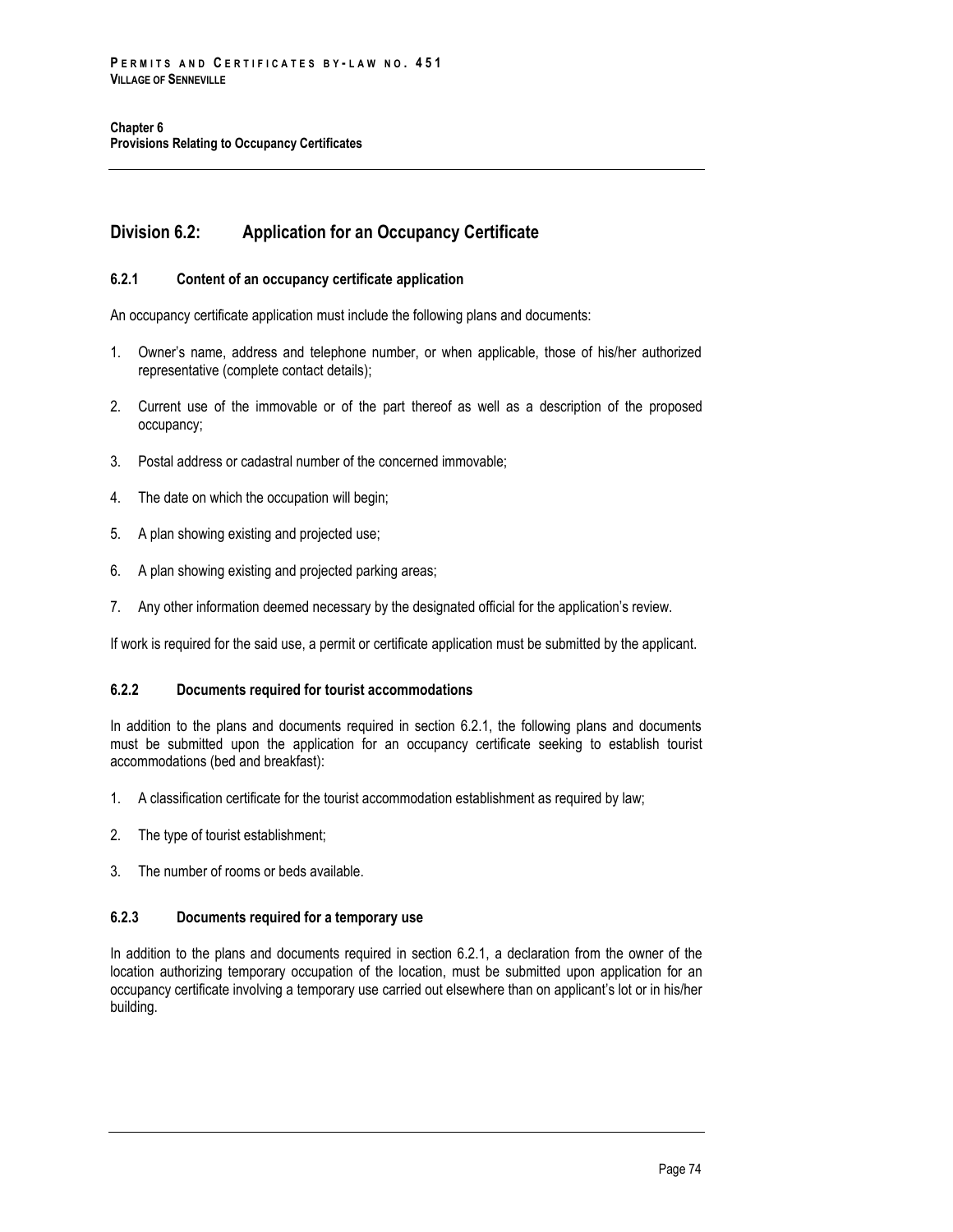# **Division 6.2: Application for an Occupancy Certificate**

## **6.2.1 Content of an occupancy certificate application**

An occupancy certificate application must include the following plans and documents:

- 1. Owner's name, address and telephone number, or when applicable, those of his/her authorized representative (complete contact details);
- 2. Current use of the immovable or of the part thereof as well as a description of the proposed occupancy;
- 3. Postal address or cadastral number of the concerned immovable;
- 4. The date on which the occupation will begin;
- 5. A plan showing existing and projected use;
- 6. A plan showing existing and projected parking areas;
- 7. Any other information deemed necessary by the designated official for the application's review.

If work is required for the said use, a permit or certificate application must be submitted by the applicant.

### **6.2.2 Documents required for tourist accommodations**

In addition to the plans and documents required in section 6.2.1, the following plans and documents must be submitted upon the application for an occupancy certificate seeking to establish tourist accommodations (bed and breakfast):

- 1. A classification certificate for the tourist accommodation establishment as required by law;
- 2. The type of tourist establishment;
- 3. The number of rooms or beds available.

## **6.2.3 Documents required for a temporary use**

In addition to the plans and documents required in section 6.2.1, a declaration from the owner of the location authorizing temporary occupation of the location, must be submitted upon application for an occupancy certificate involving a temporary use carried out elsewhere than on applicant's lot or in his/her building.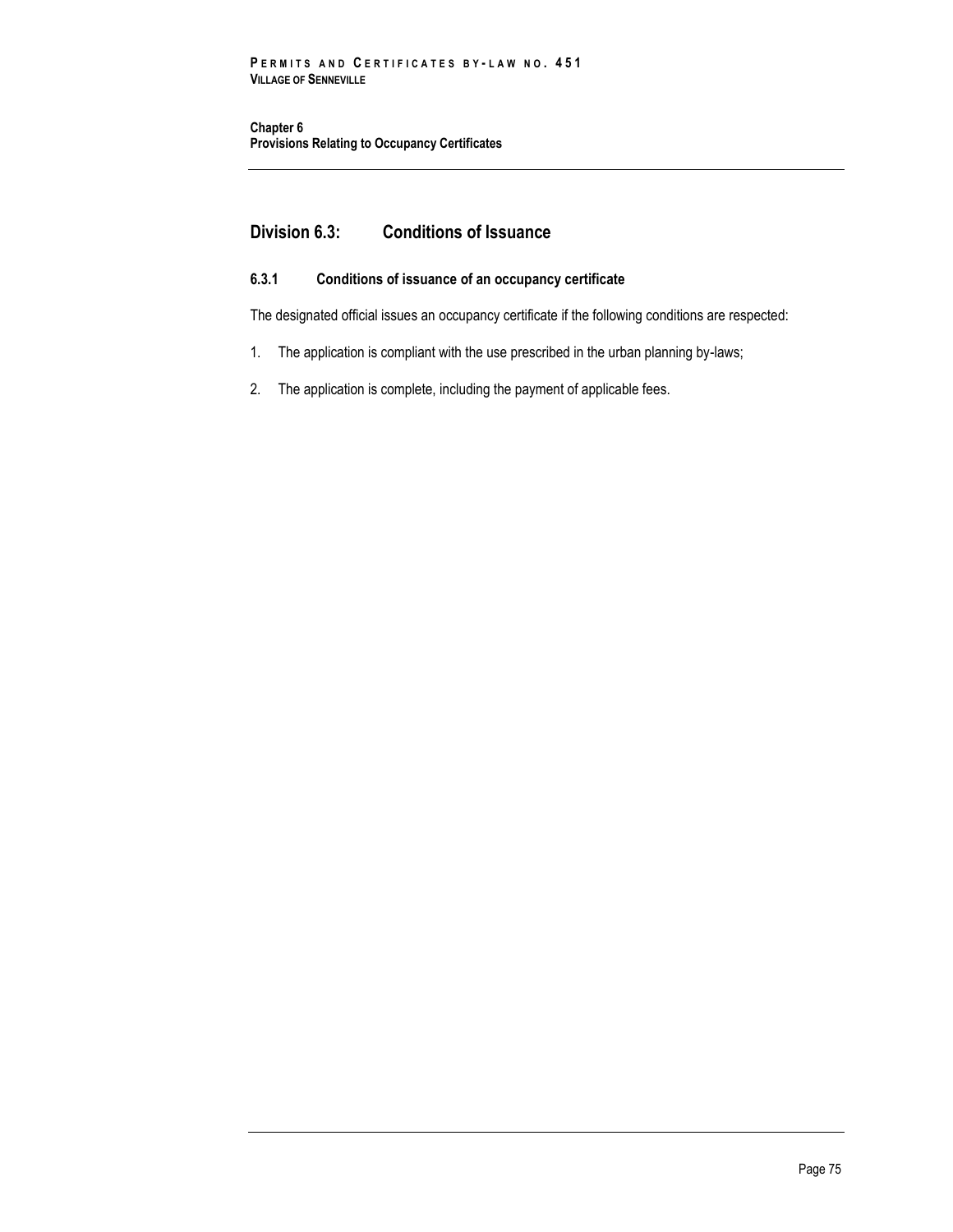**Chapter 6 Provisions Relating to Occupancy Certificates**

# **Division 6.3: Conditions of Issuance**

## **6.3.1 Conditions of issuance of an occupancy certificate**

The designated official issues an occupancy certificate if the following conditions are respected:

- 1. The application is compliant with the use prescribed in the urban planning by-laws;
- 2. The application is complete, including the payment of applicable fees.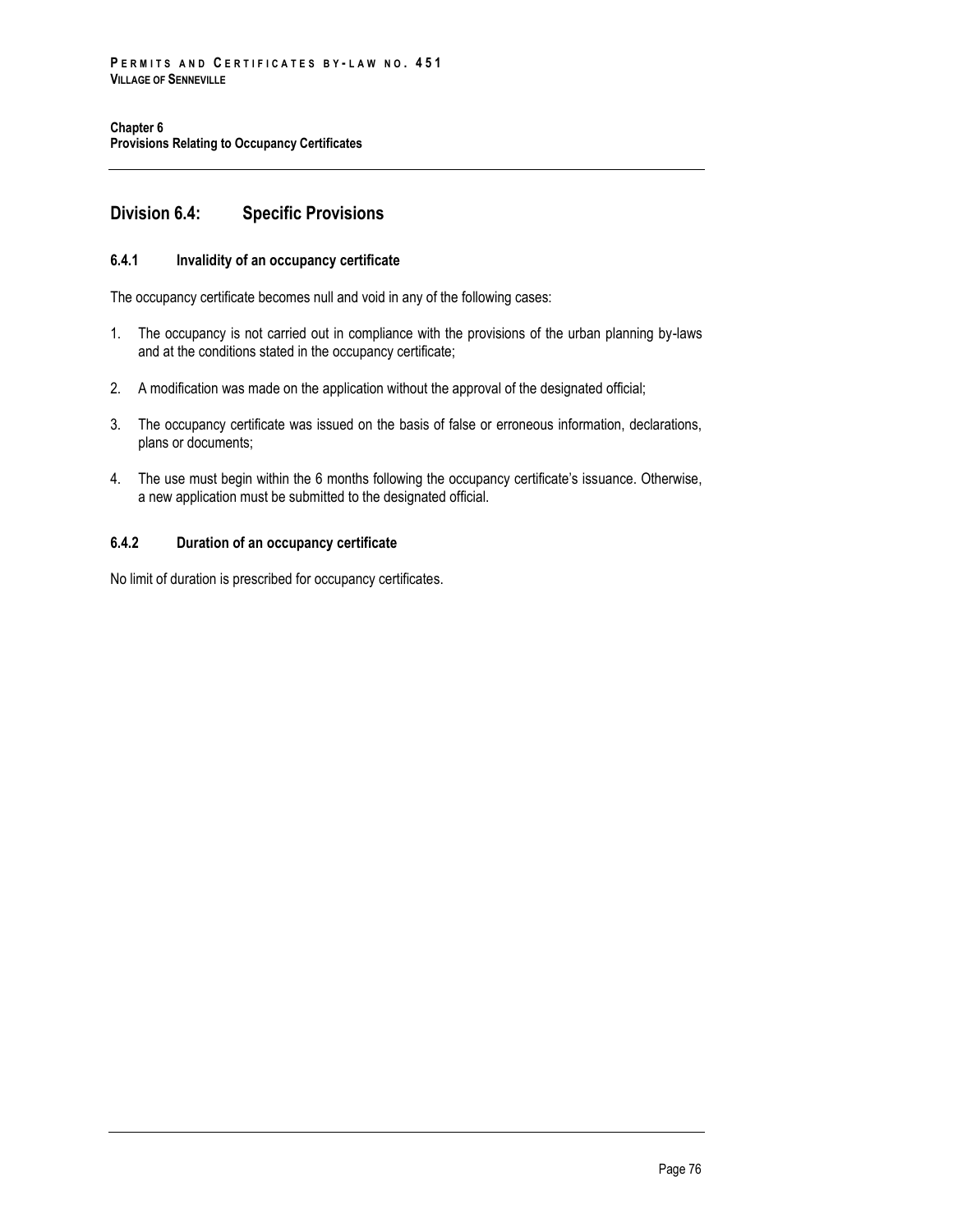# **Division 6.4: Specific Provisions**

## **6.4.1 Invalidity of an occupancy certificate**

The occupancy certificate becomes null and void in any of the following cases:

- 1. The occupancy is not carried out in compliance with the provisions of the urban planning by-laws and at the conditions stated in the occupancy certificate;
- 2. A modification was made on the application without the approval of the designated official;
- 3. The occupancy certificate was issued on the basis of false or erroneous information, declarations, plans or documents;
- 4. The use must begin within the 6 months following the occupancy certificate's issuance. Otherwise, a new application must be submitted to the designated official.

## **6.4.2 Duration of an occupancy certificate**

No limit of duration is prescribed for occupancy certificates.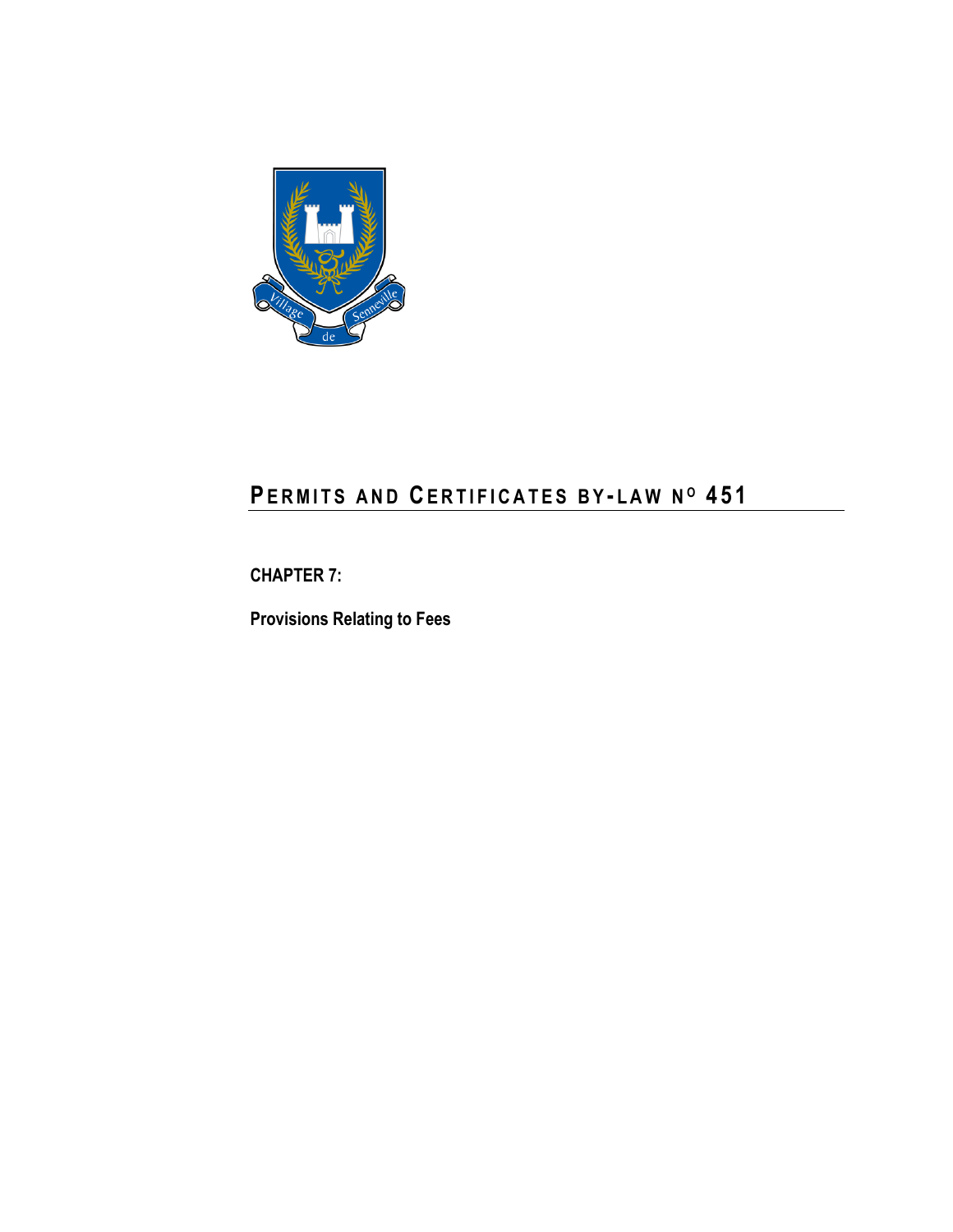

# **PE R M I T S A N D CE R T I F I C A T E S B Y - L A W N <sup>O</sup> 4 5 1**

**CHAPTER 7:**

**Provisions Relating to Fees**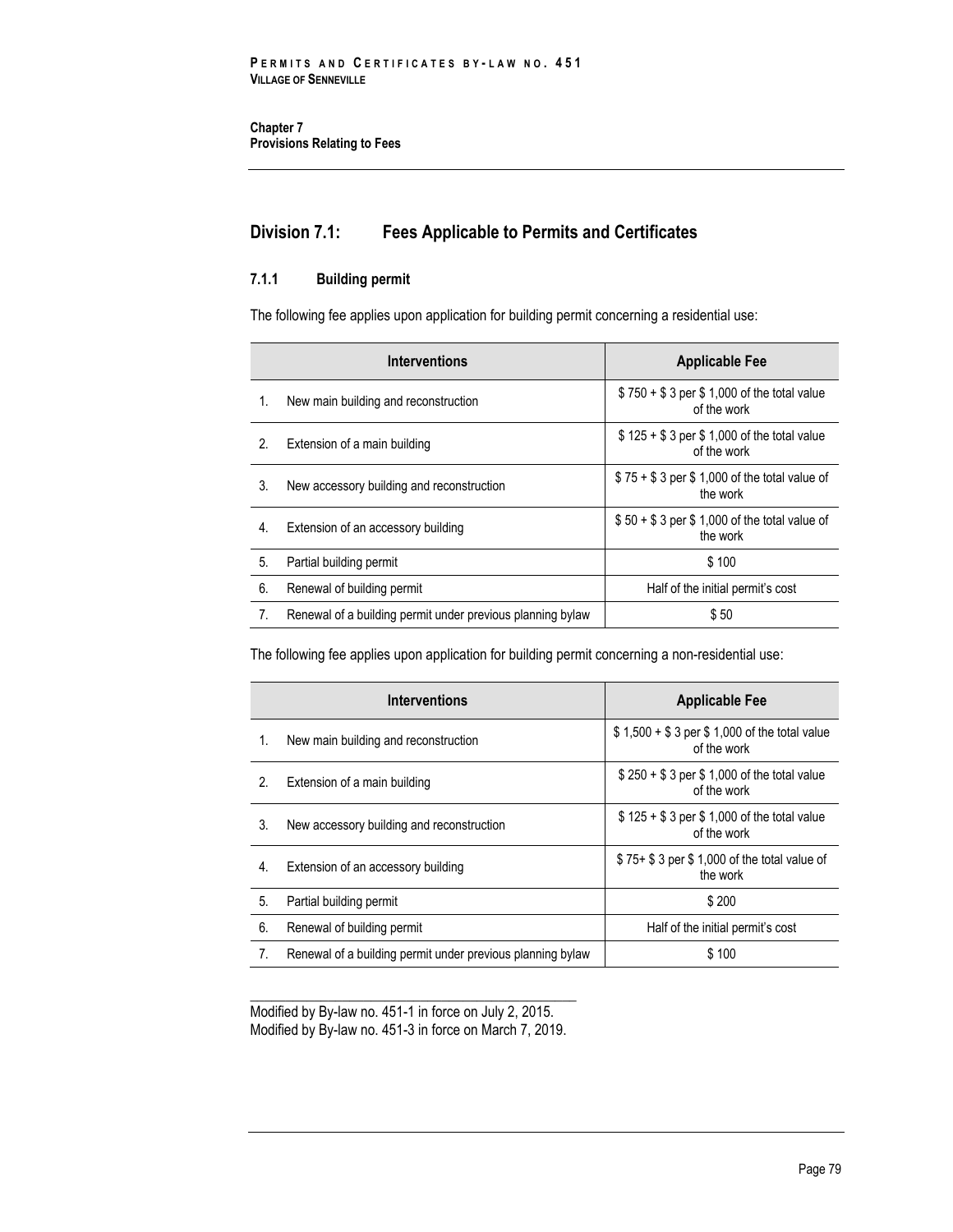# **Division 7.1: Fees Applicable to Permits and Certificates**

## **7.1.1 Building permit**

The following fee applies upon application for building permit concerning a residential use:

| <b>Interventions</b> |                                                            | <b>Applicable Fee</b>                                     |  |
|----------------------|------------------------------------------------------------|-----------------------------------------------------------|--|
| 1.                   | New main building and reconstruction                       | \$750 + \$3 per \$1,000 of the total value<br>of the work |  |
| 2.                   | Extension of a main building                               | $$125 + $3$ per \$1,000 of the total value<br>of the work |  |
| 3.                   | New accessory building and reconstruction                  | $$75 + $3$ per \$1,000 of the total value of<br>the work  |  |
| 4.                   | Extension of an accessory building                         | $$50 + $3$ per \$1,000 of the total value of<br>the work  |  |
| 5.                   | Partial building permit                                    | \$100                                                     |  |
| 6.                   | Renewal of building permit                                 | Half of the initial permit's cost                         |  |
| 7.                   | Renewal of a building permit under previous planning bylaw | \$50                                                      |  |

The following fee applies upon application for building permit concerning a non-residential use:

| <b>Interventions</b> |                                                            | <b>Applicable Fee</b>                                       |  |
|----------------------|------------------------------------------------------------|-------------------------------------------------------------|--|
| 1.                   | New main building and reconstruction                       | \$1,500 + \$3 per \$1,000 of the total value<br>of the work |  |
| 2.                   | Extension of a main building                               | $$250 + $3$ per \$1,000 of the total value<br>of the work   |  |
| 3.                   | New accessory building and reconstruction                  | $$125 + $3$ per \$1,000 of the total value<br>of the work   |  |
| 4.                   | Extension of an accessory building                         | \$75+ \$3 per \$1,000 of the total value of<br>the work     |  |
| 5.                   | Partial building permit                                    | \$200                                                       |  |
| 6.                   | Renewal of building permit                                 | Half of the initial permit's cost                           |  |
| 7.                   | Renewal of a building permit under previous planning bylaw | \$100                                                       |  |

\_\_\_\_\_\_\_\_\_\_\_\_\_\_\_\_\_\_\_\_\_\_\_\_\_\_\_\_\_\_\_\_\_\_\_\_\_\_\_\_\_\_\_\_\_\_ Modified by By-law no. 451-1 in force on July 2, 2015. Modified by By-law no. 451-3 in force on March 7, 2019.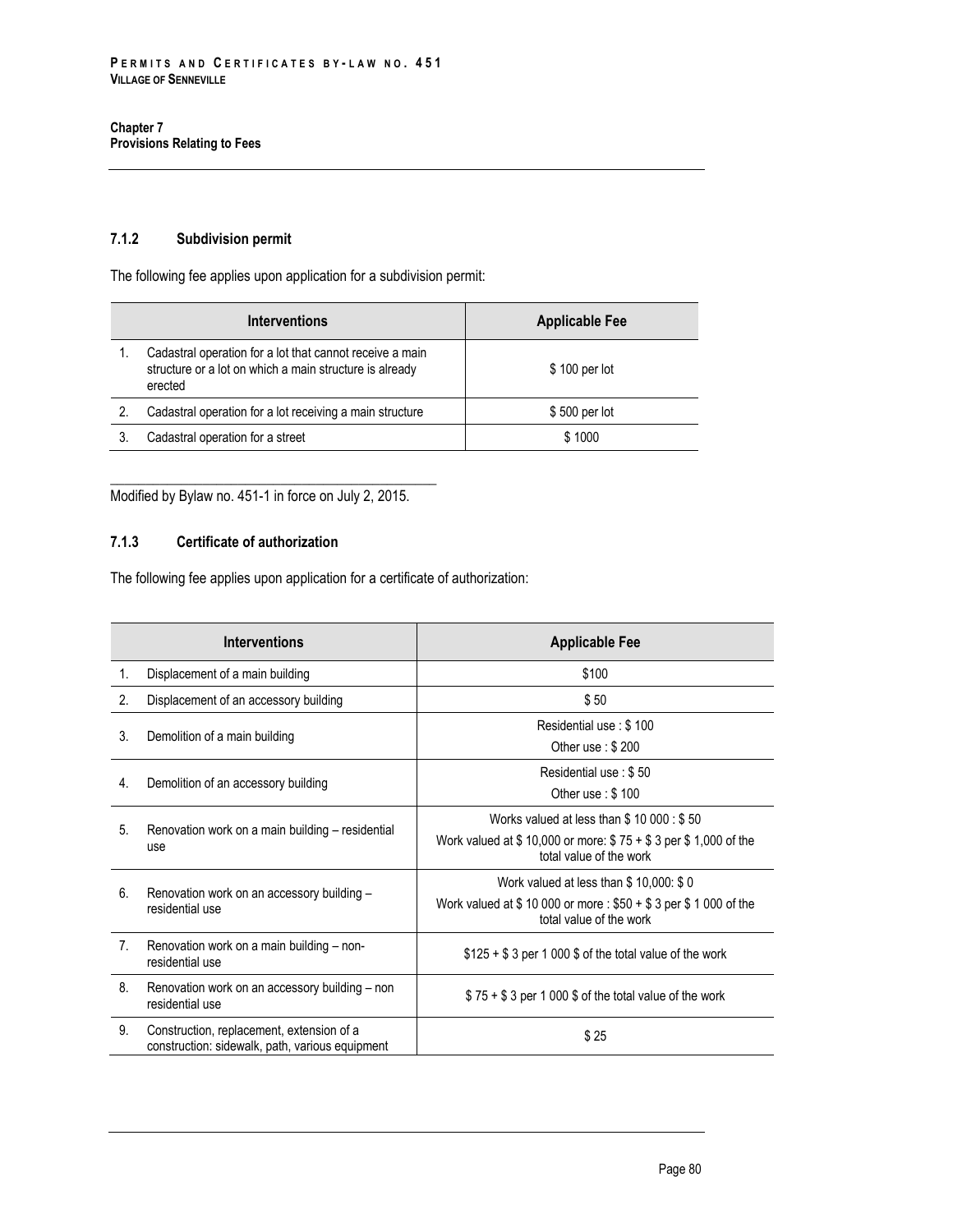## **7.1.2 Subdivision permit**

The following fee applies upon application for a subdivision permit:

| <b>Interventions</b> |                                                                                                                                | <b>Applicable Fee</b> |  |
|----------------------|--------------------------------------------------------------------------------------------------------------------------------|-----------------------|--|
|                      | Cadastral operation for a lot that cannot receive a main<br>structure or a lot on which a main structure is already<br>erected | \$100 per lot         |  |
| 2.                   | Cadastral operation for a lot receiving a main structure                                                                       | \$500 per lot         |  |
|                      | Cadastral operation for a street                                                                                               | \$1000                |  |

\_\_\_\_\_\_\_\_\_\_\_\_\_\_\_\_\_\_\_\_\_\_\_\_\_\_\_\_\_\_\_\_\_\_\_\_\_\_\_\_\_\_\_\_\_\_ Modified by Bylaw no. 451-1 in force on July 2, 2015.

## **7.1.3 Certificate of authorization**

The following fee applies upon application for a certificate of authorization:

|             | <b>Interventions</b>                                                                         | <b>Applicable Fee</b>                                                                                                                |
|-------------|----------------------------------------------------------------------------------------------|--------------------------------------------------------------------------------------------------------------------------------------|
| 1.          | Displacement of a main building                                                              | \$100                                                                                                                                |
| 2.          | Displacement of an accessory building                                                        | \$50                                                                                                                                 |
| 3.          | Demolition of a main building                                                                | Residential use: \$100<br>Other use: $$200$                                                                                          |
| 4.          | Demolition of an accessory building                                                          | Residential use: \$50<br>Other use: $$100$                                                                                           |
| 5.          | Renovation work on a main building – residential<br>use                                      | Works valued at less than $$10000: $50$<br>Work valued at \$10,000 or more: $$75 + $3$ per \$1,000 of the<br>total value of the work |
| 6.          | Renovation work on an accessory building -<br>residential use                                | Work valued at less than \$10,000: \$0<br>Work valued at \$10 000 or more: $$50 + $3$ per \$1 000 of the<br>total value of the work  |
| $7_{\cdot}$ | Renovation work on a main building – non-<br>residential use                                 | $$125 + $3$ per 1 000 \$ of the total value of the work                                                                              |
| 8.          | Renovation work on an accessory building - non<br>residential use                            | $$75 + $3$ per 1 000 \$ of the total value of the work                                                                               |
| 9.          | Construction, replacement, extension of a<br>construction: sidewalk, path, various equipment | \$25                                                                                                                                 |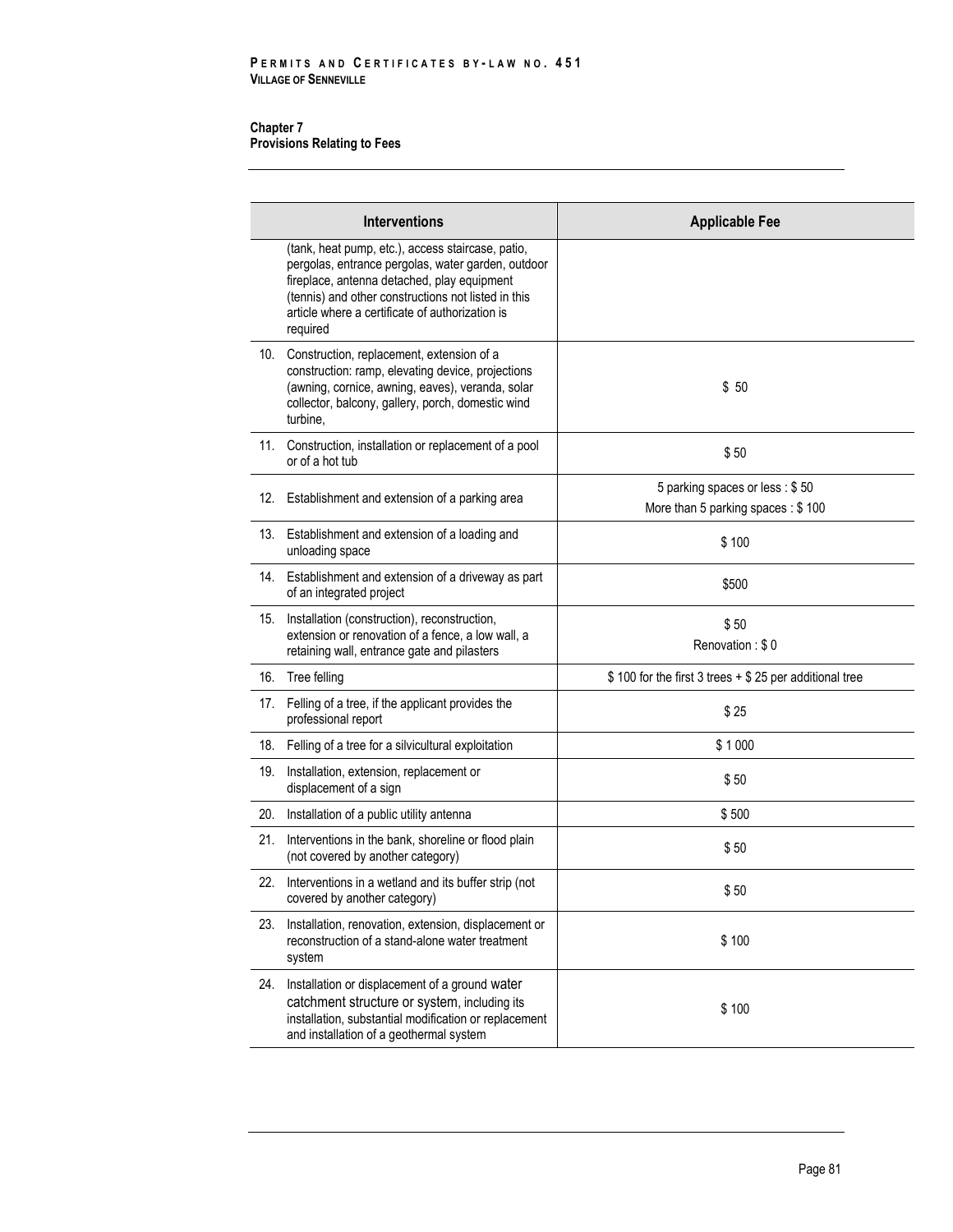|     | <b>Interventions</b>                                                                                                                                                                                                                                                         | <b>Applicable Fee</b>                                                 |
|-----|------------------------------------------------------------------------------------------------------------------------------------------------------------------------------------------------------------------------------------------------------------------------------|-----------------------------------------------------------------------|
|     | (tank, heat pump, etc.), access staircase, patio,<br>pergolas, entrance pergolas, water garden, outdoor<br>fireplace, antenna detached, play equipment<br>(tennis) and other constructions not listed in this<br>article where a certificate of authorization is<br>required |                                                                       |
| 10. | Construction, replacement, extension of a<br>construction: ramp, elevating device, projections<br>(awning, cornice, awning, eaves), veranda, solar<br>collector, balcony, gallery, porch, domestic wind<br>turbine.                                                          | \$50                                                                  |
|     | 11. Construction, installation or replacement of a pool<br>or of a hot tub                                                                                                                                                                                                   | \$50                                                                  |
|     | 12. Establishment and extension of a parking area                                                                                                                                                                                                                            | 5 parking spaces or less : \$50<br>More than 5 parking spaces : \$100 |
|     | 13. Establishment and extension of a loading and<br>unloading space                                                                                                                                                                                                          | \$100                                                                 |
|     | 14. Establishment and extension of a driveway as part<br>of an integrated project                                                                                                                                                                                            | \$500                                                                 |
| 15. | Installation (construction), reconstruction,<br>extension or renovation of a fence, a low wall, a<br>retaining wall, entrance gate and pilasters                                                                                                                             | \$50<br>Renovation: \$0                                               |
| 16. | Tree felling                                                                                                                                                                                                                                                                 | \$100 for the first 3 trees + \$25 per additional tree                |
| 17. | Felling of a tree, if the applicant provides the<br>professional report                                                                                                                                                                                                      | \$25                                                                  |
| 18. | Felling of a tree for a silvicultural exploitation                                                                                                                                                                                                                           | \$1000                                                                |
| 19. | Installation, extension, replacement or<br>displacement of a sign                                                                                                                                                                                                            | \$50                                                                  |
| 20. | Installation of a public utility antenna                                                                                                                                                                                                                                     | \$500                                                                 |
| 21. | Interventions in the bank, shoreline or flood plain<br>(not covered by another category)                                                                                                                                                                                     | \$50                                                                  |
|     | 22. Interventions in a wetland and its buffer strip (not<br>covered by another category)                                                                                                                                                                                     | \$50                                                                  |
| 23. | Installation, renovation, extension, displacement or<br>reconstruction of a stand-alone water treatment<br>system                                                                                                                                                            | \$100                                                                 |
| 24. | Installation or displacement of a ground water<br>catchment structure or system, including its<br>installation, substantial modification or replacement<br>and installation of a geothermal system                                                                           | \$100                                                                 |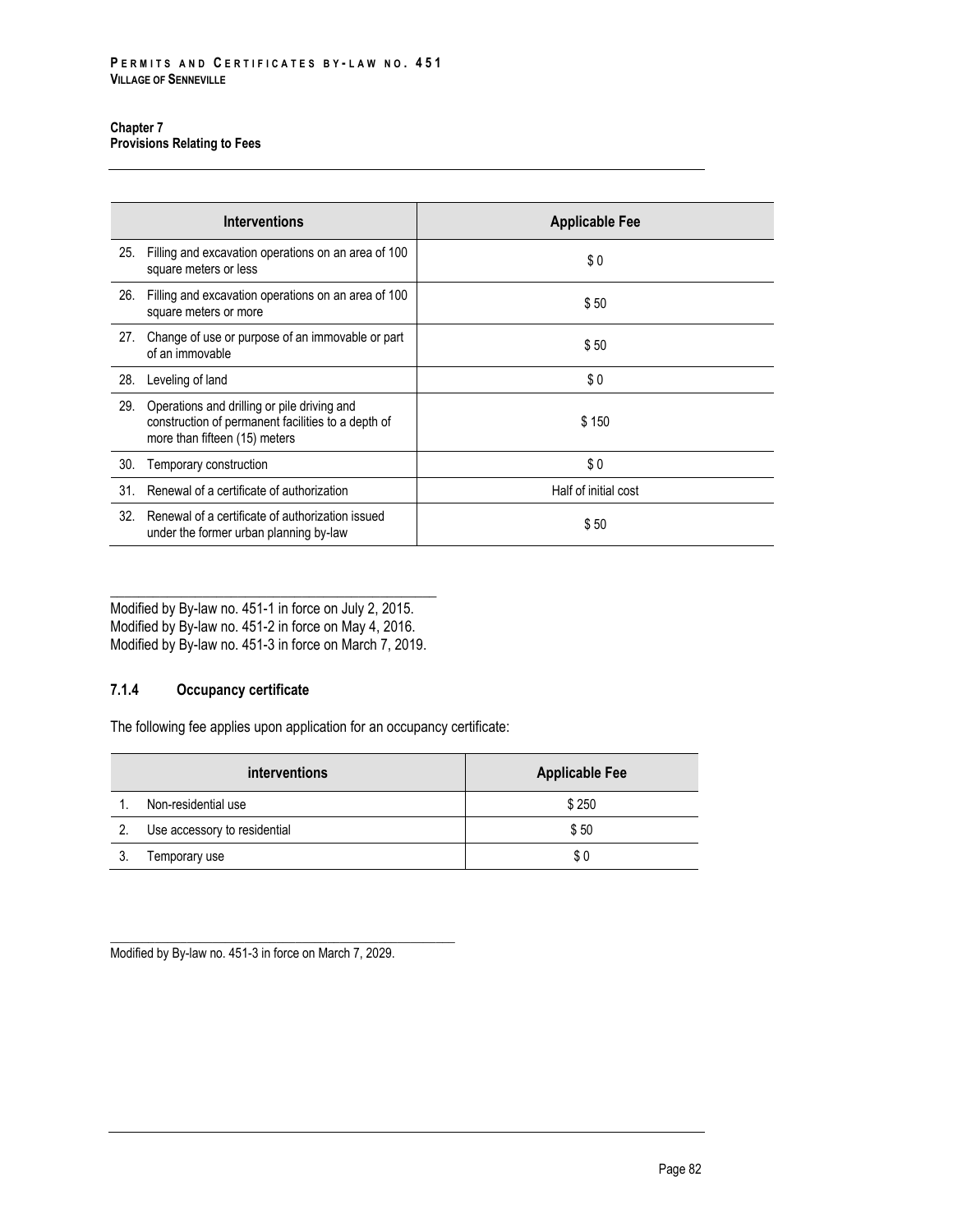|     | <b>Interventions</b>                                                                                                               | <b>Applicable Fee</b> |
|-----|------------------------------------------------------------------------------------------------------------------------------------|-----------------------|
| 25. | Filling and excavation operations on an area of 100<br>square meters or less                                                       | \$0                   |
| 26. | Filling and excavation operations on an area of 100<br>square meters or more                                                       | \$50                  |
| 27. | Change of use or purpose of an immovable or part<br>of an immovable                                                                | \$50                  |
| 28. | Leveling of land                                                                                                                   | \$0                   |
| 29. | Operations and drilling or pile driving and<br>construction of permanent facilities to a depth of<br>more than fifteen (15) meters | \$150                 |
| 30. | Temporary construction                                                                                                             | \$0                   |
| 31. | Renewal of a certificate of authorization                                                                                          | Half of initial cost  |
| 32. | Renewal of a certificate of authorization issued<br>under the former urban planning by-law                                         | \$50                  |

\_\_\_\_\_\_\_\_\_\_\_\_\_\_\_\_\_\_\_\_\_\_\_\_\_\_\_\_\_\_\_\_\_\_\_\_\_\_\_\_\_\_\_\_\_\_ Modified by By-law no. 451-1 in force on July 2, 2015. Modified by By-law no. 451-2 in force on May 4, 2016. Modified by By-law no. 451-3 in force on March 7, 2019.

## **7.1.4 Occupancy certificate**

The following fee applies upon application for an occupancy certificate:

| <i>interventions</i> |                              | <b>Applicable Fee</b> |  |
|----------------------|------------------------------|-----------------------|--|
|                      | Non-residential use          | \$250                 |  |
|                      | Use accessory to residential | \$50                  |  |
|                      | Temporary use                | \$0                   |  |

\_\_\_\_\_\_\_\_\_\_\_\_\_\_\_\_\_\_\_\_\_\_\_\_\_\_\_\_\_\_\_\_\_\_\_\_\_\_\_\_\_\_\_\_\_\_\_\_\_\_\_\_\_\_ Modified by By-law no. 451-3 in force on March 7, 2029.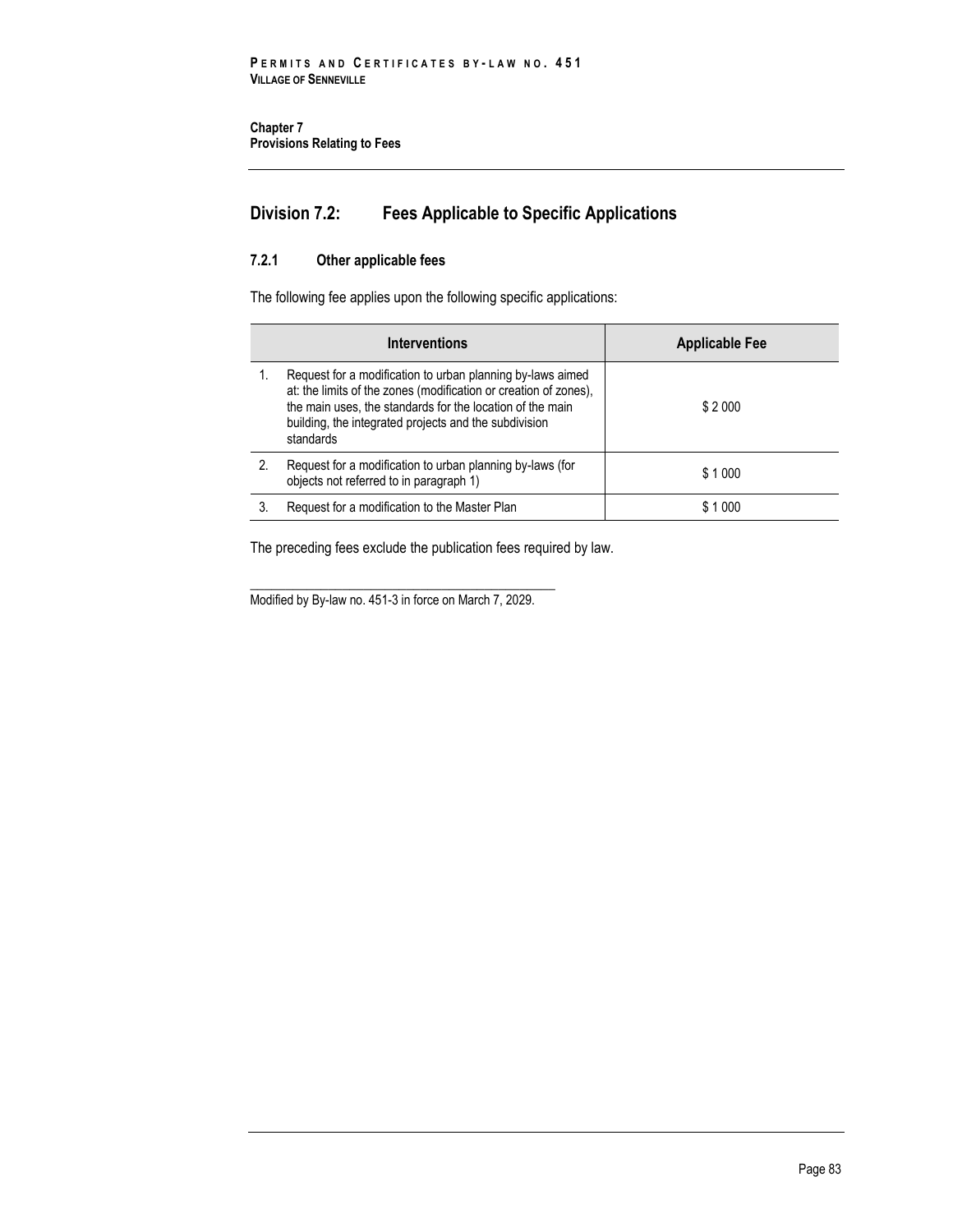# **Division 7.2: Fees Applicable to Specific Applications**

## **7.2.1 Other applicable fees**

The following fee applies upon the following specific applications:

| <b>Interventions</b> |                                                                                                                                                                                                                                                                   | <b>Applicable Fee</b> |  |
|----------------------|-------------------------------------------------------------------------------------------------------------------------------------------------------------------------------------------------------------------------------------------------------------------|-----------------------|--|
|                      | Request for a modification to urban planning by-laws aimed<br>at: the limits of the zones (modification or creation of zones),<br>the main uses, the standards for the location of the main<br>building, the integrated projects and the subdivision<br>standards | \$2000                |  |
| 2.                   | Request for a modification to urban planning by-laws (for<br>objects not referred to in paragraph 1)                                                                                                                                                              | \$1000                |  |
|                      | Request for a modification to the Master Plan                                                                                                                                                                                                                     | \$1000                |  |

The preceding fees exclude the publication fees required by law.

\_\_\_\_\_\_\_\_\_\_\_\_\_\_\_\_\_\_\_\_\_\_\_\_\_\_\_\_\_\_\_\_\_\_\_\_\_\_\_\_\_\_\_ Modified by By-law no. 451-3 in force on March 7, 2029.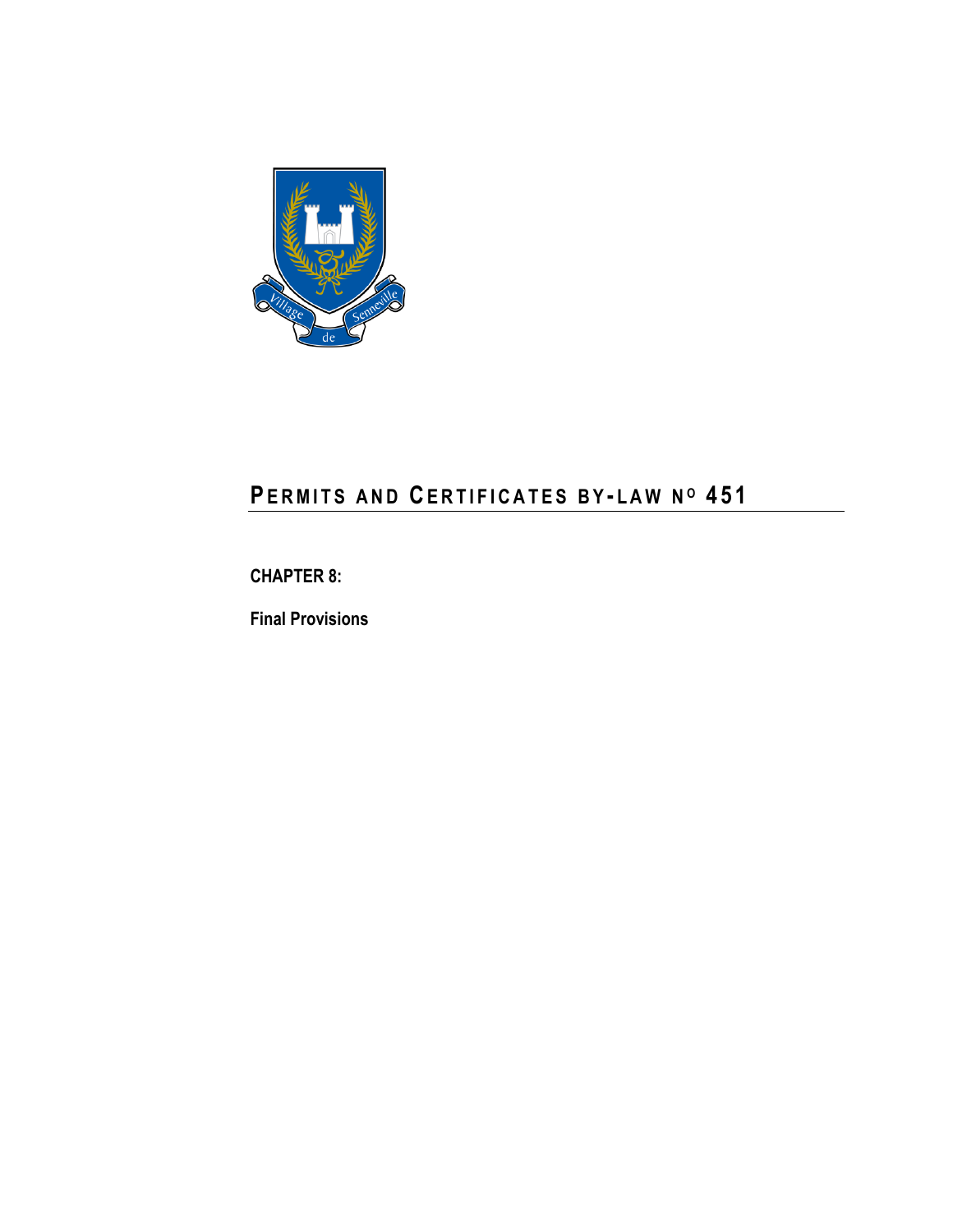

# **PE R M I T S A N D CE R T I F I C A T E S B Y - L A W N <sup>O</sup> 4 5 1**

# **CHAPTER 8:**

**Final Provisions**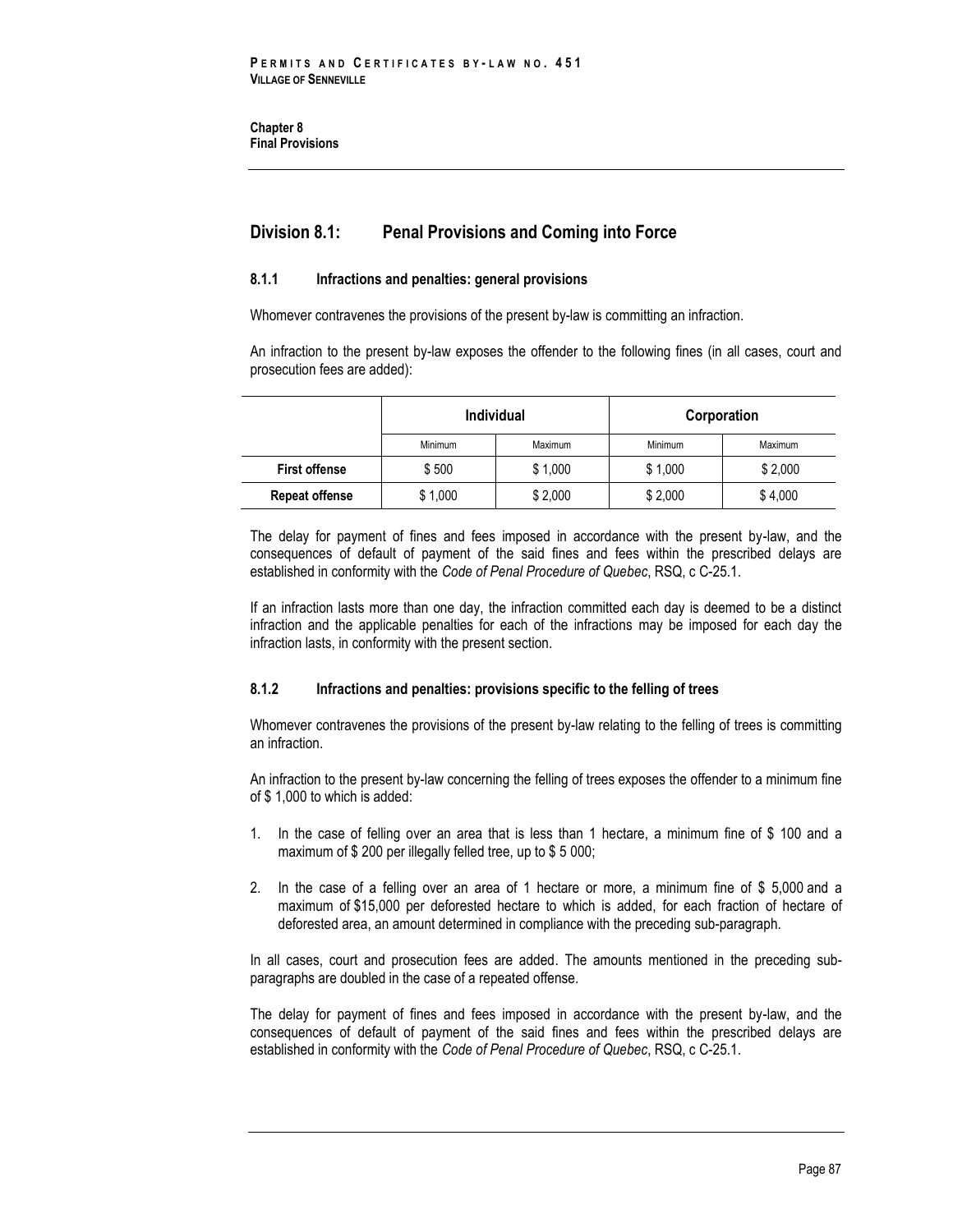**Chapter 8 Final Provisions** 

# **Division 8.1: Penal Provisions and Coming into Force**

#### **8.1.1 Infractions and penalties: general provisions**

Whomever contravenes the provisions of the present by-law is committing an infraction.

An infraction to the present by-law exposes the offender to the following fines (in all cases, court and prosecution fees are added):

|                       | <b>Individual</b> |         | Corporation |         |
|-----------------------|-------------------|---------|-------------|---------|
|                       | Minimum           | Maximum | Minimum     | Maximum |
| <b>First offense</b>  | \$500             | \$1.000 | \$1,000     | \$2.000 |
| <b>Repeat offense</b> | \$1,000           | \$2,000 | \$2,000     | \$4,000 |

The delay for payment of fines and fees imposed in accordance with the present by-law, and the consequences of default of payment of the said fines and fees within the prescribed delays are established in conformity with the *Code of Penal Procedure of Quebec*, RSQ, c C-25.1.

If an infraction lasts more than one day, the infraction committed each day is deemed to be a distinct infraction and the applicable penalties for each of the infractions may be imposed for each day the infraction lasts, in conformity with the present section.

### **8.1.2 Infractions and penalties: provisions specific to the felling of trees**

Whomever contravenes the provisions of the present by-law relating to the felling of trees is committing an infraction.

An infraction to the present by-law concerning the felling of trees exposes the offender to a minimum fine of \$ 1,000 to which is added:

- 1. In the case of felling over an area that is less than 1 hectare, a minimum fine of \$ 100 and a maximum of \$ 200 per illegally felled tree, up to \$ 5 000;
- 2. In the case of a felling over an area of 1 hectare or more, a minimum fine of \$ 5,000 and a maximum of \$15,000 per deforested hectare to which is added, for each fraction of hectare of deforested area, an amount determined in compliance with the preceding sub-paragraph.

In all cases, court and prosecution fees are added. The amounts mentioned in the preceding subparagraphs are doubled in the case of a repeated offense.

The delay for payment of fines and fees imposed in accordance with the present by-law, and the consequences of default of payment of the said fines and fees within the prescribed delays are established in conformity with the *Code of Penal Procedure of Quebec*, RSQ, c C-25.1.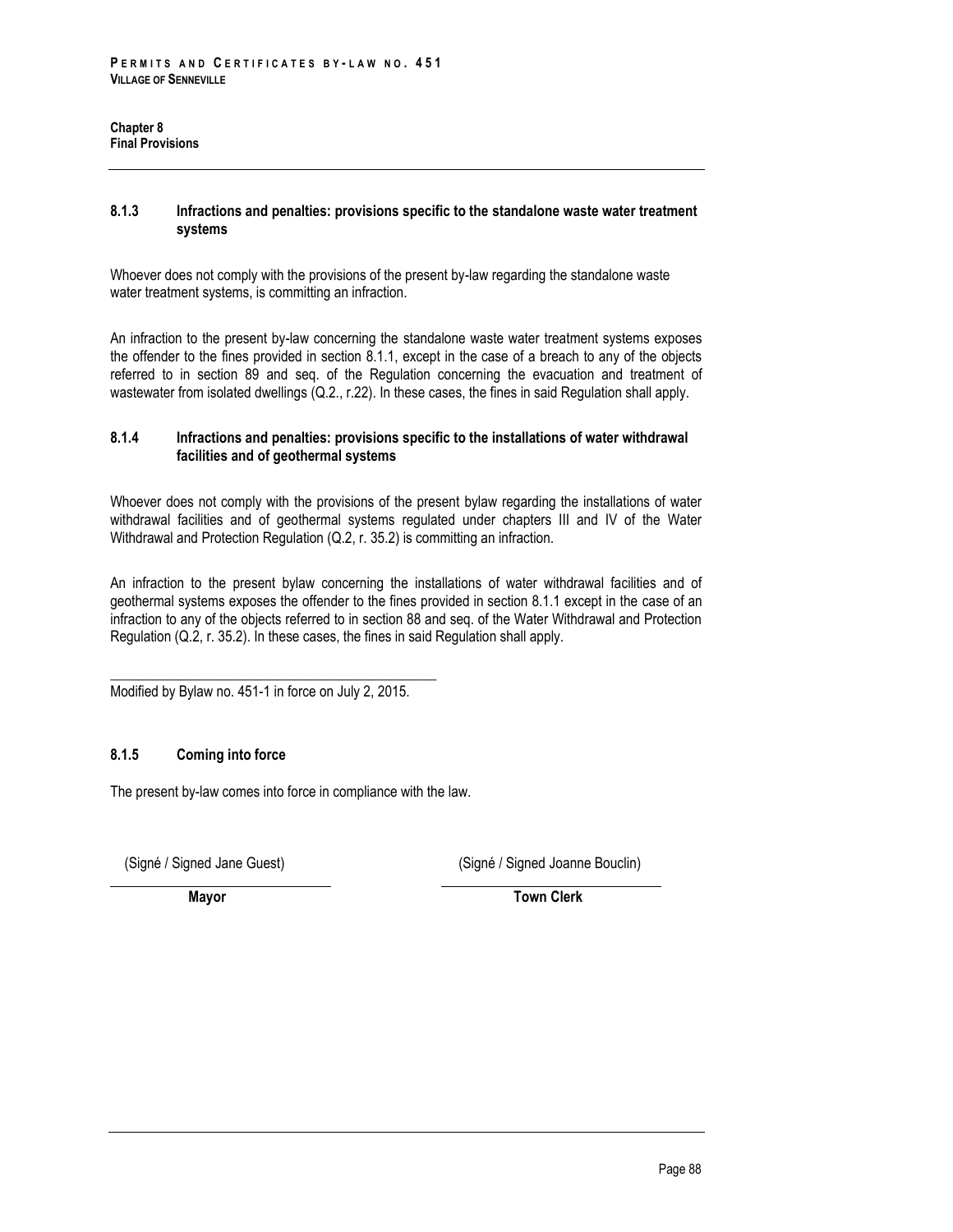#### **8.1.3 Infractions and penalties: provisions specific to the standalone waste water treatment systems**

Whoever does not comply with the provisions of the present by-law regarding the standalone waste water treatment systems, is committing an infraction.

An infraction to the present by-law concerning the standalone waste water treatment systems exposes the offender to the fines provided in section 8.1.1, except in the case of a breach to any of the objects referred to in section 89 and seq. of the Regulation concerning the evacuation and treatment of wastewater from isolated dwellings (Q.2., r.22). In these cases, the fines in said Regulation shall apply.

### **8.1.4 Infractions and penalties: provisions specific to the installations of water withdrawal facilities and of geothermal systems**

Whoever does not comply with the provisions of the present bylaw regarding the installations of water withdrawal facilities and of geothermal systems regulated under chapters III and IV of the Water Withdrawal and Protection Regulation (Q.2, r. 35.2) is committing an infraction.

An infraction to the present bylaw concerning the installations of water withdrawal facilities and of geothermal systems exposes the offender to the fines provided in section 8.1.1 except in the case of an infraction to any of the objects referred to in section 88 and seq. of the Water Withdrawal and Protection Regulation (Q.2, r. 35.2). In these cases, the fines in said Regulation shall apply.

\_\_\_\_\_\_\_\_\_\_\_\_\_\_\_\_\_\_\_\_\_\_\_\_\_\_\_\_\_\_\_\_\_\_\_\_\_\_\_\_\_\_\_\_\_\_ Modified by Bylaw no. 451-1 in force on July 2, 2015.

## **8.1.5 Coming into force**

The present by-law comes into force in compliance with the law.

(Signé / Signed Jane Guest) (Signé / Signed Joanne Bouclin)

**Mayor** Town Clerk